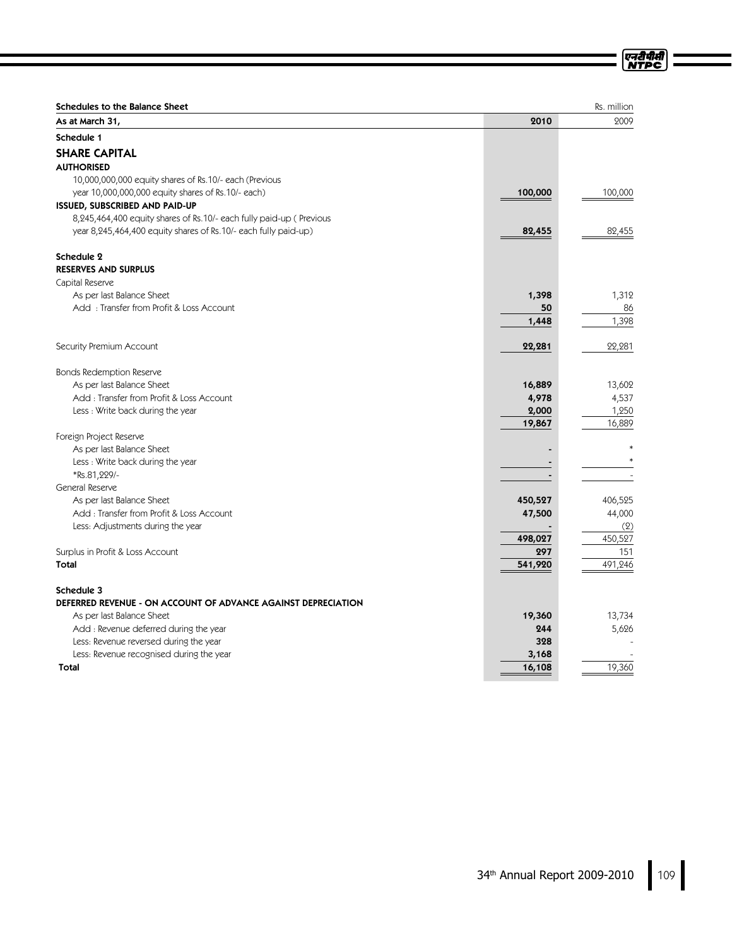| Schedules to the Balance Sheet                                      |         | Rs. million |
|---------------------------------------------------------------------|---------|-------------|
| As at March 31,                                                     | 2010    | 2009        |
| Schedule 1                                                          |         |             |
| <b>SHARE CAPITAL</b>                                                |         |             |
| <b>AUTHORISED</b>                                                   |         |             |
| 10,000,000,000 equity shares of Rs.10/- each (Previous              |         |             |
| year 10,000,000,000 equity shares of Rs.10/- each)                  | 100,000 | 100,000     |
| <b>ISSUED, SUBSCRIBED AND PAID-UP</b>                               |         |             |
| 8,245,464,400 equity shares of Rs.10/- each fully paid-up (Previous |         |             |
| year 8,245,464,400 equity shares of Rs.10/- each fully paid-up)     | 82,455  | 82,455      |
| Schedule 2                                                          |         |             |
| <b>RESERVES AND SURPLUS</b>                                         |         |             |
| Capital Reserve                                                     |         |             |
| As per last Balance Sheet                                           | 1,398   | 1,312       |
| Add: Transfer from Profit & Loss Account                            | 50      | 86          |
|                                                                     | 1,448   | 1,398       |
| Security Premium Account                                            | 22,281  | 22,281      |
| <b>Bonds Redemption Reserve</b>                                     |         |             |
| As per last Balance Sheet                                           | 16,889  | 13,602      |
| Add: Transfer from Profit & Loss Account                            | 4,978   | 4,537       |
| Less : Write back during the year                                   | 2,000   | 1,250       |
|                                                                     | 19,867  | 16,889      |
| Foreign Project Reserve                                             |         |             |
| As per last Balance Sheet                                           |         |             |
| Less: Write back during the year                                    |         |             |
| *Rs.81,229/-                                                        |         |             |
| General Reserve                                                     |         |             |
| As per last Balance Sheet                                           | 450,527 | 406,525     |
| Add: Transfer from Profit & Loss Account                            | 47,500  | 44,000      |
| Less: Adjustments during the year                                   |         | (2)         |
|                                                                     | 498,027 | 450,527     |
| Surplus in Profit & Loss Account                                    | 297     | 151         |
| <b>Total</b>                                                        | 541,920 | 491,246     |
| Schedule 3                                                          |         |             |
| DEFERRED REVENUE - ON ACCOUNT OF ADVANCE AGAINST DEPRECIATION       |         |             |
| As per last Balance Sheet                                           | 19,360  | 13,734      |
| Add : Revenue deferred during the year                              | 244     | 5,626       |
| Less: Revenue reversed during the year                              | 328     |             |
| Less: Revenue recognised during the year                            | 3,168   |             |
| <b>Total</b>                                                        | 16,108  | 19,360      |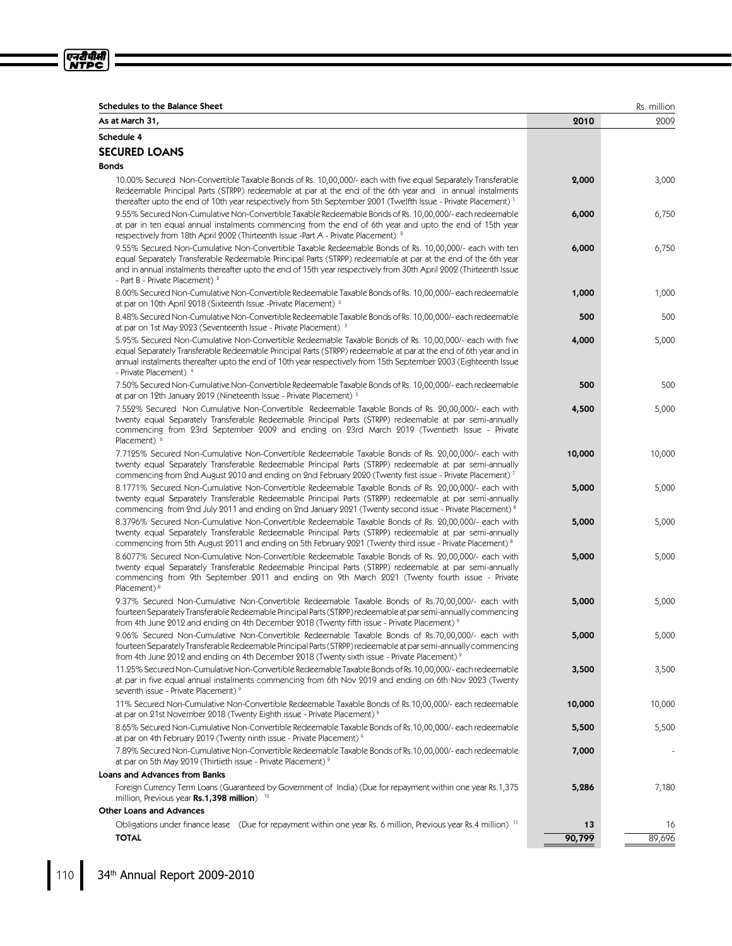| u<br>L - 1<br>, ,<br><br>e<br>Π |  |
|---------------------------------|--|
|                                 |  |
| í                               |  |

| <b>Schedules to the Balance Sheet</b><br>As at March 31,                                                                                                                                                                                                                                                                                                                           | 2010   | Rs. million<br>2009 |
|------------------------------------------------------------------------------------------------------------------------------------------------------------------------------------------------------------------------------------------------------------------------------------------------------------------------------------------------------------------------------------|--------|---------------------|
|                                                                                                                                                                                                                                                                                                                                                                                    |        |                     |
| Schedule 4                                                                                                                                                                                                                                                                                                                                                                         |        |                     |
| <b>SECURED LOANS</b>                                                                                                                                                                                                                                                                                                                                                               |        |                     |
| <b>Bonds</b>                                                                                                                                                                                                                                                                                                                                                                       |        |                     |
| 10.00% Secured Non-Convertible Taxable Bonds of Rs. 10,00,000/- each with five equal Separately Transferable<br>Redeemable Principal Parts (STRPP) redeemable at par at the end of the 6th year and in annual instalments<br>thereafter upto the end of 10th year respectively from 5th September 2001 (Twelfth Issue - Private Placement) <sup>1</sup>                            | 2,000  | 3,000               |
| 9.55% Secured Non-Cumulative Non-Convertible Taxable Redeemable Bonds of Rs. 10,00,000/- each redeemable                                                                                                                                                                                                                                                                           | 6,000  | 6,750               |
| at par in ten equal annual instalments commencing from the end of 6th year and upto the end of 15th year<br>respectively from 18th April 2002 (Thirteenth Issue -Part A - Private Placement) <sup>2</sup>                                                                                                                                                                          |        |                     |
| 9.55% Secured Non-Cumulative Non-Convertible Taxable Redeemable Bonds of Rs. 10,00,000/- each with ten<br>equal Separately Transferable Redeemable Principal Parts (STRPP) redeemable at par at the end of the 6th year<br>and in annual instalments thereafter upto the end of 15th year respectively from 30th April 2002 (Thirteenth Issue<br>- Part B - Private Placement) $2$ | 6,000  | 6,750               |
| 8.00% Secured Non-Cumulative Non-Convertible Redeemable Taxable Bonds of Rs. 10,00,000/- each redeemable<br>at par on 10th April 2018 (Sixteenth Issue -Private Placement) 3                                                                                                                                                                                                       | 1,000  | 1,000               |
| 8.48% Secured Non-Cumulative Non-Convertible Redeemable Taxable Bonds of Rs. 10,00,000/- each redeemable<br>at par on 1st May 2023 (Seventeenth Issue - Private Placement) 3                                                                                                                                                                                                       | 500    | 500                 |
| 5.95% Secured Non-Cumulative Non-Convertible Redeemable Taxable Bonds of Rs. 10,00,000/- each with five<br>equal Separately Transferable Redeemable Principal Parts (STRPP) redeemable at par at the end of 6th year and in<br>annual instalments thereafter upto the end of 10th year respectively from 15th September 2003 (Eighteenth Issue<br>- Private Placement) 4           | 4,000  | 5,000               |
| 7.50% Secured Non-Cumulative Non-Convertible Redeemable Taxable Bonds of Rs. 10,00,000/- each redeemable<br>at par on 12th January 2019 (Nineteenth Issue - Private Placement) 5                                                                                                                                                                                                   | 500    | 500                 |
| 7.552% Secured Non Cumulative Non-Convertible Redeemable Taxable Bonds of Rs. 20,00,000/- each with<br>twenty equal Separately Transferable Redeemable Principal Parts (STRPP) redeemable at par semi-annually<br>commencing from 23rd September 2009 and ending on 23rd March 2019 (Twentieth Issue - Private<br>Placement) <sup>6</sup>                                          | 4,500  | 5,000               |
| 7.7125% Secured Non-Cumulative Non-Convertible Redeemable Taxable Bonds of Rs. 20,00,000/- each with<br>twenty equal Separately Transferable Redeemable Principal Parts (STRPP) redeemable at par semi-annually<br>commencing from 2nd August 2010 and ending on 2nd February 2020 (Twenty first issue - Private Placement) <sup>7</sup>                                           | 10,000 | 10,000              |
| 8.1771% Secured Non-Cumulative Non-Convertible Redeemable Taxable Bonds of Rs. 20,00,000/- each with<br>twenty equal Separately Transferable Redeemable Principal Parts (STRPP) redeemable at par semi-annually<br>commencing from 2nd July 2011 and ending on 2nd January 2021 (Twenty second issue - Private Placement) 8                                                        | 5,000  | 5,000               |
| 8.3796% Secured Non-Cumulative Non-Convertible Redeemable Taxable Bonds of Rs. 20,00,000/- each with<br>twenty equal Separately Transferable Redeemable Principal Parts (STRPP) redeemable at par semi-annually<br>commencing from 5th August 2011 and ending on 5th February 2021 (Twenty third issue - Private Placement) 8                                                      | 5,000  | 5,000               |
| 8.6077% Secured Non-Cumulative Non-Convertible Redeemable Taxable Bonds of Rs. 20,00,000/- each with<br>twenty equal Separately Transferable Redeemable Principal Parts (STRPP) redeemable at par semi-annually<br>commencing from 9th September 2011 and ending on 9th March 2021 (Twenty fourth issue - Private<br>Placement) <sup>8</sup>                                       | 5,000  | 5,000               |
| 9.37% Secured Non-Cumulative Non-Convertible Redeemable Taxable Bonds of Rs.70,00,000/- each with<br>fourteen Separately Transferable Redeemable Principal Parts (STRPP) redeemable at par semi-annually commencing<br>from 4th June 2012 and ending on 4th December 2018 (Twenty fifth issue - Private Placement) <sup>9</sup>                                                    | 5,000  | 5,000               |
| 9.06% Secured Non-Cumulative Non-Convertible Redeemable Taxable Bonds of Rs.70,00,000/- each with<br>fourteen Separately Transferable Redeemable Principal Parts (STRPP) redeemable at parsemi-annually commencing<br>from 4th June 2012 and ending on 4th December 2018 (Twenty sixth issue - Private Placement) 9                                                                | 5,000  | 5,000               |
| 11.25% Secured Non-Cumulative Non-Convertible Redeemable Taxable Bonds of Rs.10,00,000/- each redeemable<br>at par in five equal annual instalments commencing from 6th Nov 2019 and ending on 6th Nov 2023 (Twenty<br>seventh issue - Private Placement) <sup>9</sup>                                                                                                             | 3,500  | 3,500               |
| 11% Secured Non-Cumulative Non-Convertible Redeemable Taxable Bonds of Rs.10,00,000/- each redeemable<br>at par on 21st November 2018 (Twenty Eighth issue - Private Placement) <sup>9</sup>                                                                                                                                                                                       | 10,000 | 10,000              |
| 8.65% Secured Non-Cumulative Non-Convertible Redeemable Taxable Bonds of Rs.10,00,000/- each redeemable<br>at par on 4th February 2019 (Twenty ninth issue - Private Placement) <sup>9</sup>                                                                                                                                                                                       | 5,500  | 5,500               |
| 7.89% Secured Non-Cumulative Non-Convertible Redeemable Taxable Bonds of Rs.10,00,000/- each redeemable<br>at par on 5th May 2019 (Thirtieth issue - Private Placement) 9                                                                                                                                                                                                          | 7,000  |                     |
| <b>Loans and Advances from Banks</b>                                                                                                                                                                                                                                                                                                                                               |        |                     |
| Foreign Currency Term Loans (Guaranteed by Government of India) (Due for repayment within one year Rs.1,375<br>million, Previous year Rs.1,398 million) <sup>10</sup>                                                                                                                                                                                                              | 5,286  | 7,180               |
| <b>Other Loans and Advances</b>                                                                                                                                                                                                                                                                                                                                                    |        |                     |
| Obligations under finance lease (Due for repayment within one year Rs. 6 million, Previous year Rs.4 million) <sup>11</sup>                                                                                                                                                                                                                                                        | 13     | 16                  |
| <b>TOTAL</b>                                                                                                                                                                                                                                                                                                                                                                       | 90,799 | 89,696              |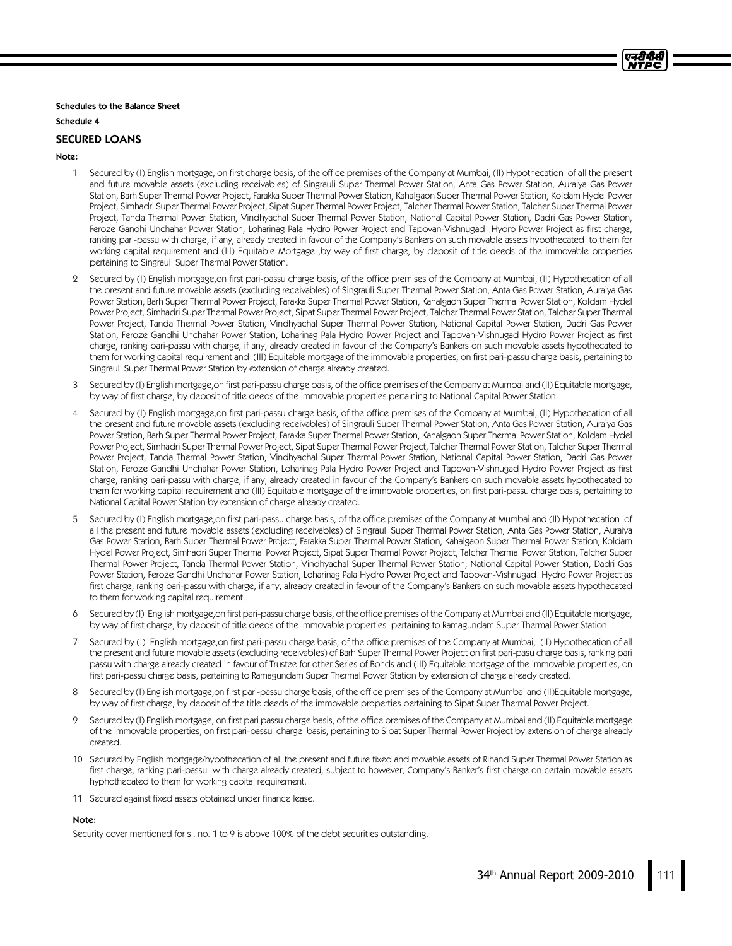Schedules to the Balance Sheet

Schedule 4

### SECURED LOANS

### Note:

- 1 Secured by (I) English mortgage, on first charge basis, of the office premises of the Company at Mumbai, (II) Hypothecation of all the present and future movable assets (excluding receivables) of Singrauli Super Thermal Power Station, Anta Gas Power Station, Auraiya Gas Power Station, Barh Super Thermal Power Project, Farakka Super Thermal Power Station, Kahalgaon Super Thermal Power Station, Koldam Hydel Power Project, Simhadri Super Thermal Power Project, Sipat Super Thermal Power Project, Talcher Thermal Power Station, Talcher Super Thermal Power Project, Tanda Thermal Power Station, Vindhyachal Super Thermal Power Station, National Capital Power Station, Dadri Gas Power Station, Feroze Gandhi Unchahar Power Station, Loharinag Pala Hydro Power Project and Tapovan-Vishnugad Hydro Power Project as first charge, ranking pari-passu with charge, if any, already created in favour of the Company's Bankers on such movable assets hypothecated to them for working capital requirement and (III) Equitable Mortgage, by way of first charge, by deposit of title deeds of the immovable properties pertaining to Singrauli Super Thermal Power Station.
- 2 Secured by (I) English mortgage,on first pari-passu charge basis, of the office premises of the Company at Mumbai, (II) Hypothecation of all the present and future movable assets (excluding receivables) of Singrauli Super Thermal Power Station, Anta Gas Power Station, Auraiya Gas Power Station, Barh Super Thermal Power Project, Farakka Super Thermal Power Station, Kahalgaon Super Thermal Power Station, Koldam Hydel Power Project, Simhadri Super Thermal Power Project, Sipat Super Thermal Power Project, Talcher Thermal Power Station, Talcher Super Thermal Power Project, Tanda Thermal Power Station, Vindhyachal Super Thermal Power Station, National Capital Power Station, Dadri Gas Power Station, Feroze Gandhi Unchahar Power Station, Loharinag Pala Hydro Power Project and Tapovan-Vishnugad Hydro Power Project as first charge, ranking pari-passu with charge, if any, already created in favour of the Company's Bankers on such movable assets hypothecated to them for working capital requirement and (III) Equitable mortgage of the immovable properties, on first pari-passu charge basis, pertaining to Singrauli Super Thermal Power Station by extension of charge already created.
- 3 Secured by (I) English mortgage, on first pari-passu charge basis, of the office premises of the Company at Mumbai and (II) Equitable mortgage, by way of first charge, by deposit of title deeds of the immovable properties pertaining to National Capital Power Station.
- Secured by (I) English mortgage,on first pari-passu charge basis, of the office premises of the Company at Mumbai, (II) Hypothecation of all the present and future movable assets (excluding receivables) of Singrauli Super Thermal Power Station, Anta Gas Power Station, Auraiya Gas Power Station, Barh Super Thermal Power Project, Farakka Super Thermal Power Station, Kahalgaon Super Thermal Power Station, Koldam Hydel Power Project, Simhadri Super Thermal Power Project, Sipat Super Thermal Power Project, Talcher Thermal Power Station, Talcher Super Thermal Power Project, Tanda Thermal Power Station, Vindhyachal Super Thermal Power Station, National Capital Power Station, Dadri Gas Power Station, Feroze Gandhi Unchahar Power Station, Loharinag Pala Hydro Power Project and Tapovan-Vishnugad Hydro Power Project as first charge, ranking pari-passu with charge, if any, already created in favour of the Company's Bankers on such movable assets hypothecated to them for working capital requirement and (III) Equitable mortgage of the immovable properties, on first pari-passu charge basis, pertaining to National Capital Power Station by extension of charge already created.
- 5 Secured by (I) English mortgage,on first pari-passu charge basis, of the office premises of the Company at Mumbai and (II) Hypothecation of all the present and future movable assets (excluding receivables) of Singrauli Super Thermal Power Station, Anta Gas Power Station, Auraiya Gas Power Station, Barh Super Thermal Power Project, Farakka Super Thermal Power Station, Kahalgaon Super Thermal Power Station, Koldam Hydel Power Project, Simhadri Super Thermal Power Project, Sipat Super Thermal Power Project, Talcher Thermal Power Station, Talcher Super Thermal Power Project, Tanda Thermal Power Station, Vindhyachal Super Thermal Power Station, National Capital Power Station, Dadri Gas Power Station, Feroze Gandhi Unchahar Power Station, Loharinag Pala Hydro Power Project and Tapovan-Vishnugad Hydro Power Project as first charge, ranking pari-passu with charge, if any, already created in favour of the Company's Bankers on such movable assets hypothecated to them for working capital requirement.
- 6 Secured by (I) English mortgage, on first pari-passu charge basis, of the office premises of the Company at Mumbai and (II) Equitable mortgage, by way of first charge, by deposit of title deeds of the immovable properties pertaining to Ramagundam Super Thermal Power Station.
- Secured by (I) English mortgage,on first pari-passu charge basis, of the office premises of the Company at Mumbai, (II) Hypothecation of all the present and future movable assets (excluding receivables) of Barh Super Thermal Power Project on first pari-pasu charge basis, ranking pari passu with charge already created in favour of Trustee for other Series of Bonds and (III) Equitable mortgage of the immovable properties, on first pari-passu charge basis, pertaining to Ramagundam Super Thermal Power Station by extension of charge already created.
- 8 Secured by (I) English mortgage, on first pari-passu charge basis, of the office premises of the Company at Mumbai and (II)Equitable mortgage, by way of first charge, by deposit of the title deeds of the immovable properties pertaining to Sipat Super Thermal Power Project.
- 9 Secured by (I) English mortgage, on first pari passu charge basis, of the office premises of the Company at Mumbai and (II) Equitable mortgage of the immovable properties, on first pari-passu charge basis, pertaining to Sipat Super Thermal Power Project by extension of charge already created.
- 10 Secured by English mortgage/hypothecation of all the present and future fixed and movable assets of Rihand Super Thermal Power Station as first charge, ranking pari-passu with charge already created, subject to however, Company's Banker's first charge on certain movable assets hyphothecated to them for working capital requirement.
- 11 Secured against fixed assets obtained under finance lease.

### Note:

Security cover mentioned for sl. no. 1 to 9 is above 100% of the debt securities outstanding.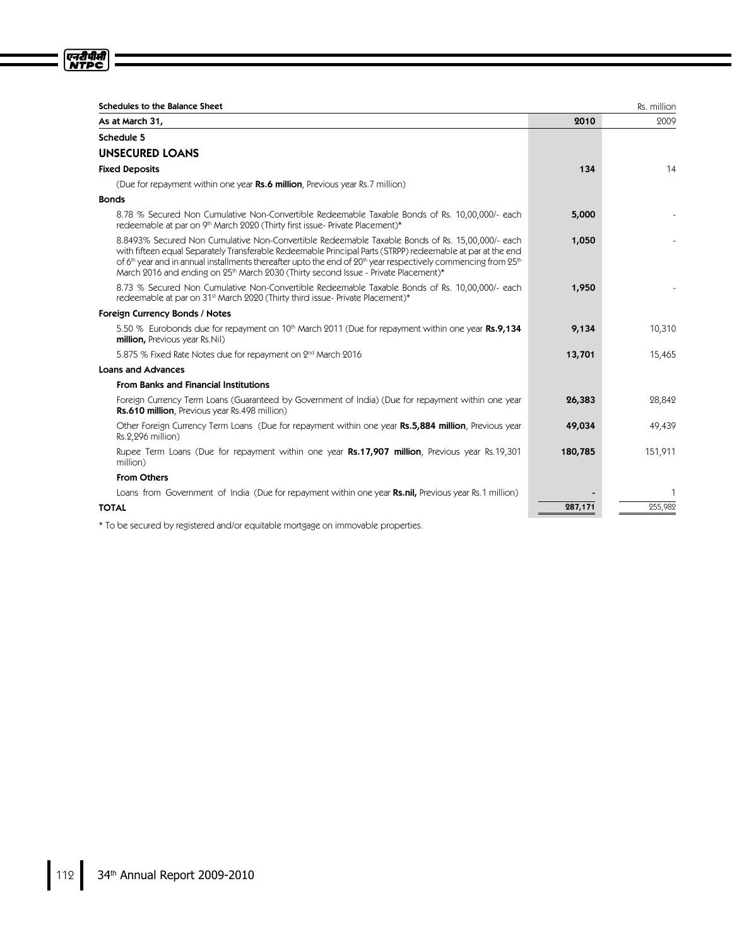| <b>Schedules to the Balance Sheet</b>                                                                                                                                                                                                                                                                                                                                                                                                             |         | Rs. million |
|---------------------------------------------------------------------------------------------------------------------------------------------------------------------------------------------------------------------------------------------------------------------------------------------------------------------------------------------------------------------------------------------------------------------------------------------------|---------|-------------|
| As at March 31,                                                                                                                                                                                                                                                                                                                                                                                                                                   | 2010    | 2009        |
| Schedule 5                                                                                                                                                                                                                                                                                                                                                                                                                                        |         |             |
| <b>UNSECURED LOANS</b>                                                                                                                                                                                                                                                                                                                                                                                                                            |         |             |
| <b>Fixed Deposits</b>                                                                                                                                                                                                                                                                                                                                                                                                                             | 134     | 14          |
| (Due for repayment within one year Rs.6 million, Previous year Rs.7 million)                                                                                                                                                                                                                                                                                                                                                                      |         |             |
| <b>Bonds</b>                                                                                                                                                                                                                                                                                                                                                                                                                                      |         |             |
| 8.78 % Secured Non Cumulative Non-Convertible Redeemable Taxable Bonds of Rs. 10,00,000/- each<br>redeemable at par on 9th March 2020 (Thirty first issue-Private Placement)*                                                                                                                                                                                                                                                                     | 5,000   |             |
| 8.8493% Secured Non Cumulative Non-Convertible Redeemable Taxable Bonds of Rs. 15,00,000/- each<br>with fifteen equal Separately Transferable Redeemable Principal Parts (STRPP) redeemable at par at the end<br>of 6 <sup>th</sup> year and in annual installments thereafter upto the end of $20th$ year respectively commencing from $25th$<br>March 2016 and ending on 25 <sup>th</sup> March 2030 (Thirty second Issue - Private Placement)* | 1,050   |             |
| 8.73 % Secured Non Cumulative Non-Convertible Redeemable Taxable Bonds of Rs. 10,00,000/- each<br>redeemable at par on 31 <sup>st</sup> March 2020 (Thirty third issue-Private Placement)*                                                                                                                                                                                                                                                        | 1,950   |             |
| Foreign Currency Bonds / Notes                                                                                                                                                                                                                                                                                                                                                                                                                    |         |             |
| 5.50 % Eurobonds due for repayment on 10 <sup>th</sup> March 2011 (Due for repayment within one year <b>Rs.9,134</b><br>million, Previous year Rs.Nil)                                                                                                                                                                                                                                                                                            | 9,134   | 10,310      |
| 5.875 % Fixed Rate Notes due for repayment on 2 <sup>nd</sup> March 2016                                                                                                                                                                                                                                                                                                                                                                          | 13,701  | 15,465      |
| <b>Loans and Advances</b>                                                                                                                                                                                                                                                                                                                                                                                                                         |         |             |
| <b>From Banks and Financial Institutions</b>                                                                                                                                                                                                                                                                                                                                                                                                      |         |             |
| Foreign Currency Term Loans (Guaranteed by Government of India) (Due for repayment within one year<br>Rs.610 million, Previous year Rs.498 million)                                                                                                                                                                                                                                                                                               | 26,383  | 28,842      |
| Other Foreign Currency Term Loans (Due for repayment within one year Rs.5,884 million, Previous year<br>Rs.2,296 million)                                                                                                                                                                                                                                                                                                                         | 49,034  | 49,439      |
| Rupee Term Loans (Due for repayment within one year Rs.17,907 million, Previous year Rs.19,301<br>million)                                                                                                                                                                                                                                                                                                                                        | 180,785 | 151,911     |
| <b>From Others</b>                                                                                                                                                                                                                                                                                                                                                                                                                                |         |             |
| Loans from Government of India (Due for repayment within one year <b>Rs.nil,</b> Previous year Rs.1 million)                                                                                                                                                                                                                                                                                                                                      |         |             |
| <b>TOTAL</b>                                                                                                                                                                                                                                                                                                                                                                                                                                      | 287,171 | 255,982     |
| * To be secured by registered and/or equitable mortgage on immovable properties                                                                                                                                                                                                                                                                                                                                                                   |         |             |

ed by registered and/or equitable mortgage on immovable propert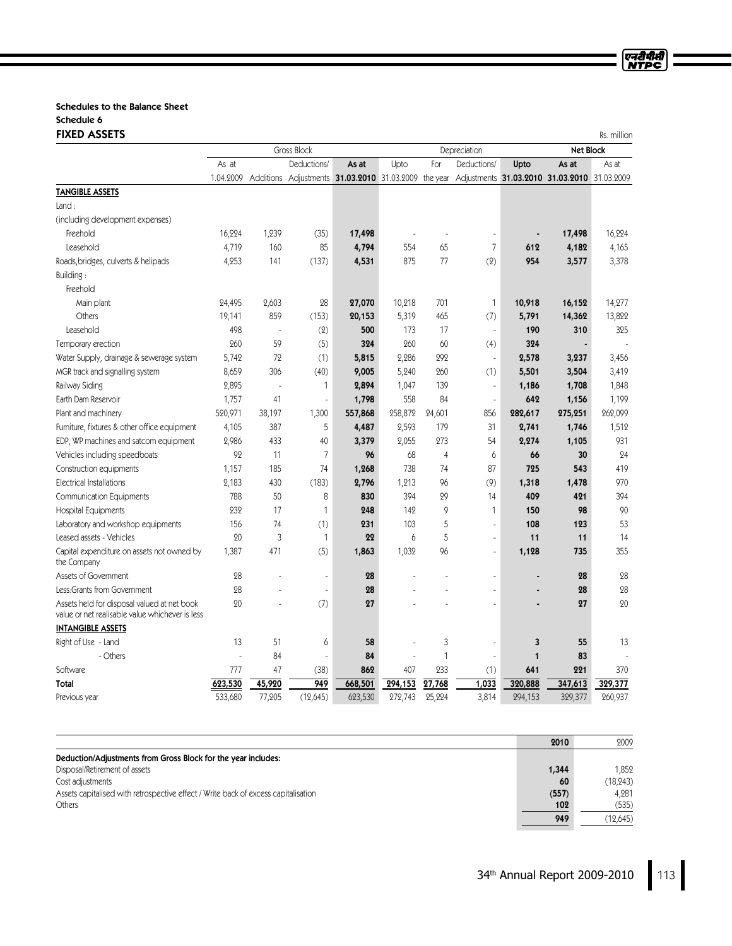### Schedules to the Balance Sheet Schedule 6 FIXED ASSETS Rs. million

|                                                                                                |           |        | <b>Gross Block</b>                                   |         | Depreciation |        | <b>Net Block</b>                             |              |         |         |
|------------------------------------------------------------------------------------------------|-----------|--------|------------------------------------------------------|---------|--------------|--------|----------------------------------------------|--------------|---------|---------|
|                                                                                                | As at     |        | Deductions/                                          | As at   | Upto         | For    | Deductions/                                  | Upto         | As at   | As at   |
|                                                                                                | 1.04.2009 |        | Additions Adjustments 31.03.2010 31.03.2009 the year |         |              |        | Adjustments 31.03.2010 31.03.2010 31.03.2009 |              |         |         |
| <b>TANGIBLE ASSETS</b>                                                                         |           |        |                                                      |         |              |        |                                              |              |         |         |
| $L$ and:                                                                                       |           |        |                                                      |         |              |        |                                              |              |         |         |
| (including development expenses)                                                               |           |        |                                                      |         |              |        |                                              |              |         |         |
| Freehold                                                                                       | 16,224    | 1,239  | (35)                                                 | 17,498  |              |        |                                              |              | 17,498  | 16,224  |
| Leasehold                                                                                      | 4,719     | 160    | 85                                                   | 4,794   | 554          | 65     | $\overline{7}$                               | 612          | 4,182   | 4,165   |
| Roads, bridges, culverts & helipads                                                            | 4,253     | 141    | (137)                                                | 4,531   | 875          | 77     | (2)                                          | 954          | 3,577   | 3,378   |
| Building:                                                                                      |           |        |                                                      |         |              |        |                                              |              |         |         |
| Freehold                                                                                       |           |        |                                                      |         |              |        |                                              |              |         |         |
| Main plant                                                                                     | 24,495    | 2,603  | 28                                                   | 27,070  | 10,218       | 701    | $\mathbf{1}$                                 | 10,918       | 16,152  | 14,277  |
| Others                                                                                         | 19,141    | 859    | (153)                                                | 20,153  | 5,319        | 465    | (7)                                          | 5,791        | 14,362  | 13,822  |
| Leasehold                                                                                      | 498       | ÷,     | (2)                                                  | 500     | 173          | 17     | ÷,                                           | 190          | 310     | 325     |
| Temporary erection                                                                             | 260       | 59     | (5)                                                  | 324     | 260          | 60     | (4)                                          | 324          |         |         |
| Water Supply, drainage & sewerage system                                                       | 5,742     | 72     | (1)                                                  | 5,815   | 2,286        | 292    | $\overline{a}$                               | 2,578        | 3,237   | 3,456   |
| MGR track and signalling system                                                                | 8,659     | 306    | (40)                                                 | 9,005   | 5,240        | 260    | (1)                                          | 5,501        | 3,504   | 3,419   |
| Railway Siding                                                                                 | 2,895     | J,     | 1                                                    | 2,894   | 1,047        | 139    | ä,                                           | 1,186        | 1,708   | 1,848   |
| Earth Dam Reservoir                                                                            | 1,757     | 41     | J.                                                   | 1,798   | 558          | 84     | ÷,                                           | 642          | 1,156   | 1,199   |
| Plant and machinery                                                                            | 520,971   | 38,197 | 1,300                                                | 557,868 | 258,872      | 24,601 | 856                                          | 282,617      | 275,251 | 262,099 |
| Furniture, fixtures & other office equipment                                                   | 4,105     | 387    | 5                                                    | 4,487   | 2,593        | 179    | 31                                           | 2,741        | 1,746   | 1,512   |
| EDP, WP machines and satcom equipment                                                          | 2,986     | 433    | 40                                                   | 3,379   | 2,055        | 273    | 54                                           | 2,274        | 1,105   | 931     |
| Vehicles including speedboats                                                                  | 92        | 11     | 7                                                    | 96      | 68           | 4      | 6                                            | 66           | 30      | 24      |
| Construction equipments                                                                        | 1,157     | 185    | 74                                                   | 1,268   | 738          | 74     | 87                                           | 725          | 543     | 419     |
| Electrical Installations                                                                       | 2,183     | 430    | (183)                                                | 2,796   | 1,213        | 96     | (9)                                          | 1,318        | 1,478   | 970     |
| <b>Communication Equipments</b>                                                                | 788       | 50     | 8                                                    | 830     | 394          | 29     | 14                                           | 409          | 421     | 394     |
| <b>Hospital Equipments</b>                                                                     | 232       | 17     | 1                                                    | 248     | 142          | 9      | $\mathbf{1}$                                 | 150          | 98      | 90      |
| Laboratory and workshop equipments                                                             | 156       | 74     | (1)                                                  | 231     | 103          | 5      |                                              | 108          | 123     | 53      |
| Leased assets - Vehicles                                                                       | 20        | 3      | $\mathbf{1}$                                         | 22      | 6            | 5      | ÷,                                           | 11           | 11      | 14      |
| Capital expenditure on assets not owned by<br>the Company                                      | 1,387     | 471    | (5)                                                  | 1,863   | 1,032        | 96     | ÷,                                           | 1,128        | 735     | 355     |
| Assets of Government                                                                           | 28        |        | ÷,                                                   | 28      |              |        |                                              |              | 28      | 28      |
| Less: Grants from Government                                                                   | 28        |        | $\bar{a}$                                            | 28      |              |        |                                              |              | 28      | 28      |
| Assets held for disposal valued at net book<br>value or net realisable value whichever is less | 20        |        | (7)                                                  | 27      |              |        |                                              |              | 27      | 20      |
| <b>INTANGIBLE ASSETS</b>                                                                       |           |        |                                                      |         |              |        |                                              |              |         |         |
| Right of Use - Land                                                                            | 13        | 51     | 6                                                    | 58      |              | 3      |                                              | 3            | 55      | 13      |
| - Others                                                                                       |           | 84     | L.                                                   | 84      |              | 1      |                                              | $\mathbf{1}$ | 83      |         |
| Software                                                                                       | 777       | 47     | (38)                                                 | 862     | 407          | 233    | (1)                                          | 641          | 221     | 370     |
| <b>Total</b>                                                                                   | 623,530   | 45,920 | 949                                                  | 668,501 | 294,153      | 27,768 | 1,033                                        | 320,888      | 347,613 | 329,377 |
| Previous year                                                                                  | 533,680   | 77,205 | (12,645)                                             | 623,530 | 272,743      | 25,224 | 3,814                                        | 294,153      | 329,377 | 260,937 |

|                                                                                    | 2010  | 2009      |
|------------------------------------------------------------------------------------|-------|-----------|
| Deduction/Adjustments from Gross Block for the year includes:                      |       |           |
| Disposal/Retirement of assets                                                      | 1,344 | 1.852     |
| Cost adjustments                                                                   | 60    | (18, 243) |
| Assets capitalised with retrospective effect / Write back of excess capitalisation | (557) | 4.281     |
| Others                                                                             | 102   | (535)     |
|                                                                                    | 949   | (12,645)  |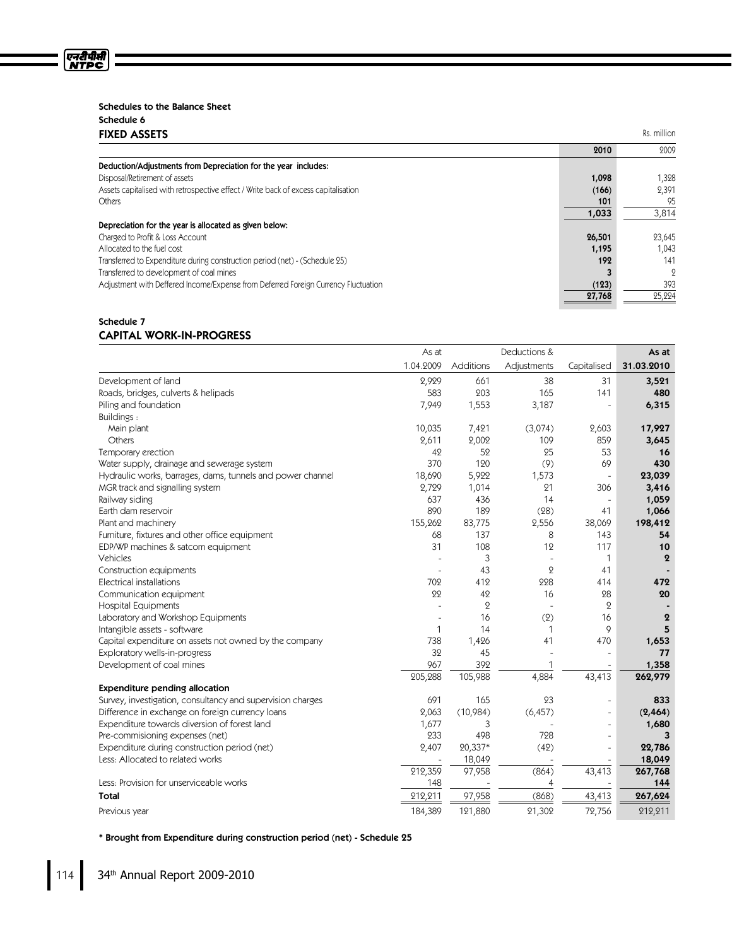### Schedules to the Balance Sheet

| Schedule 6 |                     |
|------------|---------------------|
|            | <b>FIXED ASSETS</b> |

ण्नदीपीसी<br>NTPC

| <b>FIXED ASSETS</b>                                                                |        | Rs. million |
|------------------------------------------------------------------------------------|--------|-------------|
|                                                                                    | 2010   | 2009        |
| Deduction/Adjustments from Depreciation for the year includes:                     |        |             |
| Disposal/Retirement of assets                                                      | 1,098  | 1,328       |
| Assets capitalised with retrospective effect / Write back of excess capitalisation | (166)  | 2,391       |
| <b>Others</b>                                                                      | 101    | 95          |
|                                                                                    | 1,033  | 3,814       |
| Depreciation for the year is allocated as given below:                             |        |             |
| Charged to Profit & Loss Account                                                   | 26,501 | 23,645      |
| Allocated to the fuel cost                                                         | 1,195  | 1,043       |
| Transferred to Expenditure during construction period (net) - (Schedule 25)        | 192    | 141         |
| Transferred to development of coal mines                                           |        | 9           |
| Adjustment with Deffered Income/Expense from Deferred Foreign Currency Fluctuation | (123)  | 393         |
|                                                                                    | 27,768 | 25,224      |

### Schedule 7 CAPITAL WORK-IN-PROGRESS

|                                                            | As at     | Deductions & |                | As at               |                  |
|------------------------------------------------------------|-----------|--------------|----------------|---------------------|------------------|
|                                                            | 1.04.2009 | Additions    | Adjustments    | Capitalised         | 31.03.2010       |
| Development of land                                        | 2,929     | 661          | 38             | 31                  | 3,521            |
| Roads, bridges, culverts & helipads                        | 583       | 203          | 165            | 141                 | 480              |
| Piling and foundation                                      | 7,949     | 1,553        | 3,187          |                     | 6,315            |
| Buildings:                                                 |           |              |                |                     |                  |
| Main plant                                                 | 10,035    | 7,421        | (3,074)        | 2,603               | 17,927           |
| Others                                                     | 2,611     | 2,002        | 109            | 859                 | 3,645            |
| Temporary erection                                         | 42        | 52           | 25             | 53                  | 16               |
| Water supply, drainage and sewerage system                 | 370       | 120          | (9)            | 69                  | 430              |
| Hydraulic works, barrages, dams, tunnels and power channel | 18,690    | 5,922        | 1,573          | $\bar{\phantom{a}}$ | 23,039           |
| MGR track and signalling system                            | 2,729     | 1,014        | 21             | 306                 | 3,416            |
| Railway siding                                             | 637       | 436          | 14             | $\sim$              | 1,059            |
| Earth dam reservoir                                        | 890       | 189          | (28)           | 41                  | 1,066            |
| Plant and machinery                                        | 155,262   | 83,775       | 2,556          | 38,069              | 198,412          |
| Furniture, fixtures and other office equipment             | 68        | 137          | 8              | 143                 | 54               |
| EDP/WP machines & satcom equipment                         | 31        | 108          | 12             | 117                 | 10               |
| Vehicles                                                   |           | 3            |                | 1                   | $\boldsymbol{2}$ |
| Construction equipments                                    |           | 43           | $\overline{2}$ | 41                  |                  |
| <b>Electrical installations</b>                            | 702       | 412          | 228            | 414                 | 472              |
| Communication equipment                                    | 22        | 42           | 16             | 28                  | 20               |
| <b>Hospital Equipments</b>                                 |           | $\mathbf{2}$ |                | $\mathbf{Q}$        |                  |
| Laboratory and Workshop Equipments                         |           | 16           | (2)            | 16                  | $\mathbf 2$      |
| Intangible assets - software                               | 1         | 14           | 1              | 9                   | 5                |
| Capital expenditure on assets not owned by the company     | 738       | 1,426        | 41             | 470                 | 1,653            |
| Exploratory wells-in-progress                              | 32        | 45           |                |                     | 77               |
| Development of coal mines                                  | 967       | 392          |                |                     | 1,358            |
|                                                            | 205,288   | 105,988      | 4,884          | 43,413              | 262,979          |
| <b>Expenditure pending allocation</b>                      |           |              |                |                     |                  |
| Survey, investigation, consultancy and supervision charges | 691       | 165          | 23             | ÷,                  | 833              |
| Difference in exchange on foreign currency loans           | 2,063     | (10,984)     | (6, 457)       | ÷,                  | (2, 464)         |
| Expenditure towards diversion of forest land               | 1,677     | 3            |                | ÷,                  | 1,680            |
| Pre-commisioning expenses (net)                            | 233       | 498          | 728            | L,                  | 3                |
| Expenditure during construction period (net)               | 2,407     | 20,337*      | (42)           | $\sim$              | 22,786           |
| Less: Allocated to related works                           |           | 18,049       |                |                     | 18,049           |
|                                                            | 212,359   | 97,958       | (864)          | 43,413              | 267,768          |
| Less: Provision for unserviceable works                    | 148       |              | 4              |                     | 144              |
| Total                                                      | 212,211   | 97,958       | (868)          | 43,413              | 267,624          |
| Previous year                                              | 184,389   | 121,880      | 21,302         | 72,756              | 212,211          |

\* Brought from Expenditure during construction period (net) - Schedule 25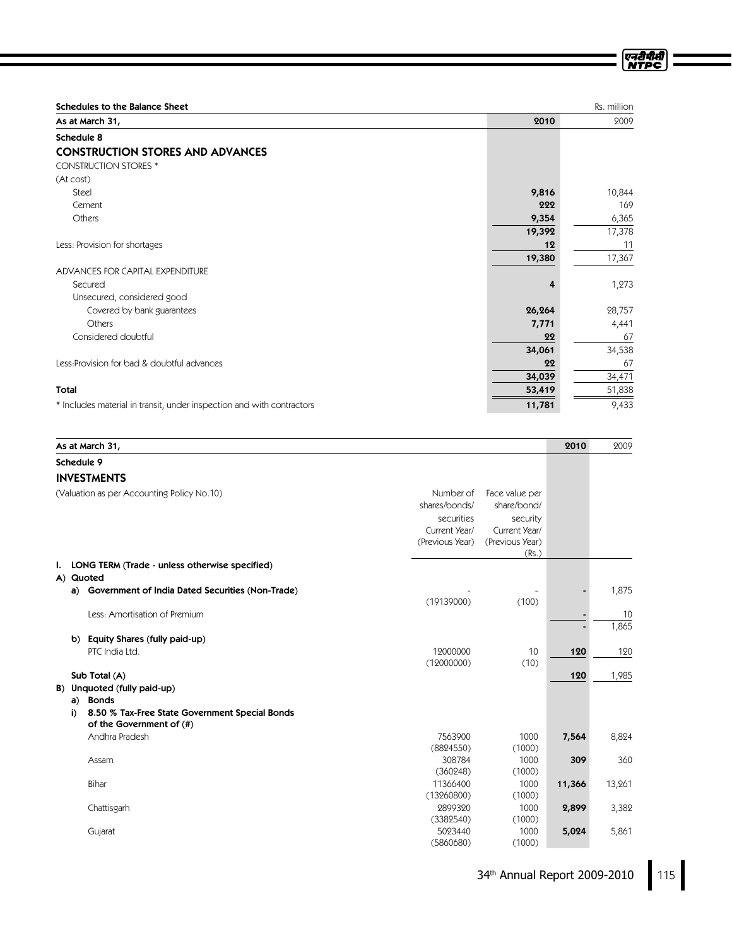| Schedules to the Balance Sheet              |        | Rs. million |
|---------------------------------------------|--------|-------------|
| As at March 31,                             | 2010   | 2009        |
| Schedule 8                                  |        |             |
| <b>CONSTRUCTION STORES AND ADVANCES</b>     |        |             |
| <b>CONSTRUCTION STORES *</b>                |        |             |
| (At cost)                                   |        |             |
| Steel                                       | 9,816  | 10,844      |
| Cement                                      | 222    | 169         |
| Others                                      | 9,354  | 6,365       |
|                                             | 19,392 | 17,378      |
| Less: Provision for shortages               | 12     | 11          |
|                                             | 19,380 | 17,367      |
| ADVANCES FOR CAPITAL EXPENDITURE            |        |             |
| Secured                                     | 4      | 1,273       |
| Unsecured, considered good                  |        |             |
| Covered by bank guarantees                  | 26,264 | 28,757      |
| Others                                      | 7,771  | 4,441       |
| Considered doubtful                         | 22     | 67          |
|                                             | 34,061 | 34,538      |
| Less: Provision for bad & doubtful advances | 22     | 67          |
|                                             | 34,039 | 34,471      |
| <b>Total</b>                                | 53,419 | 51,838      |

\* Includes material in transit, under inspection and with contractors  $\overline{11,781}$   $\overline{11,781}$   $\overline{9,433}$ 

|    |                                            | As at March 31,                                  |                 |                 | 2010   | 2009   |
|----|--------------------------------------------|--------------------------------------------------|-----------------|-----------------|--------|--------|
|    |                                            | Schedule 9                                       |                 |                 |        |        |
|    |                                            | <b>INVESTMENTS</b>                               |                 |                 |        |        |
|    | (Valuation as per Accounting Policy No.10) |                                                  | Number of       | Face value per  |        |        |
|    |                                            |                                                  | shares/bonds/   | share/bond/     |        |        |
|    |                                            |                                                  | securities      | security        |        |        |
|    |                                            |                                                  | Current Year/   | Current Year/   |        |        |
|    |                                            |                                                  | (Previous Year) | (Previous Year) |        |        |
|    |                                            |                                                  |                 | (Rs.)           |        |        |
| ı. |                                            | LONG TERM (Trade - unless otherwise specified)   |                 |                 |        |        |
|    |                                            | A) Quoted                                        |                 |                 |        |        |
|    | a)                                         | Government of India Dated Securities (Non-Trade) |                 |                 |        | 1,875  |
|    |                                            |                                                  | (19139000)      | (100)           |        |        |
|    |                                            | Less: Amortisation of Premium                    |                 |                 |        | 10     |
|    |                                            |                                                  |                 |                 |        | 1,865  |
|    | b)                                         | Equity Shares (fully paid-up)                    |                 |                 |        |        |
|    |                                            | PTC India Ltd.                                   | 12000000        | 10              | 120    | 120    |
|    |                                            |                                                  | (12000000)      | (10)            |        |        |
|    |                                            | Sub Total (A)                                    |                 |                 | 120    | 1,985  |
|    |                                            | B) Unquoted (fully paid-up)                      |                 |                 |        |        |
|    | a)                                         | <b>Bonds</b>                                     |                 |                 |        |        |
|    | j)                                         | 8.50 % Tax-Free State Government Special Bonds   |                 |                 |        |        |
|    |                                            | of the Government of (#)                         |                 |                 |        |        |
|    |                                            | Andhra Pradesh                                   | 7563900         | 1000            | 7,564  | 8,824  |
|    |                                            |                                                  | (8824550)       | (1000)          |        |        |
|    |                                            | Assam                                            | 308784          | 1000            | 309    | 360    |
|    |                                            |                                                  | (360248)        | (1000)          |        |        |
|    |                                            | Bihar                                            | 11366400        | 1000            | 11,366 | 13,261 |
|    |                                            |                                                  | (13260800)      | (1000)          |        |        |
|    |                                            | Chattisgarh                                      | 2899320         | 1000            | 2,899  | 3,382  |
|    |                                            |                                                  | (3382540)       | (1000)          |        |        |
|    |                                            | Gujarat                                          | 5023440         | 1000            | 5,024  | 5,861  |
|    |                                            |                                                  | (5860680)       | (1000)          |        |        |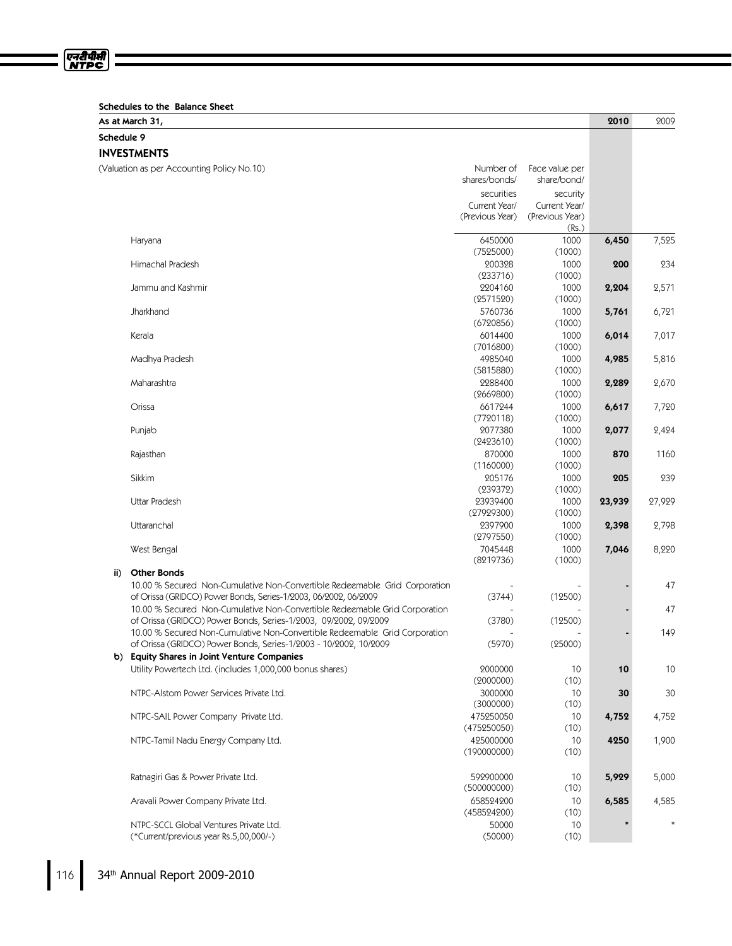|  | Schedules to the Balance Sheet |  |  |  |  |
|--|--------------------------------|--|--|--|--|
|--|--------------------------------|--|--|--|--|

|            | As at March 31,                                                            |                 |                 | 2010   | 2009   |
|------------|----------------------------------------------------------------------------|-----------------|-----------------|--------|--------|
| Schedule 9 |                                                                            |                 |                 |        |        |
|            | <b>INVESTMENTS</b>                                                         |                 |                 |        |        |
|            | (Valuation as per Accounting Policy No.10)                                 | Number of       | Face value per  |        |        |
|            |                                                                            | shares/bonds/   | share/bond/     |        |        |
|            |                                                                            | securities      | security        |        |        |
|            |                                                                            | Current Year/   | Current Year/   |        |        |
|            |                                                                            | (Previous Year) | (Previous Year) |        |        |
|            |                                                                            |                 | (Rs.)           |        |        |
|            | Haryana                                                                    | 6450000         | 1000            | 6,450  | 7,525  |
|            |                                                                            | (7525000)       | (1000)          |        |        |
|            | Himachal Pradesh                                                           | 200328          | 1000            | 200    | 234    |
|            |                                                                            | (233716)        | (1000)          |        |        |
|            | Jammu and Kashmir                                                          | 2204160         | 1000            | 2,204  | 2,571  |
|            |                                                                            | (2571520)       | (1000)          |        |        |
|            | Jharkhand                                                                  | 5760736         | 1000            | 5,761  | 6,721  |
|            |                                                                            | (6720856)       | (1000)          |        |        |
|            | Kerala                                                                     | 6014400         | 1000            | 6,014  | 7,017  |
|            |                                                                            | (7016800)       | (1000)          |        |        |
|            | Madhya Pradesh                                                             | 4985040         | 1000            | 4,985  | 5,816  |
|            |                                                                            | (5815880)       | (1000)          |        |        |
|            | Maharashtra                                                                | 2288400         | 1000            | 2,289  | 2,670  |
|            |                                                                            | (2669800)       | (1000)          |        |        |
|            | Orissa                                                                     | 6617244         | 1000            | 6,617  | 7,720  |
|            |                                                                            | (7720118)       | (1000)          |        |        |
|            | Punjab                                                                     | 2077380         | 1000            | 2,077  | 2,424  |
|            |                                                                            | (2423610)       | (1000)          |        |        |
|            | Rajasthan                                                                  | 870000          | 1000            | 870    | 1160   |
|            |                                                                            | (1160000)       | (1000)          |        |        |
|            | Sikkim                                                                     | 205176          | 1000            | 205    | 239    |
|            |                                                                            | (239372)        | (1000)          |        |        |
|            | Uttar Pradesh                                                              | 23939400        | 1000            | 23,939 | 27,929 |
|            |                                                                            | (27929300)      | (1000)          |        |        |
|            | Uttaranchal                                                                | 2397900         | 1000            | 2,398  | 2,798  |
|            |                                                                            | (2797550)       | (1000)          |        |        |
|            | West Bengal                                                                | 7045448         | 1000            | 7,046  | 8,220  |
|            |                                                                            | (8219736)       | (1000)          |        |        |
| ii)        | <b>Other Bonds</b>                                                         |                 |                 |        |        |
|            | 10.00 % Secured Non-Cumulative Non-Convertible Redeemable Grid Corporation |                 |                 |        | 47     |
|            | of Orissa (GRIDCO) Power Bonds, Series-1/2003, 06/2002, 06/2009            | (3744)          | (12500)         |        |        |
|            | 10.00 % Secured Non-Cumulative Non-Convertible Redeemable Grid Corporation |                 |                 |        | 47     |
|            | of Orissa (GRIDCO) Power Bonds, Series-1/2003, 09/2002, 09/2009            | (3780)          | (12500)         |        |        |
|            | 10.00 % Secured Non-Cumulative Non-Convertible Redeemable Grid Corporation |                 |                 |        | 149    |
|            | of Orissa (GRIDCO) Power Bonds, Series-1/2003 - 10/2002, 10/2009           | (5970)          | (25000)         |        |        |
| b)         | <b>Equity Shares in Joint Venture Companies</b>                            |                 |                 |        |        |
|            | Utility Powertech Ltd. (includes 1,000,000 bonus shares)                   | 2000000         | 10              | 10     | 10     |
|            |                                                                            | (2000000)       | (10)            |        |        |
|            | NTPC-Alstom Power Services Private Ltd.                                    | 3000000         | 10              | 30     | 30     |
|            |                                                                            | (3000000)       | (10)            |        |        |
|            | NTPC-SAIL Power Company Private Ltd.                                       | 475250050       | 10              | 4,752  | 4,752  |
|            |                                                                            | (475250050)     | (10)            |        |        |
|            | NTPC-Tamil Nadu Energy Company Ltd.                                        | 425000000       | 10              | 4250   | 1,900  |
|            |                                                                            | (190000000)     | (10)            |        |        |
|            |                                                                            |                 |                 |        |        |
|            | Ratnagiri Gas & Power Private Ltd.                                         | 592900000       | 10              | 5,929  | 5,000  |
|            |                                                                            | (500000000)     | (10)            |        |        |
|            | Aravali Power Company Private Ltd.                                         | 658524200       | 10              | 6,585  | 4,585  |
|            |                                                                            | (458524200)     | (10)            |        |        |
|            | NTPC-SCCL Global Ventures Private Ltd.                                     | 50000           | 10              |        |        |
|            | (*Current/previous year Rs.5,00,000/-)                                     | (50000)         | (10)            |        |        |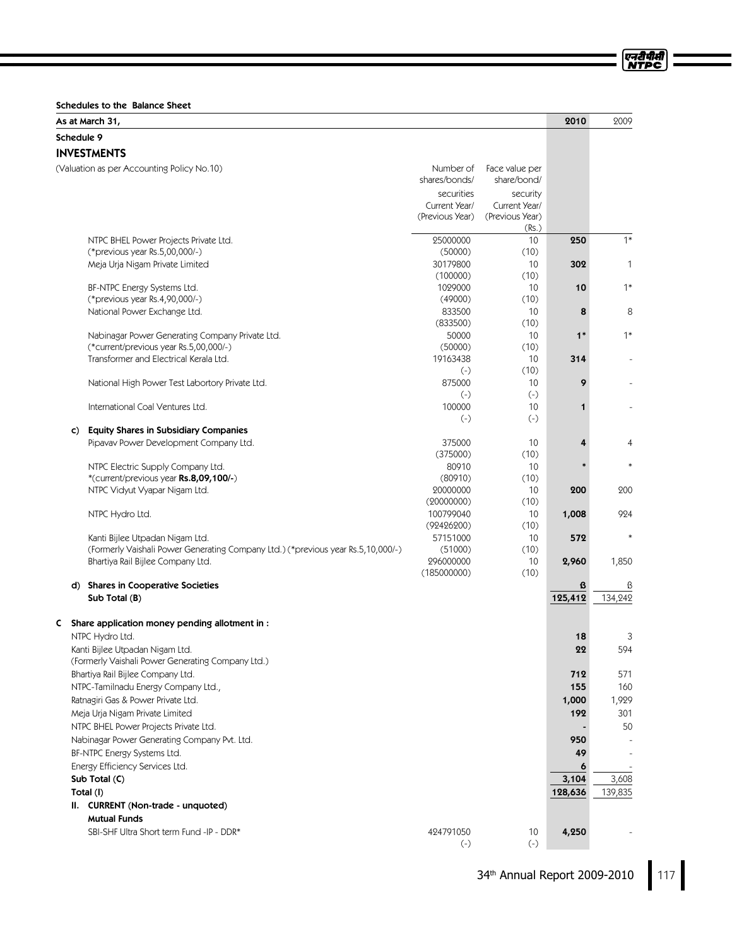Schedules to the Balance Sheet

| Schedule 9<br><b>INVESTMENTS</b><br>(Valuation as per Accounting Policy No.10)<br>Number of<br>Face value per<br>shares/bonds/<br>share/bond/<br>securities<br>security<br>Current Year/<br>Current Year/<br>(Previous Year)<br>(Previous Year)<br>(Rs.)<br>$1*$<br>25000000<br>10<br>250<br>NTPC BHEL Power Projects Private Ltd.<br>(50000)<br>(*previous year Rs.5,00,000/-)<br>(10)<br>Meja Urja Nigam Private Limited<br>30179800<br>10<br>302<br>$\mathbf{1}$<br>(10)<br>(100000)<br>$1*$<br>BF-NTPC Energy Systems Ltd.<br>1029000<br>10<br>10<br>(*previous year Rs.4,90,000/-)<br>(49000)<br>(10)<br>National Power Exchange Ltd.<br>833500<br>8<br>10<br>8<br>(833500)<br>(10)<br>$1*$<br>50000<br>10<br>$1*$<br>Nabinagar Power Generating Company Private Ltd.<br>(50000)<br>(10)<br>(*current/previous year Rs.5,00,000/-)<br>Transformer and Electrical Kerala Ltd.<br>19163438<br>314<br>10<br>(10)<br>$(-)$<br>875000<br>10<br>9<br>National High Power Test Labortory Private Ltd.<br>$(-)$<br>$(-)$<br>International Coal Ventures Ltd.<br>100000<br>10<br>1<br>$(-)$<br>$(-)$<br><b>Equity Shares in Subsidiary Companies</b><br>C)<br>Pipavav Power Development Company Ltd.<br>375000<br>10<br>4<br>4<br>(375000)<br>(10)<br>80910<br>NTPC Electric Supply Company Ltd.<br>10<br>*(current/previous year Rs.8,09,100/-)<br>(80910)<br>(10)<br>NTPC Vidyut Vyapar Nigam Ltd.<br>20000000<br>10<br>200<br>200<br>(20000000)<br>(10)<br>100799040<br>NTPC Hydro Ltd.<br>10<br>1,008<br>924<br>(10)<br>(92426200)<br>57151000<br>Kanti Bijlee Utpadan Nigam Ltd.<br>10<br>572<br>(Formerly Vaishali Power Generating Company Ltd.) (*previous year Rs.5,10,000/-)<br>(51000)<br>(10)<br>296000000<br>Bhartiya Rail Bijlee Company Ltd.<br>10<br>1,850<br>2,960<br>(185000000)<br>(10)<br>d) Shares in Cooperative Societies<br>ß<br>ß<br>125,412<br>134,242<br>Sub Total (B)<br>Share application money pending allotment in :<br>C<br>NTPC Hydro Ltd.<br>18<br>3<br>Kanti Bijlee Utpadan Nigam Ltd.<br>22<br>594<br>(Formerly Vaishali Power Generating Company Ltd.)<br>Bhartiya Rail Bijlee Company Ltd.<br>571<br>712<br>NTPC-Tamilnadu Energy Company Ltd.,<br>155<br>160<br>Ratnagiri Gas & Power Private Ltd.<br>1,000<br>1,929<br>Meja Urja Nigam Private Limited<br>192<br>301<br>NTPC BHEL Power Projects Private Ltd.<br>50<br>Nabinagar Power Generating Company Pvt. Ltd.<br>950<br>BF-NTPC Energy Systems Ltd.<br>49<br>Energy Efficiency Services Ltd.<br>6<br>3,104<br>3,608<br>Sub Total (C)<br>Total (I)<br>128,636<br>139,835<br>II. CURRENT (Non-trade - unquoted)<br><b>Mutual Funds</b> |  | As at March 31,                          |           |    | 2010  | 2009 |
|--------------------------------------------------------------------------------------------------------------------------------------------------------------------------------------------------------------------------------------------------------------------------------------------------------------------------------------------------------------------------------------------------------------------------------------------------------------------------------------------------------------------------------------------------------------------------------------------------------------------------------------------------------------------------------------------------------------------------------------------------------------------------------------------------------------------------------------------------------------------------------------------------------------------------------------------------------------------------------------------------------------------------------------------------------------------------------------------------------------------------------------------------------------------------------------------------------------------------------------------------------------------------------------------------------------------------------------------------------------------------------------------------------------------------------------------------------------------------------------------------------------------------------------------------------------------------------------------------------------------------------------------------------------------------------------------------------------------------------------------------------------------------------------------------------------------------------------------------------------------------------------------------------------------------------------------------------------------------------------------------------------------------------------------------------------------------------------------------------------------------------------------------------------------------------------------------------------------------------------------------------------------------------------------------------------------------------------------------------------------------------------------------------------------------------------------------------------------------------------------------------------------------------------------------------------------------------------------------------------------------------|--|------------------------------------------|-----------|----|-------|------|
|                                                                                                                                                                                                                                                                                                                                                                                                                                                                                                                                                                                                                                                                                                                                                                                                                                                                                                                                                                                                                                                                                                                                                                                                                                                                                                                                                                                                                                                                                                                                                                                                                                                                                                                                                                                                                                                                                                                                                                                                                                                                                                                                                                                                                                                                                                                                                                                                                                                                                                                                                                                                                                |  |                                          |           |    |       |      |
|                                                                                                                                                                                                                                                                                                                                                                                                                                                                                                                                                                                                                                                                                                                                                                                                                                                                                                                                                                                                                                                                                                                                                                                                                                                                                                                                                                                                                                                                                                                                                                                                                                                                                                                                                                                                                                                                                                                                                                                                                                                                                                                                                                                                                                                                                                                                                                                                                                                                                                                                                                                                                                |  |                                          |           |    |       |      |
|                                                                                                                                                                                                                                                                                                                                                                                                                                                                                                                                                                                                                                                                                                                                                                                                                                                                                                                                                                                                                                                                                                                                                                                                                                                                                                                                                                                                                                                                                                                                                                                                                                                                                                                                                                                                                                                                                                                                                                                                                                                                                                                                                                                                                                                                                                                                                                                                                                                                                                                                                                                                                                |  |                                          |           |    |       |      |
|                                                                                                                                                                                                                                                                                                                                                                                                                                                                                                                                                                                                                                                                                                                                                                                                                                                                                                                                                                                                                                                                                                                                                                                                                                                                                                                                                                                                                                                                                                                                                                                                                                                                                                                                                                                                                                                                                                                                                                                                                                                                                                                                                                                                                                                                                                                                                                                                                                                                                                                                                                                                                                |  |                                          |           |    |       |      |
|                                                                                                                                                                                                                                                                                                                                                                                                                                                                                                                                                                                                                                                                                                                                                                                                                                                                                                                                                                                                                                                                                                                                                                                                                                                                                                                                                                                                                                                                                                                                                                                                                                                                                                                                                                                                                                                                                                                                                                                                                                                                                                                                                                                                                                                                                                                                                                                                                                                                                                                                                                                                                                |  |                                          |           |    |       |      |
|                                                                                                                                                                                                                                                                                                                                                                                                                                                                                                                                                                                                                                                                                                                                                                                                                                                                                                                                                                                                                                                                                                                                                                                                                                                                                                                                                                                                                                                                                                                                                                                                                                                                                                                                                                                                                                                                                                                                                                                                                                                                                                                                                                                                                                                                                                                                                                                                                                                                                                                                                                                                                                |  |                                          |           |    |       |      |
|                                                                                                                                                                                                                                                                                                                                                                                                                                                                                                                                                                                                                                                                                                                                                                                                                                                                                                                                                                                                                                                                                                                                                                                                                                                                                                                                                                                                                                                                                                                                                                                                                                                                                                                                                                                                                                                                                                                                                                                                                                                                                                                                                                                                                                                                                                                                                                                                                                                                                                                                                                                                                                |  |                                          |           |    |       |      |
|                                                                                                                                                                                                                                                                                                                                                                                                                                                                                                                                                                                                                                                                                                                                                                                                                                                                                                                                                                                                                                                                                                                                                                                                                                                                                                                                                                                                                                                                                                                                                                                                                                                                                                                                                                                                                                                                                                                                                                                                                                                                                                                                                                                                                                                                                                                                                                                                                                                                                                                                                                                                                                |  |                                          |           |    |       |      |
|                                                                                                                                                                                                                                                                                                                                                                                                                                                                                                                                                                                                                                                                                                                                                                                                                                                                                                                                                                                                                                                                                                                                                                                                                                                                                                                                                                                                                                                                                                                                                                                                                                                                                                                                                                                                                                                                                                                                                                                                                                                                                                                                                                                                                                                                                                                                                                                                                                                                                                                                                                                                                                |  |                                          |           |    |       |      |
|                                                                                                                                                                                                                                                                                                                                                                                                                                                                                                                                                                                                                                                                                                                                                                                                                                                                                                                                                                                                                                                                                                                                                                                                                                                                                                                                                                                                                                                                                                                                                                                                                                                                                                                                                                                                                                                                                                                                                                                                                                                                                                                                                                                                                                                                                                                                                                                                                                                                                                                                                                                                                                |  |                                          |           |    |       |      |
|                                                                                                                                                                                                                                                                                                                                                                                                                                                                                                                                                                                                                                                                                                                                                                                                                                                                                                                                                                                                                                                                                                                                                                                                                                                                                                                                                                                                                                                                                                                                                                                                                                                                                                                                                                                                                                                                                                                                                                                                                                                                                                                                                                                                                                                                                                                                                                                                                                                                                                                                                                                                                                |  |                                          |           |    |       |      |
|                                                                                                                                                                                                                                                                                                                                                                                                                                                                                                                                                                                                                                                                                                                                                                                                                                                                                                                                                                                                                                                                                                                                                                                                                                                                                                                                                                                                                                                                                                                                                                                                                                                                                                                                                                                                                                                                                                                                                                                                                                                                                                                                                                                                                                                                                                                                                                                                                                                                                                                                                                                                                                |  |                                          |           |    |       |      |
|                                                                                                                                                                                                                                                                                                                                                                                                                                                                                                                                                                                                                                                                                                                                                                                                                                                                                                                                                                                                                                                                                                                                                                                                                                                                                                                                                                                                                                                                                                                                                                                                                                                                                                                                                                                                                                                                                                                                                                                                                                                                                                                                                                                                                                                                                                                                                                                                                                                                                                                                                                                                                                |  |                                          |           |    |       |      |
|                                                                                                                                                                                                                                                                                                                                                                                                                                                                                                                                                                                                                                                                                                                                                                                                                                                                                                                                                                                                                                                                                                                                                                                                                                                                                                                                                                                                                                                                                                                                                                                                                                                                                                                                                                                                                                                                                                                                                                                                                                                                                                                                                                                                                                                                                                                                                                                                                                                                                                                                                                                                                                |  |                                          |           |    |       |      |
|                                                                                                                                                                                                                                                                                                                                                                                                                                                                                                                                                                                                                                                                                                                                                                                                                                                                                                                                                                                                                                                                                                                                                                                                                                                                                                                                                                                                                                                                                                                                                                                                                                                                                                                                                                                                                                                                                                                                                                                                                                                                                                                                                                                                                                                                                                                                                                                                                                                                                                                                                                                                                                |  |                                          |           |    |       |      |
|                                                                                                                                                                                                                                                                                                                                                                                                                                                                                                                                                                                                                                                                                                                                                                                                                                                                                                                                                                                                                                                                                                                                                                                                                                                                                                                                                                                                                                                                                                                                                                                                                                                                                                                                                                                                                                                                                                                                                                                                                                                                                                                                                                                                                                                                                                                                                                                                                                                                                                                                                                                                                                |  |                                          |           |    |       |      |
|                                                                                                                                                                                                                                                                                                                                                                                                                                                                                                                                                                                                                                                                                                                                                                                                                                                                                                                                                                                                                                                                                                                                                                                                                                                                                                                                                                                                                                                                                                                                                                                                                                                                                                                                                                                                                                                                                                                                                                                                                                                                                                                                                                                                                                                                                                                                                                                                                                                                                                                                                                                                                                |  |                                          |           |    |       |      |
|                                                                                                                                                                                                                                                                                                                                                                                                                                                                                                                                                                                                                                                                                                                                                                                                                                                                                                                                                                                                                                                                                                                                                                                                                                                                                                                                                                                                                                                                                                                                                                                                                                                                                                                                                                                                                                                                                                                                                                                                                                                                                                                                                                                                                                                                                                                                                                                                                                                                                                                                                                                                                                |  |                                          |           |    |       |      |
|                                                                                                                                                                                                                                                                                                                                                                                                                                                                                                                                                                                                                                                                                                                                                                                                                                                                                                                                                                                                                                                                                                                                                                                                                                                                                                                                                                                                                                                                                                                                                                                                                                                                                                                                                                                                                                                                                                                                                                                                                                                                                                                                                                                                                                                                                                                                                                                                                                                                                                                                                                                                                                |  |                                          |           |    |       |      |
|                                                                                                                                                                                                                                                                                                                                                                                                                                                                                                                                                                                                                                                                                                                                                                                                                                                                                                                                                                                                                                                                                                                                                                                                                                                                                                                                                                                                                                                                                                                                                                                                                                                                                                                                                                                                                                                                                                                                                                                                                                                                                                                                                                                                                                                                                                                                                                                                                                                                                                                                                                                                                                |  |                                          |           |    |       |      |
|                                                                                                                                                                                                                                                                                                                                                                                                                                                                                                                                                                                                                                                                                                                                                                                                                                                                                                                                                                                                                                                                                                                                                                                                                                                                                                                                                                                                                                                                                                                                                                                                                                                                                                                                                                                                                                                                                                                                                                                                                                                                                                                                                                                                                                                                                                                                                                                                                                                                                                                                                                                                                                |  |                                          |           |    |       |      |
|                                                                                                                                                                                                                                                                                                                                                                                                                                                                                                                                                                                                                                                                                                                                                                                                                                                                                                                                                                                                                                                                                                                                                                                                                                                                                                                                                                                                                                                                                                                                                                                                                                                                                                                                                                                                                                                                                                                                                                                                                                                                                                                                                                                                                                                                                                                                                                                                                                                                                                                                                                                                                                |  |                                          |           |    |       |      |
|                                                                                                                                                                                                                                                                                                                                                                                                                                                                                                                                                                                                                                                                                                                                                                                                                                                                                                                                                                                                                                                                                                                                                                                                                                                                                                                                                                                                                                                                                                                                                                                                                                                                                                                                                                                                                                                                                                                                                                                                                                                                                                                                                                                                                                                                                                                                                                                                                                                                                                                                                                                                                                |  |                                          |           |    |       |      |
|                                                                                                                                                                                                                                                                                                                                                                                                                                                                                                                                                                                                                                                                                                                                                                                                                                                                                                                                                                                                                                                                                                                                                                                                                                                                                                                                                                                                                                                                                                                                                                                                                                                                                                                                                                                                                                                                                                                                                                                                                                                                                                                                                                                                                                                                                                                                                                                                                                                                                                                                                                                                                                |  |                                          |           |    |       |      |
|                                                                                                                                                                                                                                                                                                                                                                                                                                                                                                                                                                                                                                                                                                                                                                                                                                                                                                                                                                                                                                                                                                                                                                                                                                                                                                                                                                                                                                                                                                                                                                                                                                                                                                                                                                                                                                                                                                                                                                                                                                                                                                                                                                                                                                                                                                                                                                                                                                                                                                                                                                                                                                |  |                                          |           |    |       |      |
|                                                                                                                                                                                                                                                                                                                                                                                                                                                                                                                                                                                                                                                                                                                                                                                                                                                                                                                                                                                                                                                                                                                                                                                                                                                                                                                                                                                                                                                                                                                                                                                                                                                                                                                                                                                                                                                                                                                                                                                                                                                                                                                                                                                                                                                                                                                                                                                                                                                                                                                                                                                                                                |  |                                          |           |    |       |      |
|                                                                                                                                                                                                                                                                                                                                                                                                                                                                                                                                                                                                                                                                                                                                                                                                                                                                                                                                                                                                                                                                                                                                                                                                                                                                                                                                                                                                                                                                                                                                                                                                                                                                                                                                                                                                                                                                                                                                                                                                                                                                                                                                                                                                                                                                                                                                                                                                                                                                                                                                                                                                                                |  |                                          |           |    |       |      |
|                                                                                                                                                                                                                                                                                                                                                                                                                                                                                                                                                                                                                                                                                                                                                                                                                                                                                                                                                                                                                                                                                                                                                                                                                                                                                                                                                                                                                                                                                                                                                                                                                                                                                                                                                                                                                                                                                                                                                                                                                                                                                                                                                                                                                                                                                                                                                                                                                                                                                                                                                                                                                                |  |                                          |           |    |       |      |
|                                                                                                                                                                                                                                                                                                                                                                                                                                                                                                                                                                                                                                                                                                                                                                                                                                                                                                                                                                                                                                                                                                                                                                                                                                                                                                                                                                                                                                                                                                                                                                                                                                                                                                                                                                                                                                                                                                                                                                                                                                                                                                                                                                                                                                                                                                                                                                                                                                                                                                                                                                                                                                |  |                                          |           |    |       |      |
|                                                                                                                                                                                                                                                                                                                                                                                                                                                                                                                                                                                                                                                                                                                                                                                                                                                                                                                                                                                                                                                                                                                                                                                                                                                                                                                                                                                                                                                                                                                                                                                                                                                                                                                                                                                                                                                                                                                                                                                                                                                                                                                                                                                                                                                                                                                                                                                                                                                                                                                                                                                                                                |  |                                          |           |    |       |      |
|                                                                                                                                                                                                                                                                                                                                                                                                                                                                                                                                                                                                                                                                                                                                                                                                                                                                                                                                                                                                                                                                                                                                                                                                                                                                                                                                                                                                                                                                                                                                                                                                                                                                                                                                                                                                                                                                                                                                                                                                                                                                                                                                                                                                                                                                                                                                                                                                                                                                                                                                                                                                                                |  |                                          |           |    |       |      |
|                                                                                                                                                                                                                                                                                                                                                                                                                                                                                                                                                                                                                                                                                                                                                                                                                                                                                                                                                                                                                                                                                                                                                                                                                                                                                                                                                                                                                                                                                                                                                                                                                                                                                                                                                                                                                                                                                                                                                                                                                                                                                                                                                                                                                                                                                                                                                                                                                                                                                                                                                                                                                                |  |                                          |           |    |       |      |
|                                                                                                                                                                                                                                                                                                                                                                                                                                                                                                                                                                                                                                                                                                                                                                                                                                                                                                                                                                                                                                                                                                                                                                                                                                                                                                                                                                                                                                                                                                                                                                                                                                                                                                                                                                                                                                                                                                                                                                                                                                                                                                                                                                                                                                                                                                                                                                                                                                                                                                                                                                                                                                |  |                                          |           |    |       |      |
|                                                                                                                                                                                                                                                                                                                                                                                                                                                                                                                                                                                                                                                                                                                                                                                                                                                                                                                                                                                                                                                                                                                                                                                                                                                                                                                                                                                                                                                                                                                                                                                                                                                                                                                                                                                                                                                                                                                                                                                                                                                                                                                                                                                                                                                                                                                                                                                                                                                                                                                                                                                                                                |  |                                          |           |    |       |      |
|                                                                                                                                                                                                                                                                                                                                                                                                                                                                                                                                                                                                                                                                                                                                                                                                                                                                                                                                                                                                                                                                                                                                                                                                                                                                                                                                                                                                                                                                                                                                                                                                                                                                                                                                                                                                                                                                                                                                                                                                                                                                                                                                                                                                                                                                                                                                                                                                                                                                                                                                                                                                                                |  |                                          |           |    |       |      |
|                                                                                                                                                                                                                                                                                                                                                                                                                                                                                                                                                                                                                                                                                                                                                                                                                                                                                                                                                                                                                                                                                                                                                                                                                                                                                                                                                                                                                                                                                                                                                                                                                                                                                                                                                                                                                                                                                                                                                                                                                                                                                                                                                                                                                                                                                                                                                                                                                                                                                                                                                                                                                                |  |                                          |           |    |       |      |
|                                                                                                                                                                                                                                                                                                                                                                                                                                                                                                                                                                                                                                                                                                                                                                                                                                                                                                                                                                                                                                                                                                                                                                                                                                                                                                                                                                                                                                                                                                                                                                                                                                                                                                                                                                                                                                                                                                                                                                                                                                                                                                                                                                                                                                                                                                                                                                                                                                                                                                                                                                                                                                |  |                                          |           |    |       |      |
|                                                                                                                                                                                                                                                                                                                                                                                                                                                                                                                                                                                                                                                                                                                                                                                                                                                                                                                                                                                                                                                                                                                                                                                                                                                                                                                                                                                                                                                                                                                                                                                                                                                                                                                                                                                                                                                                                                                                                                                                                                                                                                                                                                                                                                                                                                                                                                                                                                                                                                                                                                                                                                |  |                                          |           |    |       |      |
|                                                                                                                                                                                                                                                                                                                                                                                                                                                                                                                                                                                                                                                                                                                                                                                                                                                                                                                                                                                                                                                                                                                                                                                                                                                                                                                                                                                                                                                                                                                                                                                                                                                                                                                                                                                                                                                                                                                                                                                                                                                                                                                                                                                                                                                                                                                                                                                                                                                                                                                                                                                                                                |  |                                          |           |    |       |      |
|                                                                                                                                                                                                                                                                                                                                                                                                                                                                                                                                                                                                                                                                                                                                                                                                                                                                                                                                                                                                                                                                                                                                                                                                                                                                                                                                                                                                                                                                                                                                                                                                                                                                                                                                                                                                                                                                                                                                                                                                                                                                                                                                                                                                                                                                                                                                                                                                                                                                                                                                                                                                                                |  |                                          |           |    |       |      |
|                                                                                                                                                                                                                                                                                                                                                                                                                                                                                                                                                                                                                                                                                                                                                                                                                                                                                                                                                                                                                                                                                                                                                                                                                                                                                                                                                                                                                                                                                                                                                                                                                                                                                                                                                                                                                                                                                                                                                                                                                                                                                                                                                                                                                                                                                                                                                                                                                                                                                                                                                                                                                                |  |                                          |           |    |       |      |
|                                                                                                                                                                                                                                                                                                                                                                                                                                                                                                                                                                                                                                                                                                                                                                                                                                                                                                                                                                                                                                                                                                                                                                                                                                                                                                                                                                                                                                                                                                                                                                                                                                                                                                                                                                                                                                                                                                                                                                                                                                                                                                                                                                                                                                                                                                                                                                                                                                                                                                                                                                                                                                |  |                                          |           |    |       |      |
|                                                                                                                                                                                                                                                                                                                                                                                                                                                                                                                                                                                                                                                                                                                                                                                                                                                                                                                                                                                                                                                                                                                                                                                                                                                                                                                                                                                                                                                                                                                                                                                                                                                                                                                                                                                                                                                                                                                                                                                                                                                                                                                                                                                                                                                                                                                                                                                                                                                                                                                                                                                                                                |  |                                          |           |    |       |      |
|                                                                                                                                                                                                                                                                                                                                                                                                                                                                                                                                                                                                                                                                                                                                                                                                                                                                                                                                                                                                                                                                                                                                                                                                                                                                                                                                                                                                                                                                                                                                                                                                                                                                                                                                                                                                                                                                                                                                                                                                                                                                                                                                                                                                                                                                                                                                                                                                                                                                                                                                                                                                                                |  |                                          |           |    |       |      |
|                                                                                                                                                                                                                                                                                                                                                                                                                                                                                                                                                                                                                                                                                                                                                                                                                                                                                                                                                                                                                                                                                                                                                                                                                                                                                                                                                                                                                                                                                                                                                                                                                                                                                                                                                                                                                                                                                                                                                                                                                                                                                                                                                                                                                                                                                                                                                                                                                                                                                                                                                                                                                                |  |                                          |           |    |       |      |
|                                                                                                                                                                                                                                                                                                                                                                                                                                                                                                                                                                                                                                                                                                                                                                                                                                                                                                                                                                                                                                                                                                                                                                                                                                                                                                                                                                                                                                                                                                                                                                                                                                                                                                                                                                                                                                                                                                                                                                                                                                                                                                                                                                                                                                                                                                                                                                                                                                                                                                                                                                                                                                |  |                                          |           |    |       |      |
|                                                                                                                                                                                                                                                                                                                                                                                                                                                                                                                                                                                                                                                                                                                                                                                                                                                                                                                                                                                                                                                                                                                                                                                                                                                                                                                                                                                                                                                                                                                                                                                                                                                                                                                                                                                                                                                                                                                                                                                                                                                                                                                                                                                                                                                                                                                                                                                                                                                                                                                                                                                                                                |  |                                          |           |    |       |      |
|                                                                                                                                                                                                                                                                                                                                                                                                                                                                                                                                                                                                                                                                                                                                                                                                                                                                                                                                                                                                                                                                                                                                                                                                                                                                                                                                                                                                                                                                                                                                                                                                                                                                                                                                                                                                                                                                                                                                                                                                                                                                                                                                                                                                                                                                                                                                                                                                                                                                                                                                                                                                                                |  |                                          |           |    |       |      |
|                                                                                                                                                                                                                                                                                                                                                                                                                                                                                                                                                                                                                                                                                                                                                                                                                                                                                                                                                                                                                                                                                                                                                                                                                                                                                                                                                                                                                                                                                                                                                                                                                                                                                                                                                                                                                                                                                                                                                                                                                                                                                                                                                                                                                                                                                                                                                                                                                                                                                                                                                                                                                                |  |                                          |           |    |       |      |
|                                                                                                                                                                                                                                                                                                                                                                                                                                                                                                                                                                                                                                                                                                                                                                                                                                                                                                                                                                                                                                                                                                                                                                                                                                                                                                                                                                                                                                                                                                                                                                                                                                                                                                                                                                                                                                                                                                                                                                                                                                                                                                                                                                                                                                                                                                                                                                                                                                                                                                                                                                                                                                |  |                                          |           |    |       |      |
|                                                                                                                                                                                                                                                                                                                                                                                                                                                                                                                                                                                                                                                                                                                                                                                                                                                                                                                                                                                                                                                                                                                                                                                                                                                                                                                                                                                                                                                                                                                                                                                                                                                                                                                                                                                                                                                                                                                                                                                                                                                                                                                                                                                                                                                                                                                                                                                                                                                                                                                                                                                                                                |  |                                          |           |    |       |      |
|                                                                                                                                                                                                                                                                                                                                                                                                                                                                                                                                                                                                                                                                                                                                                                                                                                                                                                                                                                                                                                                                                                                                                                                                                                                                                                                                                                                                                                                                                                                                                                                                                                                                                                                                                                                                                                                                                                                                                                                                                                                                                                                                                                                                                                                                                                                                                                                                                                                                                                                                                                                                                                |  |                                          |           |    |       |      |
|                                                                                                                                                                                                                                                                                                                                                                                                                                                                                                                                                                                                                                                                                                                                                                                                                                                                                                                                                                                                                                                                                                                                                                                                                                                                                                                                                                                                                                                                                                                                                                                                                                                                                                                                                                                                                                                                                                                                                                                                                                                                                                                                                                                                                                                                                                                                                                                                                                                                                                                                                                                                                                |  | SBI-SHF Ultra Short term Fund -IP - DDR* | 424791050 | 10 | 4,250 |      |
| $(-)$<br>$(-)$                                                                                                                                                                                                                                                                                                                                                                                                                                                                                                                                                                                                                                                                                                                                                                                                                                                                                                                                                                                                                                                                                                                                                                                                                                                                                                                                                                                                                                                                                                                                                                                                                                                                                                                                                                                                                                                                                                                                                                                                                                                                                                                                                                                                                                                                                                                                                                                                                                                                                                                                                                                                                 |  |                                          |           |    |       |      |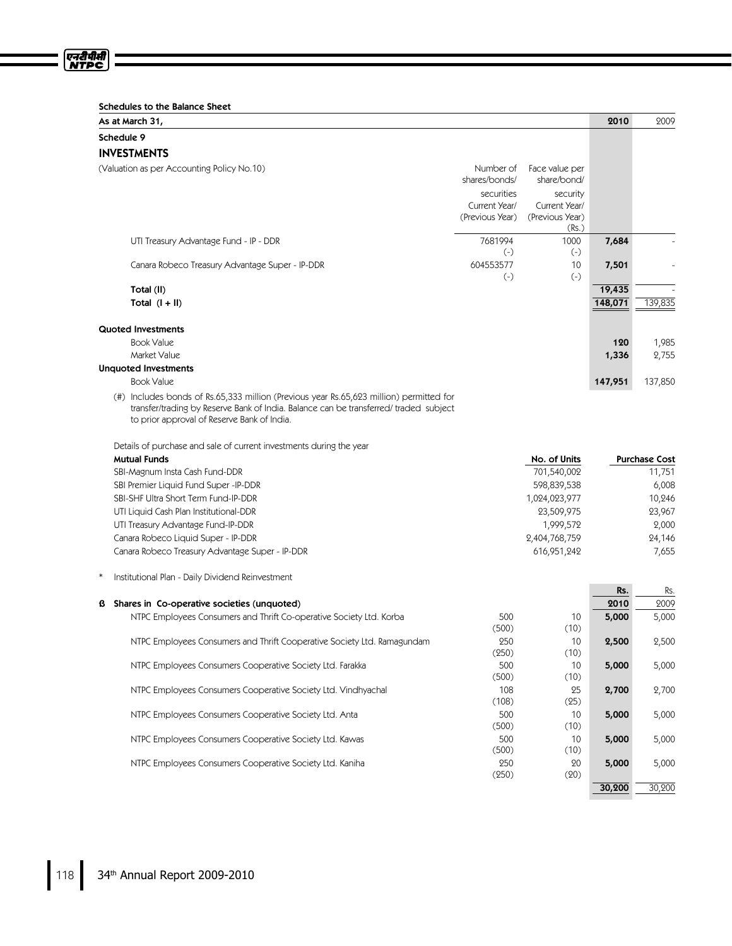एनरीपीसी<br>NTPC

| As at March 31,                                                                                                                                                                                                                |                            |                               | 2010    | 2009                 |
|--------------------------------------------------------------------------------------------------------------------------------------------------------------------------------------------------------------------------------|----------------------------|-------------------------------|---------|----------------------|
| Schedule 9                                                                                                                                                                                                                     |                            |                               |         |                      |
| <b>INVESTMENTS</b>                                                                                                                                                                                                             |                            |                               |         |                      |
| (Valuation as per Accounting Policy No.10)                                                                                                                                                                                     | Number of<br>shares/bonds/ | Face value per<br>share/bond/ |         |                      |
|                                                                                                                                                                                                                                | securities                 | security                      |         |                      |
|                                                                                                                                                                                                                                | Current Year/              | Current Year/                 |         |                      |
|                                                                                                                                                                                                                                | (Previous Year)            | (Previous Year)<br>(Rs.)      |         |                      |
| UTI Treasury Advantage Fund - IP - DDR                                                                                                                                                                                         | 7681994                    | 1000                          | 7,684   |                      |
|                                                                                                                                                                                                                                | $(-)$                      | $(-)$                         |         |                      |
| Canara Robeco Treasury Advantage Super - IP-DDR                                                                                                                                                                                | 604553577                  | 10                            | 7,501   |                      |
|                                                                                                                                                                                                                                | $(-)$                      | $(-)$                         | 19,435  |                      |
| Total (II)<br>Total $(I + II)$                                                                                                                                                                                                 |                            |                               | 148,071 | 139,835              |
|                                                                                                                                                                                                                                |                            |                               |         |                      |
| <b>Quoted Investments</b>                                                                                                                                                                                                      |                            |                               |         |                      |
| <b>Book Value</b>                                                                                                                                                                                                              |                            |                               | 120     | 1,985                |
| Market Value                                                                                                                                                                                                                   |                            |                               | 1,336   | 2,755                |
| <b>Unquoted Investments</b>                                                                                                                                                                                                    |                            |                               |         |                      |
| <b>Book Value</b>                                                                                                                                                                                                              |                            |                               | 147,951 | 137,850              |
| (#) Includes bonds of Rs.65,333 million (Previous year Rs.65,623 million) permitted for<br>transfer/trading by Reserve Bank of India. Balance can be transferred/traded subject<br>to prior approval of Reserve Bank of India. |                            |                               |         |                      |
| Details of purchase and sale of current investments during the year                                                                                                                                                            |                            |                               |         |                      |
| <b>Mutual Funds</b>                                                                                                                                                                                                            |                            | No. of Units                  |         | <b>Purchase Cost</b> |
| SBI-Magnum Insta Cash Fund-DDR                                                                                                                                                                                                 |                            | 701,540,002                   |         | 11,751               |
| SBI Premier Liquid Fund Super -IP-DDR                                                                                                                                                                                          |                            | 598,839,538                   |         | 6,008                |
| SBI-SHF Ultra Short Term Fund-IP-DDR<br>UTI Liquid Cash Plan Institutional-DDR                                                                                                                                                 |                            | 1,024,023,977<br>23,509,975   |         | 10,246<br>23,967     |
| UTI Treasury Advantage Fund-IP-DDR                                                                                                                                                                                             |                            | 1,999,572                     |         | 2,000                |
| Canara Robeco Liquid Super - IP-DDR                                                                                                                                                                                            |                            | 2,404,768,759                 |         | 24,146               |
| Canara Robeco Treasury Advantage Super - IP-DDR                                                                                                                                                                                |                            | 616,951,242                   |         | 7,655                |
| Institutional Plan - Daily Dividend Reinvestment                                                                                                                                                                               |                            |                               |         |                      |
|                                                                                                                                                                                                                                |                            |                               | Rs.     | Rs.                  |
| Shares in Co-operative societies (unquoted)<br>ß                                                                                                                                                                               |                            |                               | 2010    | 2009                 |
| NTPC Employees Consumers and Thrift Co-operative Society Ltd. Korba                                                                                                                                                            | 500<br>(500)               | 10<br>(10)                    | 5,000   | 5,000                |
| NTPC Employees Consumers and Thrift Cooperative Society Ltd. Ramagundam                                                                                                                                                        | 250<br>(250)               | 10<br>(10)                    | 2,500   | 2,500                |
| NTPC Employees Consumers Cooperative Society Ltd. Farakka                                                                                                                                                                      | 500<br>(500)               | $10$<br>(10)                  | 5,000   | 5,000                |
| NTPC Employees Consumers Cooperative Society Ltd. Vindhyachal                                                                                                                                                                  | 108<br>(108)               | 25                            | 2,700   | 2,700                |
| NTPC Employees Consumers Cooperative Society Ltd. Anta                                                                                                                                                                         | 500                        | (25)<br>10                    | 5,000   | 5,000                |
| NTPC Employees Consumers Cooperative Society Ltd. Kawas                                                                                                                                                                        | (500)<br>500               | (10)<br>10                    | 5,000   | 5,000                |
|                                                                                                                                                                                                                                | (500)                      | (10)                          |         |                      |
| NTPC Employees Consumers Cooperative Society Ltd. Kaniha                                                                                                                                                                       | 250                        | 20                            | 5,000   | 5,000                |

(250)

(20)

30,200 30,200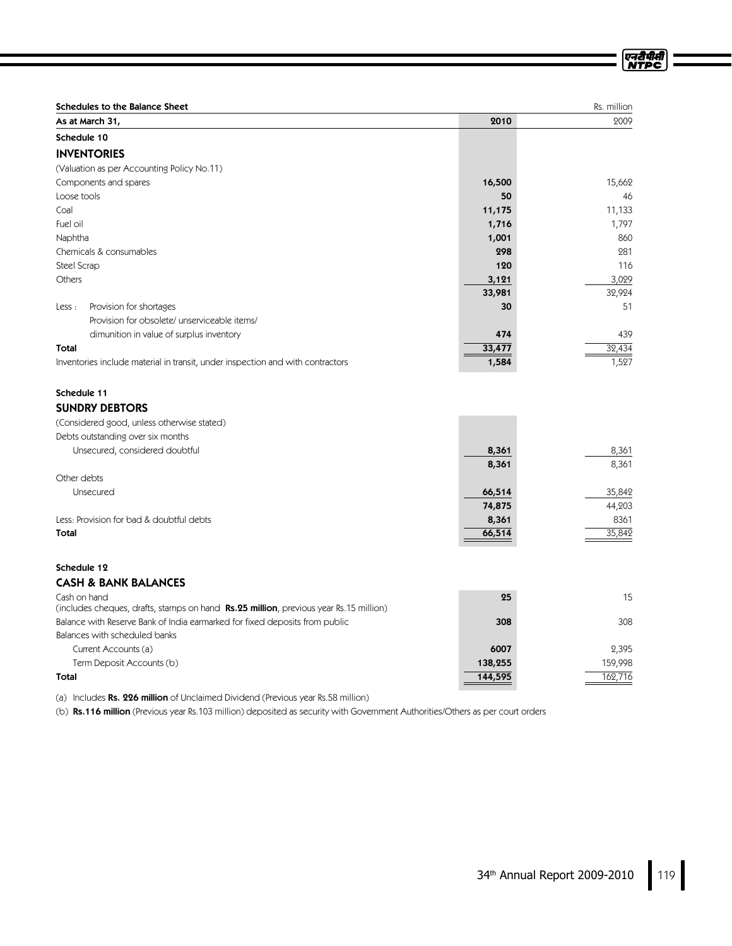| <b>Schedules to the Balance Sheet</b>                                          |        | Rs. million |
|--------------------------------------------------------------------------------|--------|-------------|
| As at March 31,                                                                | 2010   | 2009        |
| Schedule 10                                                                    |        |             |
| <b>INVENTORIES</b>                                                             |        |             |
| (Valuation as per Accounting Policy No.11)                                     |        |             |
| Components and spares                                                          | 16,500 | 15,662      |
| Loose tools                                                                    | 50     | 46          |
| Coal                                                                           | 11,175 | 11,133      |
| Fuel oil                                                                       | 1,716  | 1,797       |
| Naphtha                                                                        | 1,001  | 860         |
| Chemicals & consumables                                                        | 298    | 281         |
| Steel Scrap                                                                    | 120    | 116         |
| Others                                                                         | 3,121  | 3,029       |
|                                                                                | 33,981 | 32,924      |
| Provision for shortages<br>Less :                                              | 30     | 51          |
| Provision for obsolete/ unserviceable items/                                   |        |             |
| dimunition in value of surplus inventory                                       | 474    | 439         |
| Total                                                                          | 33,477 | 32,434      |
| Inventories include material in transit, under inspection and with contractors | 1,584  | 1,527       |

### Schedule 11 SUNDRY DEBTORS

| (Considered good, unless otherwise stated) |        |        |
|--------------------------------------------|--------|--------|
| Debts outstanding over six months          |        |        |
| Unsecured, considered doubtful             | 8,361  | 8,361  |
|                                            | 8,361  | 8,361  |
| Other debts                                |        |        |
| Unsecured                                  | 66,514 | 35,842 |
|                                            | 74,875 | 44,203 |
| Less: Provision for bad & doubtful debts   | 8,361  | 8361   |
| <b>Total</b>                               | 66,514 | 35,842 |

# Schedule 12

## **CASH & BANK BALANCES**

| Cash on hand<br>(includes cheques, drafts, stamps on hand <b>Rs.25 million</b> , previous year Rs.15 million) | 25      | 15      |
|---------------------------------------------------------------------------------------------------------------|---------|---------|
| Balance with Reserve Bank of India earmarked for fixed deposits from public                                   | 308     | 308     |
| Balances with scheduled banks                                                                                 |         |         |
| Current Accounts (a)                                                                                          | 6007    | 2.395   |
| Term Deposit Accounts (b)                                                                                     | 138,255 | 159,998 |
| Total                                                                                                         | 144,595 | 162,716 |

(a) Includes Rs. 226 million of Unclaimed Dividend (Previous year Rs.58 million)

(b) Rs.116 million (Previous year Rs.103 million) deposited as security with Government Authorities/Others as per court orders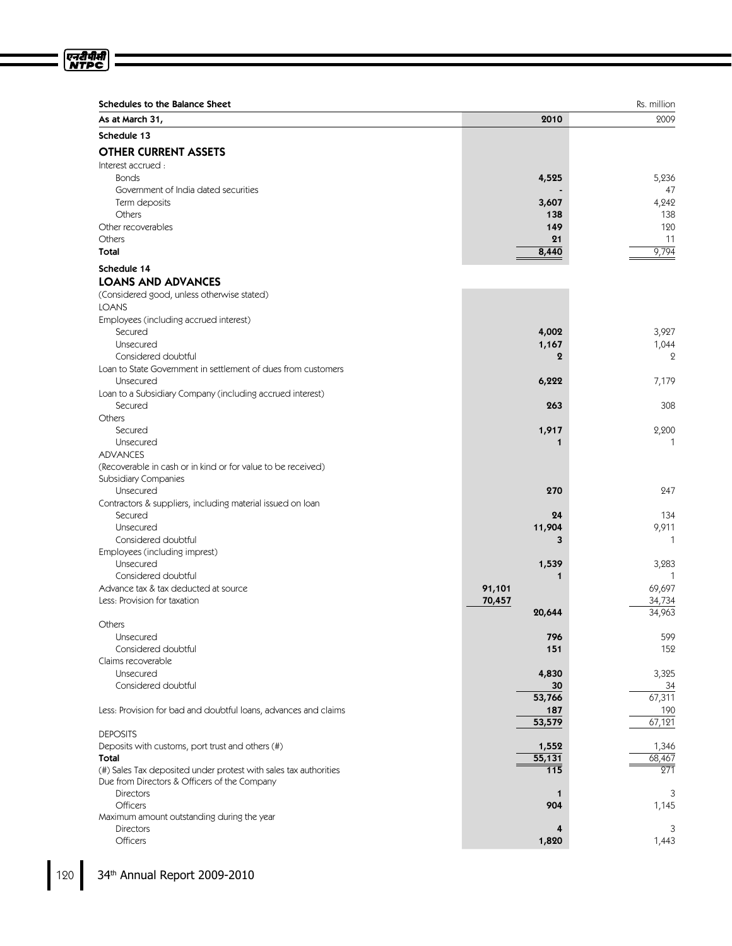| Schedules to the Balance Sheet                                        | 2010             | Rs. million<br>2009 |
|-----------------------------------------------------------------------|------------------|---------------------|
| As at March 31,                                                       |                  |                     |
| Schedule 13                                                           |                  |                     |
| <b>OTHER CURRENT ASSETS</b>                                           |                  |                     |
| Interest accrued:                                                     |                  |                     |
| <b>Bonds</b>                                                          | 4,525            | 5,236               |
| Government of India dated securities                                  |                  | 47                  |
| Term deposits                                                         | 3,607            | 4,242               |
| Others                                                                | 138              | 138                 |
| Other recoverables                                                    | 149              | 120                 |
| Others<br>Total                                                       | 21               | 11<br>9,794         |
|                                                                       | 8,440            |                     |
| Schedule 14                                                           |                  |                     |
| <b>LOANS AND ADVANCES</b>                                             |                  |                     |
| (Considered good, unless otherwise stated)                            |                  |                     |
| <b>LOANS</b>                                                          |                  |                     |
| Employees (including accrued interest)                                |                  |                     |
| Secured                                                               | 4,002            | 3,927               |
| Unsecured                                                             | 1,167            | 1,044               |
| Considered doubtful                                                   | $\boldsymbol{2}$ | $\mathbf{Q}$        |
| Loan to State Government in settlement of dues from customers         |                  |                     |
| Unsecured                                                             | 6,222            | 7,179               |
| Loan to a Subsidiary Company (including accrued interest)             |                  |                     |
| Secured                                                               | 263              | 308                 |
| Others                                                                |                  |                     |
| Secured                                                               | 1,917            | 2,200               |
| Unsecured                                                             | 1                | $\mathbf{1}$        |
| <b>ADVANCES</b>                                                       |                  |                     |
| (Recoverable in cash or in kind or for value to be received)          |                  |                     |
| Subsidiary Companies                                                  |                  |                     |
| Unsecured                                                             | 270              | 247                 |
| Contractors & suppliers, including material issued on loan<br>Secured | 24               |                     |
| Unsecured                                                             | 11,904           | 134<br>9,911        |
| Considered doubtful                                                   | 3                | $\mathbf{1}$        |
|                                                                       |                  |                     |
| Employees (including imprest)<br>Unsecured                            | 1,539            | 3,283               |
| Considered doubtful                                                   |                  | $\mathbf{1}$        |
| Advance tax & tax deducted at source                                  | 91,101           | 69,697              |
| Less: Provision for taxation                                          | 70,457           | 34,734              |
|                                                                       | 20,644           | 34,963              |
| Others                                                                |                  |                     |
| Unsecured                                                             | 796              | 599                 |
| Considered doubtful                                                   | 151              | 152                 |
| Claims recoverable                                                    |                  |                     |
| Unsecured                                                             | 4,830            | 3,325               |
| Considered doubtful                                                   | 30               | 34                  |
|                                                                       | 53,766           | 67,311              |
| Less: Provision for bad and doubtful loans, advances and claims       | 187              | 190                 |
|                                                                       | 53,579           | 67,121              |
| <b>DEPOSITS</b>                                                       |                  |                     |
| Deposits with customs, port trust and others (#)                      | 1,552            | 1,346               |
| Total                                                                 | 55,131           | 68,467              |
| (#) Sales Tax deposited under protest with sales tax authorities      | $\overline{115}$ | 271                 |
| Due from Directors & Officers of the Company                          |                  |                     |
| <b>Directors</b>                                                      | $\mathbf 1$      | 3                   |
| Officers                                                              | 904              | 1,145               |
| Maximum amount outstanding during the year                            |                  |                     |
| Directors                                                             | 4                | 3                   |
| Officers                                                              | 1,820            | 1,443               |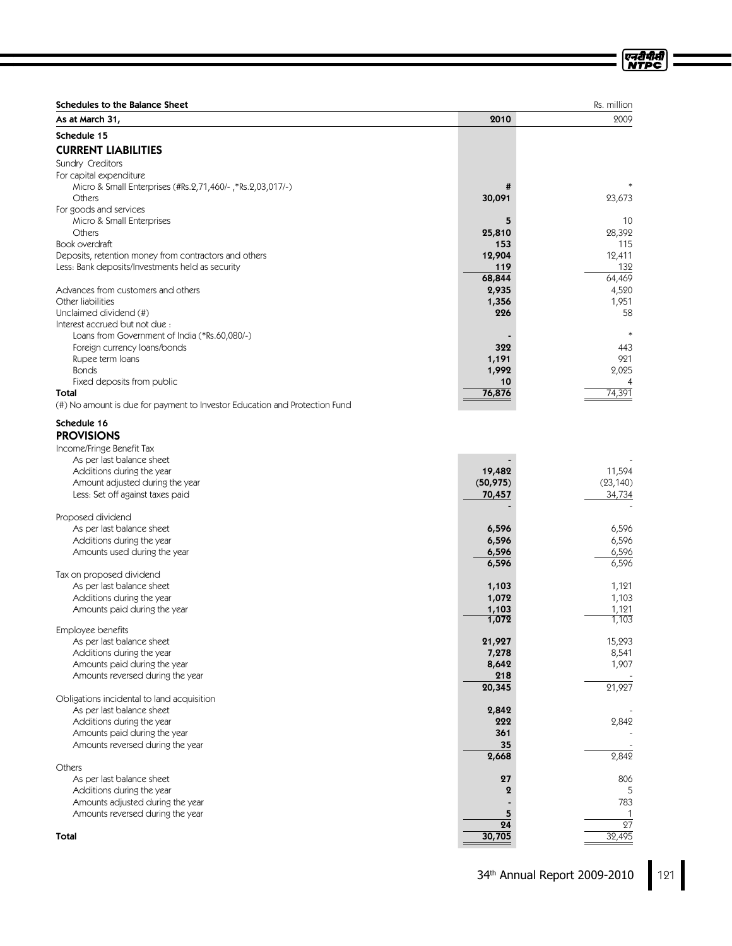| <b>Schedules to the Balance Sheet</b>                                               |                     | Rs. million               |
|-------------------------------------------------------------------------------------|---------------------|---------------------------|
| As at March 31,                                                                     | 2010                | 2009                      |
| Schedule 15                                                                         |                     |                           |
| <b>CURRENT LIABILITIES</b>                                                          |                     |                           |
| Sundry Creditors                                                                    |                     |                           |
| For capital expenditure                                                             |                     |                           |
| Micro & Small Enterprises (#Rs.2,71,460/-, *Rs.2,03,017/-)                          | #                   |                           |
| Others<br>For goods and services                                                    | 30,091              | 23,673                    |
| Micro & Small Enterprises                                                           | 5                   | 10                        |
| Others                                                                              | 25,810              | 28,392                    |
| Book overdraft                                                                      | 153                 | 115                       |
| Deposits, retention money from contractors and others                               | 12,904              | 12,411                    |
| Less: Bank deposits/Investments held as security                                    | 119                 | 132                       |
|                                                                                     | 68,844              | 64,469                    |
| Advances from customers and others<br>Other liabilities                             | 2,935<br>1,356      | 4,520<br>1,951            |
| Unclaimed dividend (#)                                                              | 226                 | 58                        |
| Interest accrued but not due :                                                      |                     |                           |
| Loans from Government of India (*Rs.60,080/-)                                       |                     | $\ast$                    |
| Foreign currency loans/bonds                                                        | 322                 | 443                       |
| Rupee term loans                                                                    | 1,191               | 921                       |
| <b>Bonds</b>                                                                        | 1,992               | 2,025                     |
| Fixed deposits from public                                                          | 10                  |                           |
| Total<br>(#) No amount is due for payment to Investor Education and Protection Fund | 76,876              | 74,391                    |
|                                                                                     |                     |                           |
| Schedule 16                                                                         |                     |                           |
| <b>PROVISIONS</b>                                                                   |                     |                           |
| Income/Fringe Benefit Tax                                                           |                     |                           |
| As per last balance sheet                                                           |                     |                           |
| Additions during the year<br>Amount adjusted during the year                        | 19,482<br>(50, 975) | 11,594<br>(23, 140)       |
| Less: Set off against taxes paid                                                    | 70,457              | 34,734                    |
|                                                                                     |                     |                           |
| Proposed dividend                                                                   |                     |                           |
| As per last balance sheet                                                           | 6,596               | 6,596                     |
| Additions during the year                                                           | 6,596               | 6,596                     |
| Amounts used during the year                                                        | 6,596               | 6,596                     |
| Tax on proposed dividend                                                            | 6,596               | 6,596                     |
| As per last balance sheet                                                           | 1,103               | 1,121                     |
| Additions during the year                                                           | 1,072               | 1,103                     |
| Amounts paid during the year                                                        | 1,103               | 1,121                     |
|                                                                                     | 1,072               | 1,103                     |
| Employee benefits                                                                   | 21,927              | 15,293                    |
| As per last balance sheet<br>Additions during the year                              | 7,278               | 8,541                     |
| Amounts paid during the year                                                        | 8,642               | 1,907                     |
| Amounts reversed during the year                                                    | 218                 |                           |
|                                                                                     | 20,345              | 21,927                    |
| Obligations incidental to land acquisition                                          |                     |                           |
| As per last balance sheet                                                           | 2,842               |                           |
| Additions during the year                                                           | 222                 | 2,842                     |
| Amounts paid during the year<br>Amounts reversed during the year                    | 361<br>35           |                           |
|                                                                                     | 2,668               | 2,842                     |
| Others                                                                              |                     |                           |
| As per last balance sheet                                                           | 27                  | 806                       |
| Additions during the year                                                           | $\boldsymbol{2}$    | 5                         |
| Amounts adjusted during the year                                                    |                     | 783                       |
| Amounts reversed during the year                                                    | 5                   |                           |
| Total                                                                               | 24<br>30,705        | $\overline{27}$<br>32,495 |
|                                                                                     |                     |                           |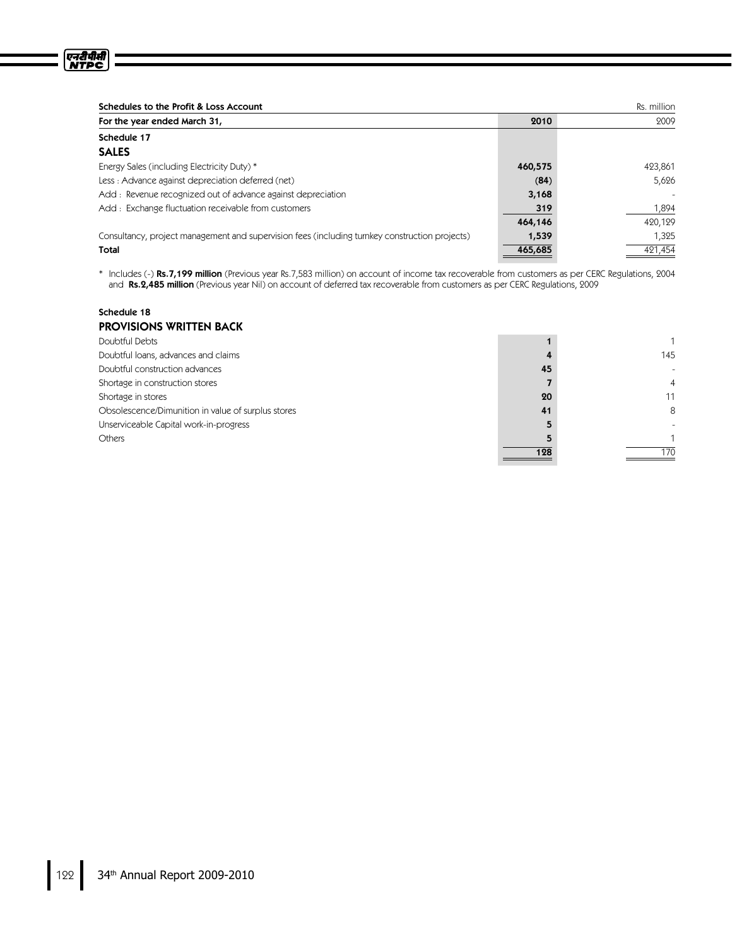| Schedules to the Profit & Loss Account                                                         |         | Rs. million |
|------------------------------------------------------------------------------------------------|---------|-------------|
| For the year ended March 31,                                                                   | 2010    | 2009        |
| Schedule 17                                                                                    |         |             |
| <b>SALES</b>                                                                                   |         |             |
| Energy Sales (including Electricity Duty) *                                                    | 460,575 | 423,861     |
| Less: Advance against depreciation deferred (net)                                              | (84)    | 5.626       |
| Add: Revenue recognized out of advance against depreciation                                    | 3,168   |             |
| Add: Exchange fluctuation receivable from customers                                            | 319     | 1,894       |
|                                                                                                | 464,146 | 420,129     |
| Consultancy, project management and supervision fees (including turnkey construction projects) | 1,539   | 1,325       |
| Total                                                                                          | 465,685 | 421,454     |

\* Includes (-) Rs.7,199 million (Previous year Rs.7,583 million) on account of income tax recoverable from customers as per CERC Regulations, 2004 and Rs.2,485 million (Previous year Nil) on account of deferred tax recoverable from customers as per CERC Regulations, 2009

### Schedule 18

| <b>PROVISIONS WRITTEN BACK</b>                     |     |     |
|----------------------------------------------------|-----|-----|
| Doubtful Debts                                     |     |     |
| Doubtful loans, advances and claims                |     | 145 |
| Doubtful construction advances                     | 45  | ۰   |
| Shortage in construction stores                    |     | 4   |
| Shortage in stores                                 | 20  | 11  |
| Obsolescence/Dimunition in value of surplus stores | 41  | 8   |
| Unserviceable Capital work-in-progress             |     |     |
| Others                                             |     | 1   |
|                                                    | 128 | 170 |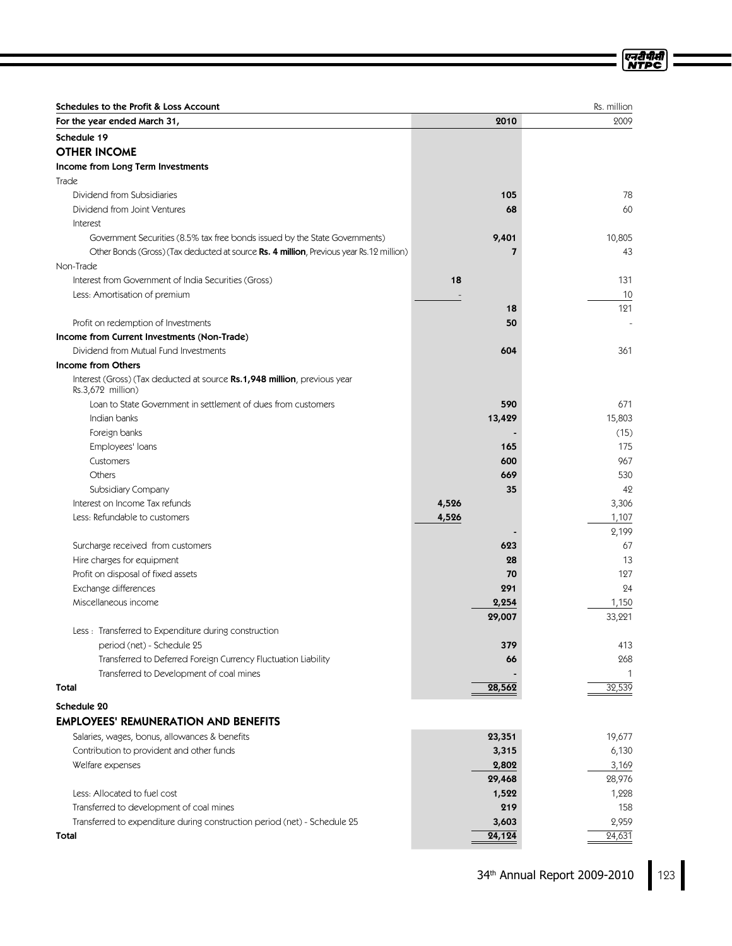| Schedules to the Profit & Loss Account                                                        |                         | Rs. million |
|-----------------------------------------------------------------------------------------------|-------------------------|-------------|
| For the year ended March 31,                                                                  | 2010                    | 2009        |
| Schedule 19                                                                                   |                         |             |
| <b>OTHER INCOME</b>                                                                           |                         |             |
| Income from Long Term Investments                                                             |                         |             |
| Trade                                                                                         |                         |             |
| Dividend from Subsidiaries                                                                    | 105                     | 78          |
| Dividend from Joint Ventures                                                                  | 68                      | 60          |
| Interest                                                                                      |                         |             |
| Government Securities (8.5% tax free bonds issued by the State Governments)                   | 9,401                   | 10,805      |
| Other Bonds (Gross) (Tax deducted at source Rs. 4 million, Previous year Rs.12 million)       | $\overline{\mathbf{z}}$ | 43          |
| Non-Trade                                                                                     |                         |             |
| Interest from Government of India Securities (Gross)                                          | 18                      | 131         |
| Less: Amortisation of premium                                                                 |                         | 10          |
|                                                                                               | 18                      | 121         |
| Profit on redemption of Investments                                                           | 50                      |             |
| Income from Current Investments (Non-Trade)                                                   |                         |             |
| Dividend from Mutual Fund Investments                                                         | 604                     | 361         |
| <b>Income from Others</b>                                                                     |                         |             |
| Interest (Gross) (Tax deducted at source Rs.1,948 million, previous year<br>Rs.3,672 million) |                         |             |
| Loan to State Government in settlement of dues from customers                                 | 590                     | 671         |
| Indian banks                                                                                  | 13,429                  | 15,803      |
| Foreign banks                                                                                 |                         | (15)        |
| Employees' loans                                                                              | 165                     | 175         |
| Customers                                                                                     | 600                     | 967         |
| Others                                                                                        | 669                     | 530         |
| Subsidiary Company                                                                            | 35                      | 42          |
| Interest on Income Tax refunds                                                                | 4,526                   | 3,306       |
| Less: Refundable to customers                                                                 | 4,526                   | 1,107       |
|                                                                                               |                         | 2,199       |
| Surcharge received from customers                                                             | 623                     | 67          |
| Hire charges for equipment                                                                    | 28                      | 13          |
| Profit on disposal of fixed assets                                                            | 70                      | 127         |
| Exchange differences                                                                          | 291                     | 24          |
| Miscellaneous income                                                                          | 2,254                   | 1,150       |
|                                                                                               | 29,007                  | 33,221      |
| Less : Transferred to Expenditure during construction                                         |                         |             |
| period (net) - Schedule 25                                                                    | 379                     | 413         |
| Transferred to Deferred Foreign Currency Fluctuation Liability                                | 66                      | 268         |
| Transferred to Development of coal mines                                                      |                         | 1           |
| Total                                                                                         | 28,562                  | 32,539      |
| Schedule 20                                                                                   |                         |             |
| <b>EMPLOYEES' REMUNERATION AND BENEFITS</b>                                                   |                         |             |
| Salaries, wages, bonus, allowances & benefits                                                 | 23,351                  | 19,677      |
| Contribution to provident and other funds                                                     | 3,315                   | 6,130       |
| Welfare expenses                                                                              | 2,802                   | 3,169       |
|                                                                                               | 29,468                  | 28,976      |
| Less: Allocated to fuel cost                                                                  | 1,522                   | 1,228       |
| Transferred to development of coal mines                                                      | 219                     | 158         |
| Transferred to expenditure during construction period (net) - Schedule 25                     | 3,603                   | 2,959       |
| Total                                                                                         | 24,124                  | 24,631      |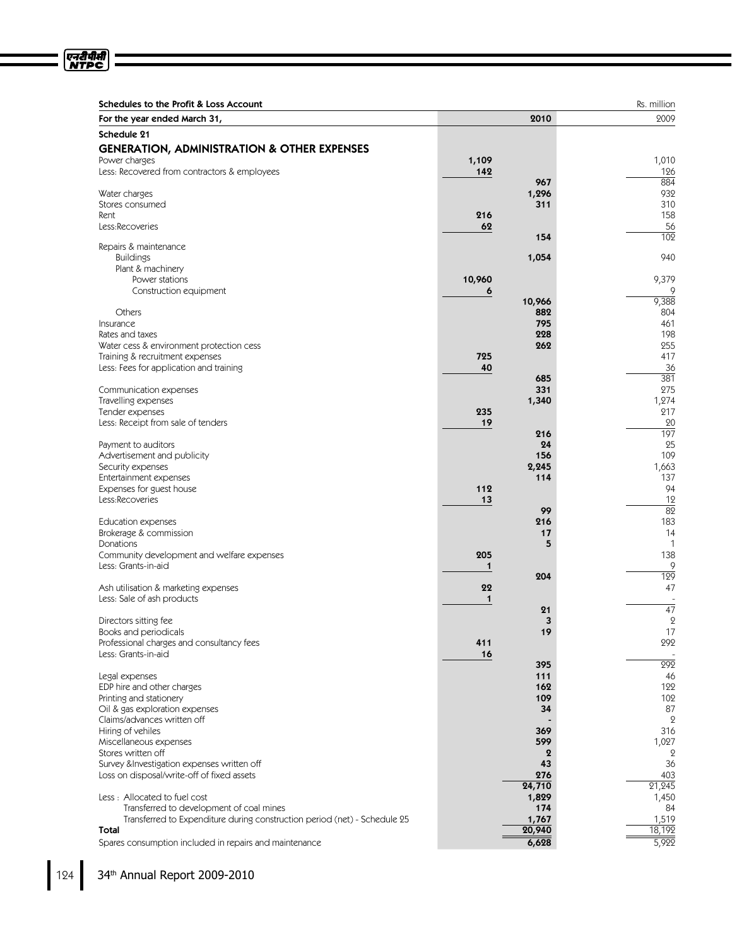| For the year ended March 31,                                                       |             | 2010            | 2009                 |
|------------------------------------------------------------------------------------|-------------|-----------------|----------------------|
| Schedule 21                                                                        |             |                 |                      |
|                                                                                    |             |                 |                      |
| <b>GENERATION, ADMINISTRATION &amp; OTHER EXPENSES</b>                             |             |                 |                      |
| Power charges<br>Less: Recovered from contractors & employees                      | 1,109       |                 | 1,010                |
|                                                                                    | 142         |                 | 126<br>884           |
|                                                                                    |             | 967<br>1,296    | 932                  |
| Water charges<br>Stores consumed                                                   |             | 311             | 310                  |
| Rent                                                                               | 216         |                 | 158                  |
| Less:Recoveries                                                                    | 62          |                 | 56                   |
|                                                                                    |             | 154             | 102                  |
| Repairs & maintenance                                                              |             |                 |                      |
| <b>Buildings</b>                                                                   |             | 1,054           | 940                  |
| Plant & machinery                                                                  |             |                 |                      |
| Power stations                                                                     | 10,960      |                 | 9,379                |
| Construction equipment                                                             | 6           |                 | 9                    |
|                                                                                    |             | 10,966          | 9,388                |
| Others                                                                             |             | 882             | 804                  |
| Insurance                                                                          |             | 795             | 461                  |
| Rates and taxes                                                                    |             | 228             | 198                  |
| Water cess & environment protection cess                                           |             | 262             | 255                  |
| Training & recruitment expenses                                                    | 725         |                 | 417                  |
| Less: Fees for application and training                                            | 40          |                 | 36                   |
|                                                                                    |             | 685             | 381                  |
| Communication expenses                                                             |             | 331             | 275                  |
| Travelling expenses                                                                |             | 1,340           | 1,274                |
| Tender expenses                                                                    | 235         |                 | 217                  |
| Less: Receipt from sale of tenders                                                 | 19          |                 | 20<br>197            |
|                                                                                    |             | 216<br>24       | 25                   |
| Payment to auditors<br>Advertisement and publicity                                 |             | 156             | 109                  |
| Security expenses                                                                  |             | 2,245           | 1,663                |
| Entertainment expenses                                                             |             | 114             | 137                  |
| Expenses for guest house                                                           | 112         |                 | 94                   |
| Less:Recoveries                                                                    | 13          |                 | 12                   |
|                                                                                    |             | 99              | $\overline{82}$      |
| <b>Education expenses</b>                                                          |             | 216             | 183                  |
| Brokerage & commission                                                             |             | 17              | 14                   |
| Donations                                                                          |             | 5               | $\mathbf{1}$         |
| Community development and welfare expenses                                         | 205         |                 | 138                  |
| Less: Grants-in-aid                                                                | 1           |                 | 9                    |
|                                                                                    |             | 204             | 129                  |
| Ash utilisation & marketing expenses                                               | 22          |                 | 47                   |
| Less: Sale of ash products                                                         | $\mathbf 1$ |                 |                      |
|                                                                                    |             | 21              | 47                   |
| Directors sitting fee                                                              |             | 3               | $\mathbf{Q}$         |
| Books and periodicals                                                              |             | 19              | 17                   |
| Professional charges and consultancy fees                                          | 411         |                 | 292                  |
| Less: Grants-in-aid                                                                | 16          |                 |                      |
|                                                                                    |             | 395             | $\overline{292}$     |
| Legal expenses                                                                     |             | 111             | 46                   |
| EDP hire and other charges                                                         |             | 162             | 122                  |
| Printing and stationery                                                            |             | 109             | 102                  |
| Oil & gas exploration expenses                                                     |             | 34              | 87                   |
| Claims/advances written off                                                        |             |                 | $\overline{2}$       |
| Hiring of vehiles                                                                  |             | 369             | 316                  |
| Miscellaneous expenses<br>Stores written off                                       |             | 599             | 1,027                |
| Survey &Investigation expenses written off                                         |             | $\bf{2}$<br>43  | $\overline{2}$<br>36 |
| Loss on disposal/write-off of fixed assets                                         |             | 276             | 403                  |
|                                                                                    |             | 24,710          | 21,245               |
| Less: Allocated to fuel cost                                                       |             | 1,829           | 1,450                |
|                                                                                    |             | 174             | 84                   |
|                                                                                    |             |                 |                      |
| Transferred to development of coal mines                                           |             |                 |                      |
| Transferred to Expenditure during construction period (net) - Schedule 25<br>Total |             | 1,767<br>20,940 | 1,519<br>18,192      |

124 34<sup>th</sup> Annual Report 2009-2010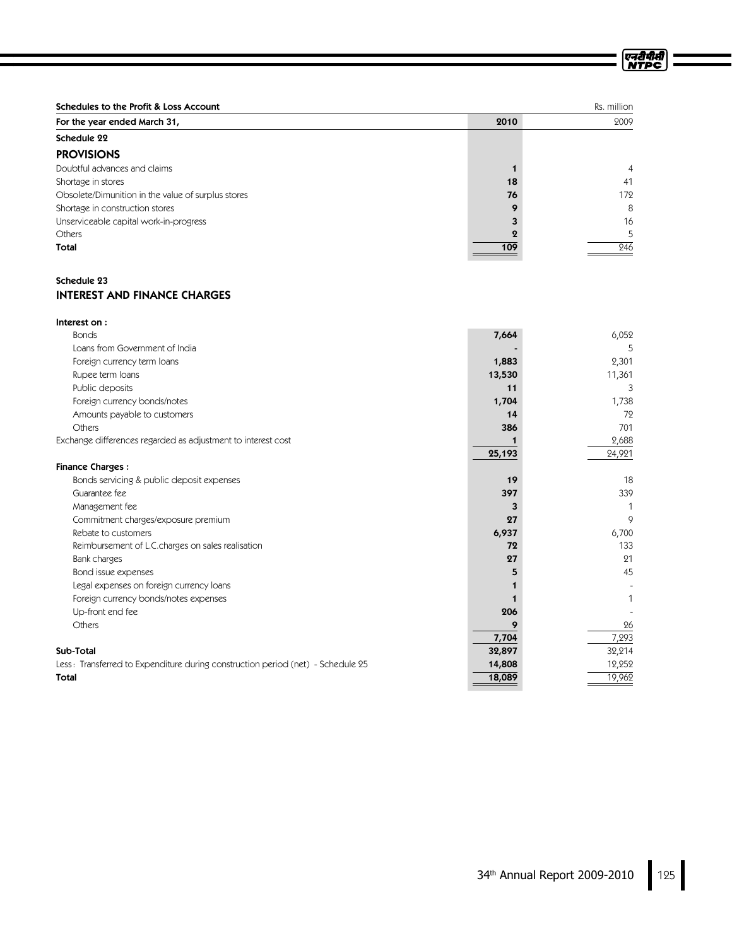| Schedules to the Profit & Loss Account             |      | Rs. million |
|----------------------------------------------------|------|-------------|
| For the year ended March 31,                       | 2010 | 2009        |
| Schedule 22                                        |      |             |
| <b>PROVISIONS</b>                                  |      |             |
| Doubtful advances and claims                       |      | 4           |
| Shortage in stores                                 | 18   | 41          |
| Obsolete/Dimunition in the value of surplus stores | 76   | 172         |
| Shortage in construction stores                    | o    | 8           |
| Unserviceable capital work-in-progress             |      | 16          |
| Others                                             | О    | 5           |
| Total                                              | 109  | 246         |

### Schedule 23 INTEREST AND FINANCE CHARGES

| Interest on:                                                                    |        |        |
|---------------------------------------------------------------------------------|--------|--------|
| <b>Bonds</b>                                                                    | 7,664  | 6,052  |
| Loans from Government of India                                                  |        | 5      |
| Foreign currency term loans                                                     | 1,883  | 2,301  |
| Rupee term loans                                                                | 13,530 | 11,361 |
| Public deposits                                                                 | 11     | 3      |
| Foreign currency bonds/notes                                                    | 1,704  | 1,738  |
| Amounts payable to customers                                                    | 14     | 72     |
| Others                                                                          | 386    | 701    |
| Exchange differences regarded as adjustment to interest cost                    |        | 2,688  |
|                                                                                 | 25,193 | 24,921 |
| <b>Finance Charges:</b>                                                         |        |        |
| Bonds servicing & public deposit expenses                                       | 19     | 18     |
| Guarantee fee                                                                   | 397    | 339    |
| Management fee                                                                  | 3      |        |
| Commitment charges/exposure premium                                             | 27     | 9      |
| Rebate to customers                                                             | 6,937  | 6,700  |
| Reimbursement of L.C.charges on sales realisation                               | 72     | 133    |
| Bank charges                                                                    | 27     | 21     |
| Bond issue expenses                                                             |        | 45     |
| Legal expenses on foreign currency loans                                        |        |        |
| Foreign currency bonds/notes expenses                                           |        |        |
| Up-front end fee                                                                | 206    |        |
| Others                                                                          |        | 26     |
|                                                                                 | 7,704  | 7,293  |
| Sub-Total                                                                       | 32,897 | 32,214 |
| Less: Transferred to Expenditure during construction period (net) - Schedule 25 | 14,808 | 12,252 |
| Total                                                                           | 18,089 | 19,962 |
|                                                                                 |        |        |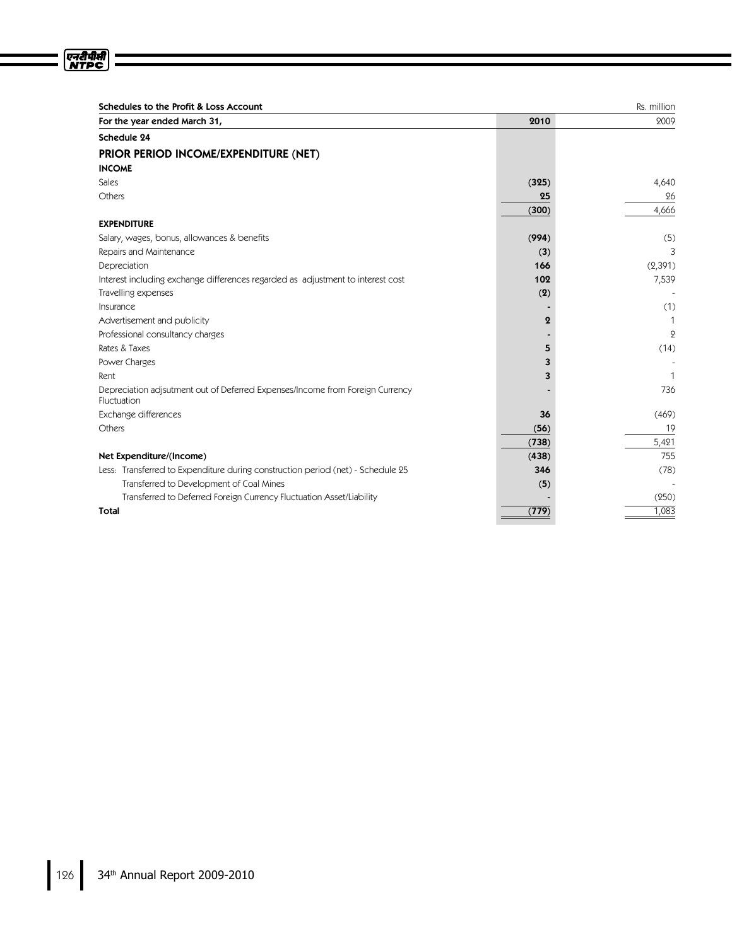| Schedules to the Profit & Loss Account                                                       |                  | Rs. million    |
|----------------------------------------------------------------------------------------------|------------------|----------------|
| For the year ended March 31,                                                                 | 2010             | 2009           |
| Schedule 24                                                                                  |                  |                |
| PRIOR PERIOD INCOME/EXPENDITURE (NET)                                                        |                  |                |
| <b>INCOME</b>                                                                                |                  |                |
| <b>Sales</b>                                                                                 | (325)            | 4,640          |
| Others                                                                                       | 25               | 26             |
|                                                                                              | (300)            | 4,666          |
| <b>EXPENDITURE</b>                                                                           |                  |                |
| Salary, wages, bonus, allowances & benefits                                                  | (994)            | (5)            |
| Repairs and Maintenance                                                                      | (3)              | 3              |
| Depreciation                                                                                 | 166              | (2,391)        |
| Interest including exchange differences regarded as adjustment to interest cost              | 102              | 7,539          |
| Travelling expenses                                                                          | (2)              |                |
| Insurance                                                                                    |                  | (1)            |
| Advertisement and publicity                                                                  | $\boldsymbol{2}$ | $\mathbf 1$    |
| Professional consultancy charges                                                             |                  | $\overline{Q}$ |
| Rates & Taxes                                                                                | 5                | (14)           |
| Power Charges                                                                                | 3                |                |
| Rent                                                                                         | 3                | $\mathbf{1}$   |
| Depreciation adjsutment out of Deferred Expenses/Income from Foreign Currency<br>Fluctuation |                  | 736            |
| Exchange differences                                                                         | 36               | (469)          |
| Others                                                                                       | (56)             | 19             |
|                                                                                              | (738)            | 5,421          |
| Net Expenditure/(Income)                                                                     | (438)            | 755            |
| Less: Transferred to Expenditure during construction period (net) - Schedule 25              | 346              | (78)           |
| Transferred to Development of Coal Mines                                                     | (5)              |                |
| Transferred to Deferred Foreign Currency Fluctuation Asset/Liability                         |                  | (250)          |
| Total                                                                                        | (779)            | 1,083          |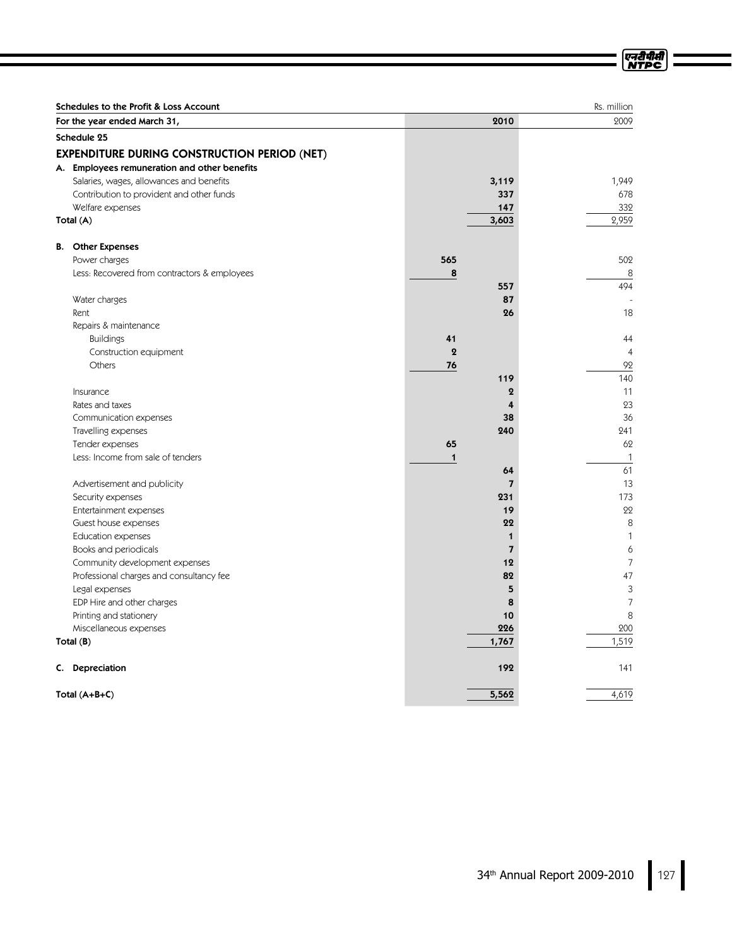|    | Schedules to the Profit & Loss Account              |                  |                         | Rs. million    |
|----|-----------------------------------------------------|------------------|-------------------------|----------------|
|    | For the year ended March 31,                        |                  | 2010                    | 2009           |
|    | Schedule 25                                         |                  |                         |                |
|    | <b>EXPENDITURE DURING CONSTRUCTION PERIOD (NET)</b> |                  |                         |                |
|    | A. Employees remuneration and other benefits        |                  |                         |                |
|    | Salaries, wages, allowances and benefits            |                  | 3,119                   | 1,949          |
|    | Contribution to provident and other funds           |                  | 337                     | 678            |
|    | Welfare expenses                                    |                  | 147                     | 332            |
|    | Total (A)                                           |                  | 3,603                   | 2,959          |
| В. | <b>Other Expenses</b>                               |                  |                         |                |
|    | Power charges                                       | 565              |                         | 502            |
|    | Less: Recovered from contractors & employees        | 8                |                         | 8              |
|    |                                                     |                  | 557                     | 494            |
|    | Water charges                                       |                  | 87                      |                |
|    | Rent                                                |                  | 26                      | 18             |
|    | Repairs & maintenance                               |                  |                         |                |
|    | <b>Buildings</b>                                    | 41               |                         | 44             |
|    | Construction equipment                              | $\boldsymbol{2}$ |                         | $\overline{4}$ |
|    | Others                                              | 76               |                         | 92             |
|    |                                                     |                  | 119                     | 140            |
|    | Insurance                                           |                  | $\mathbf 2$             | 11             |
|    | Rates and taxes                                     |                  | 4                       | 23             |
|    | Communication expenses                              |                  | 38                      | 36             |
|    | Travelling expenses                                 |                  | 240                     | 241            |
|    | Tender expenses                                     | 65               |                         | 62             |
|    | Less: Income from sale of tenders                   | $\mathbf{1}$     |                         | $\mathbf{1}$   |
|    |                                                     |                  | 64                      | 61             |
|    | Advertisement and publicity                         |                  | $\overline{7}$          | 13             |
|    | Security expenses                                   |                  | 231                     | 173            |
|    | Entertainment expenses                              |                  | 19                      | 22             |
|    | Guest house expenses                                |                  | 22                      | 8              |
|    | <b>Education expenses</b>                           |                  | 1                       | $\mathbf{1}$   |
|    | Books and periodicals                               |                  | $\overline{\mathbf{z}}$ | 6              |
|    | Community development expenses                      |                  | 12                      | $\overline{7}$ |
|    | Professional charges and consultancy fee            |                  | 82                      | 47             |
|    | Legal expenses                                      |                  | 5                       | 3              |
|    | EDP Hire and other charges                          |                  | 8                       | $\overline{7}$ |
|    | Printing and stationery                             |                  | 10                      | 8              |
|    | Miscellaneous expenses                              |                  | 226                     | 200            |
|    | Total (B)                                           |                  | 1,767                   | 1,519          |
|    |                                                     |                  |                         |                |
|    | C. Depreciation                                     |                  | 192                     | 141            |
|    | Total $(A+B+C)$                                     |                  | 5,562                   | 4,619          |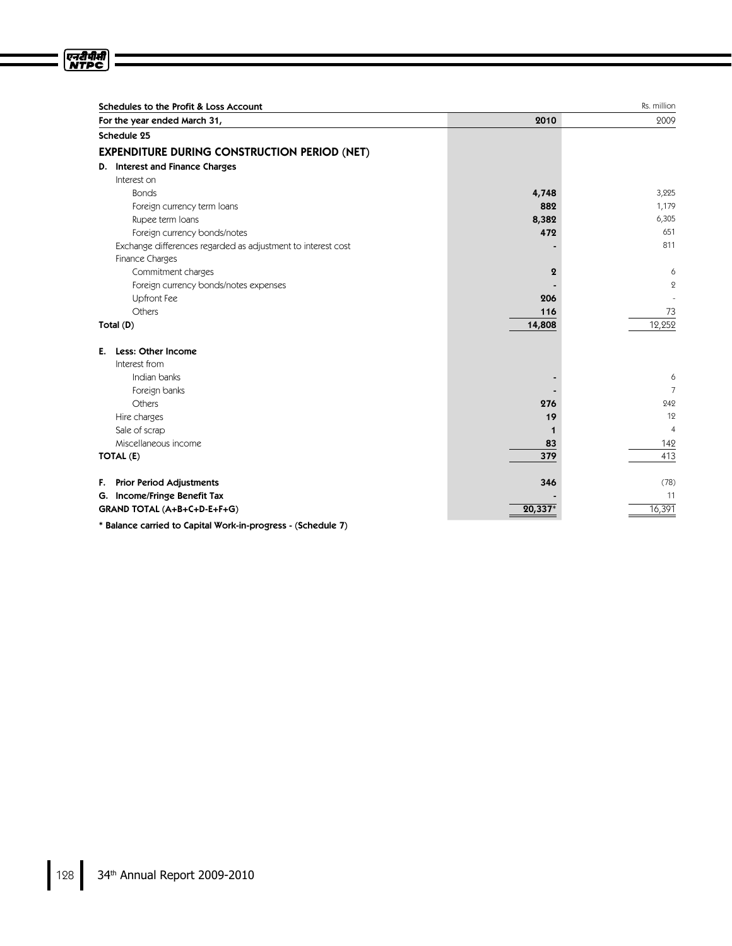| For the year ended March 31,                                 | 2010             | 2009           |
|--------------------------------------------------------------|------------------|----------------|
| Schedule 25                                                  |                  |                |
| <b>EXPENDITURE DURING CONSTRUCTION PERIOD (NET)</b>          |                  |                |
| D. Interest and Finance Charges                              |                  |                |
| Interest on                                                  |                  |                |
| <b>Bonds</b>                                                 | 4,748            | 3,225          |
| Foreign currency term loans                                  | 882              | 1,179          |
| Rupee term loans                                             | 8,382            | 6,305          |
| Foreign currency bonds/notes                                 | 472              | 651            |
| Exchange differences regarded as adjustment to interest cost |                  | 811            |
| Finance Charges                                              |                  |                |
| Commitment charges                                           | $\boldsymbol{2}$ | 6              |
| Foreign currency bonds/notes expenses                        |                  | $\mathbf{Q}$   |
| Upfront Fee                                                  | 206              |                |
| Others                                                       | 116              | 73             |
| Total (D)                                                    | 14,808           | 12,252         |
| Less: Other Income<br>Е.                                     |                  |                |
| Interest from                                                |                  |                |
| Indian banks                                                 |                  | 6              |
| Foreign banks                                                |                  | $\overline{7}$ |
| Others                                                       | 276              | 242            |
| Hire charges                                                 | 19               | 12             |
| Sale of scrap                                                | 1                | $\overline{4}$ |
| Miscellaneous income                                         | 83               | 142            |
| TOTAL (E)                                                    | 379              | 413            |
| <b>Prior Period Adjustments</b><br>F.                        | 346              | (78)           |
| G. Income/Fringe Benefit Tax                                 |                  | 11             |
| GRAND TOTAL (A+B+C+D-E+F+G)                                  | $20,337*$        | 16,391         |

\* Balance carried to Capital Work-in-progress - (Schedule 7)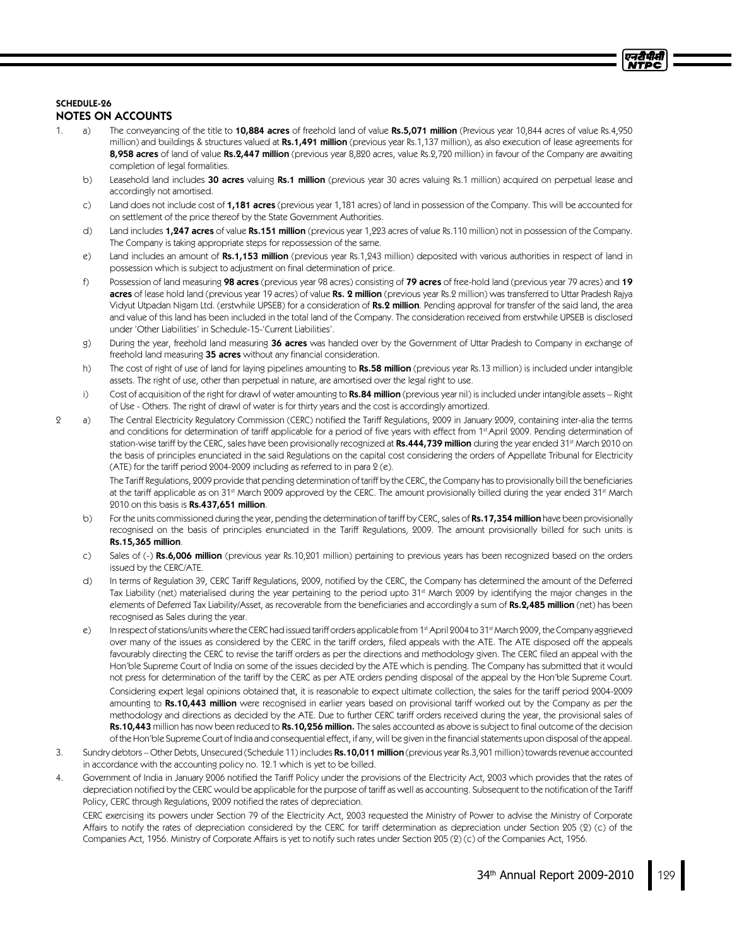# एनदीपीर्स

# SCHEDULE-26

### NOTES ON ACCOUNTS

- 1. a) The conveyancing of the title to 10,884 acres of freehold land of value Rs.5,071 million (Previous year 10,844 acres of value Rs.4,950 million) and buildings & structures valued at Rs.1,491 million (previous year Rs.1,137 million), as also execution of lease agreements for 8,958 acres of land of value Rs.2,447 million (previous year 8,820 acres, value Rs.2,720 million) in favour of the Company are awaiting completion of legal formalities.
	- b) Leasehold land includes 30 acres valuing Rs.1 million (previous year 30 acres valuing Rs.1 million) acquired on perpetual lease and accordingly not amortised.
	- c) Land does not include cost of 1,181 acres (previous year 1,181 acres) of land in possession of the Company. This will be accounted for on settlement of the price thereof by the State Government Authorities.
	- d) Land includes 1,247 acres of value Rs.151 million (previous year 1,223 acres of value Rs.110 million) not in possession of the Company. The Company is taking appropriate steps for repossession of the same.
	- e) Land includes an amount of Rs.1,153 million (previous year Rs.1,243 million) deposited with various authorities in respect of land in possession which is subject to adjustment on final determination of price.
	- f) Possession of land measuring 98 acres (previous year 98 acres) consisting of 79 acres of free-hold land (previous year 79 acres) and 19 acres of lease hold land (previous year 19 acres) of value Rs. 2 million (previous year Rs.2 million) was transferred to Uttar Pradesh Rajya Vidyut Utpadan Nigam Ltd. (erstwhile UPSEB) for a consideration of **Rs.2 million**. Pending approval for transfer of the said land, the area and value of this land has been included in the total land of the Company. The consideration received from erstwhile UPSEB is disclosed under 'Other Liabilities' in Schedule-15-'Current Liabilities'.
	- g) During the year, freehold land measuring 36 acres was handed over by the Government of Uttar Pradesh to Company in exchange of freehold land measuring 35 acres without any financial consideration.
	- h) The cost of right of use of land for laying pipelines amounting to Rs.58 million (previous year Rs.13 million) is included under intangible assets. The right of use, other than perpetual in nature, are amortised over the legal right to use.
	- i) Cost of acquisition of the right for drawl of water amounting to Rs.84 million (previous year nil) is included under intangible assets Right of Use - Others. The right of drawl of water is for thirty years and the cost is accordingly amortized.
- 2 a) The Central Electricity Regulatory Commission (CERC) notified the Tariff Regulations, 2009 in January 2009, containing inter-alia the terms and conditions for determination of tariff applicable for a period of five years with effect from 1\*April 2009. Pending determination of station-wise tariff by the CERC, sales have been provisionally recognized at **Rs.444,739 million** during the year ended 31<sup>st</sup> March 2010 on the basis of principles enunciated in the said Regulations on the capital cost considering the orders of Appellate Tribunal for Electricity (ATE) for the tariff period 2004-2009 including as referred to in para  $2$  (e).

The Tariff Regulations, 2009 provide that pending determination of tariff by the CERC, the Company has to provisionally bill the beneficiaries at the tariff applicable as on 31st March 2009 approved by the CERC. The amount provisionally billed during the year ended 31st March 2010 on this basis is Rs.437,651 million.

- b) For the units commissioned during the year, pending the determination of tariff by CERC, sales of Rs.17,354 million have been provisionally recognised on the basis of principles enunciated in the Tariff Regulations, 2009. The amount provisionally billed for such units is Rs.15,365 million.
- c) Sales of (-) Rs.6,006 million (previous year Rs.10,201 million) pertaining to previous years has been recognized based on the orders issued by the CERC/ATE.
- d) In terms of Regulation 39, CERC Tariff Regulations, 2009, notified by the CERC, the Company has determined the amount of the Deferred Tax Liability (net) materialised during the year pertaining to the period upto 31st March 2009 by identifying the major changes in the elements of Deferred Tax Liability/Asset, as recoverable from the beneficiaries and accordingly a sum of Rs.2,485 million (net) has been recognised as Sales during the year.
- e) In respect of stations/units where the CERC had issued tariff orders applicable from 1st April 2004 to 31st March 2009, the Company aggrieved over many of the issues as considered by the CERC in the tariff orders, filed appeals with the ATE. The ATE disposed off the appeals favourably directing the CERC to revise the tariff orders as per the directions and methodology given. The CERC filed an appeal with the Hon'ble Supreme Court of India on some of the issues decided by the ATE which is pending. The Company has submitted that it would not press for determination of the tariff by the CERC as per ATE orders pending disposal of the appeal by the Hon'ble Supreme Court. Considering expert legal opinions obtained that, it is reasonable to expect ultimate collection, the sales for the tariff period 2004-2009 amounting to Rs.10,443 million were recognised in earlier years based on provisional tariff worked out by the Company as per the methodology and directions as decided by the ATE. Due to further CERC tariff orders received during the year, the provisional sales of Rs.10,443 million has now been reduced to Rs.10,256 million. The sales accounted as above is subject to final outcome of the decision of the Hon'ble Supreme Court of India and consequential effect, if any, will be given in the financial statements upon disposal of the appeal.
- 3. Sundry debtors Other Debts, Unsecured (Schedule 11) includes Rs.10,011 million (previous year Rs.3,901 million) towards revenue accounted in accordance with the accounting policy no. 12.1 which is yet to be billed.
- 4. Government of India in January 2006 notified the Tariff Policy under the provisions of the Electricity Act, 2003 which provides that the rates of depreciation notified by the CERC would be applicable for the purpose of tariff as well as accounting. Subsequent to the notification of the Tariff Policy, CERC through Regulations, 2009 notified the rates of depreciation.

CERC exercising its powers under Section 79 of the Electricity Act, 2003 requested the Ministry of Power to advise the Ministry of Corporate Affairs to notify the rates of depreciation considered by the CERC for tariff determination as depreciation under Section 205 (2) (c) of the Companies Act, 1956. Ministry of Corporate Affairs is yet to notify such rates under Section 205 (2) (c) of the Companies Act, 1956.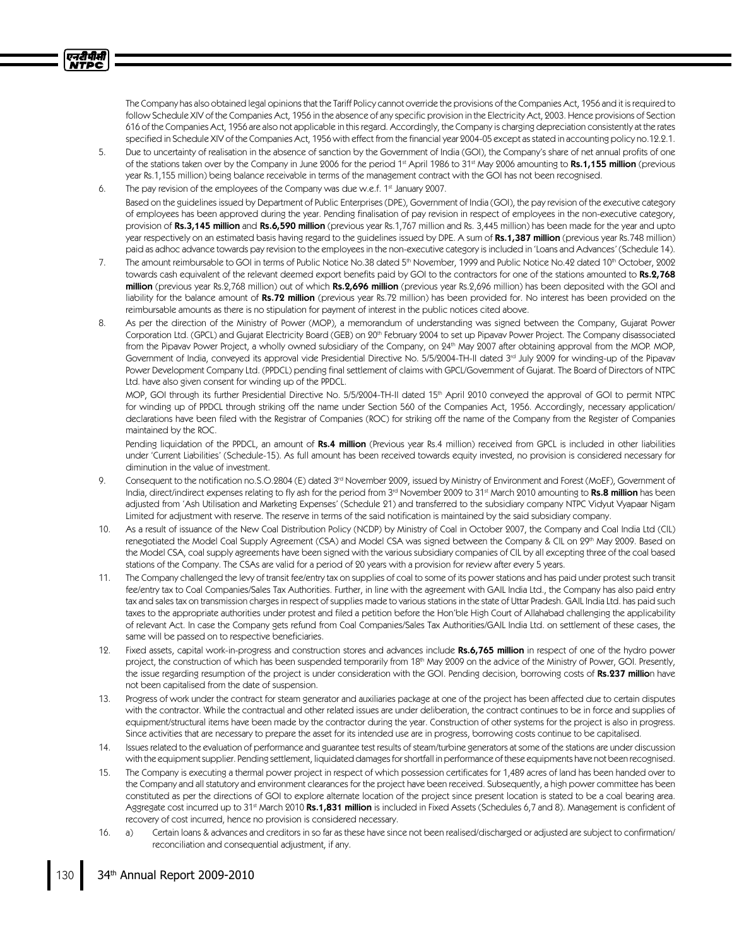The Company has also obtained legal opinions that the Tariff Policy cannot override the provisions of the Companies Act, 1956 and it is required to follow Schedule XIV of the Companies Act, 1956 in the absence of any specific provision in the Electricity Act, 2003. Hence provisions of Section 616 of the Companies Act, 1956 are also not applicable in this regard. Accordingly, the Company is charging depreciation consistently at the rates specified in Schedule XIV of the Companies Act, 1956 with effect from the financial year 2004-05 except as stated in accounting policy no.12.2.1.

- 5. Due to uncertainty of realisation in the absence of sanction by the Government of India (GOI), the Company's share of net annual profits of one of the stations taken over by the Company in June 2006 for the period 1st April 1986 to 31st May 2006 amounting to **Rs.1,155 million** (previous year Rs.1,155 million) being balance receivable in terms of the management contract with the GOI has not been recognised.
- 6. The pay revision of the employees of the Company was due w.e.f. 1st January 2007. Based on the guidelines issued by Department of Public Enterprises (DPE), Government of India (GOI), the pay revision of the executive category of employees has been approved during the year. Pending finalisation of pay revision in respect of employees in the non-executive category, provision of Rs.3,145 million and Rs.6,590 million (previous year Rs.1,767 million and Rs. 3,445 million) has been made for the year and upto year respectively on an estimated basis having regard to the guidelines issued by DPE. A sum of Rs.1,387 million (previous year Rs.748 million) paid as adhoc advance towards pay revision to the employees in the non-executive category is included in 'Loans and Advances' (Schedule 14).
- 7. The amount reimbursable to GOI in terms of Public Notice No.38 dated 5th November, 1999 and Public Notice No.42 dated 10th October, 2002 towards cash equivalent of the relevant deemed export benefits paid by GOI to the contractors for one of the stations amounted to Rs.2,768 million (previous year Rs.2,768 million) out of which Rs.2,696 million (previous year Rs.2,696 million) has been deposited with the GOI and liability for the balance amount of Rs.72 million (previous year Rs.72 million) has been provided for. No interest has been provided on the reimbursable amounts as there is no stipulation for payment of interest in the public notices cited above.
- 8. As per the direction of the Ministry of Power (MOP), a memorandum of understanding was signed between the Company, Gujarat Power Corporation Ltd. (GPCL) and Gujarat Electricity Board (GEB) on 20<sup>th</sup> February 2004 to set up Pipavav Power Project. The Company disassociated from the Pipavav Power Project, a wholly owned subsidiary of the Company, on 24th May 2007 after obtaining approval from the MOP. MOP, Government of India, conveyed its approval vide Presidential Directive No. 5/5/2004-TH-II dated 3rd July 2009 for winding-up of the Pipavav Power Development Company Ltd. (PPDCL) pending final settlement of claims with GPCL/Government of Gujarat. The Board of Directors of NTPC Ltd. have also given consent for winding up of the PPDCL.

MOP, GOI through its further Presidential Directive No. 5/5/2004-TH-II dated 15<sup>th</sup> April 2010 conveyed the approval of GOI to permit NTPC for winding up of PPDCL through striking off the name under Section 560 of the Companies Act, 1956. Accordingly, necessary application/ declarations have been filed with the Registrar of Companies (ROC) for striking off the name of the Company from the Register of Companies maintained by the ROC.

Pending liquidation of the PPDCL, an amount of Rs.4 million (Previous year Rs.4 million) received from GPCL is included in other liabilities under 'Current Liabilities' (Schedule-15). As full amount has been received towards equity invested, no provision is considered necessary for diminution in the value of investment.

- 9. Consequent to the notification no.S.O.2804 (E) dated 3<sup>rd</sup> November 2009, issued by Ministry of Environment and Forest (MoEF), Government of India, direct/indirect expenses relating to fly ash for the period from 3<sup>rd</sup> November 2009 to 31<sup>st</sup> March 2010 amounting to **Rs.8 million** has been adjusted from 'Ash Utilisation and Marketing Expenses' (Schedule 21) and transferred to the subsidiary company NTPC Vidyut Vyapaar Nigam Limited for adjustment with reserve. The reserve in terms of the said notification is maintained by the said subsidiary company.
- 10. As a result of issuance of the New Coal Distribution Policy (NCDP) by Ministry of Coal in October 2007, the Company and Coal India Ltd (CIL) renegotiated the Model Coal Supply Agreement (CSA) and Model CSA was signed between the Company & CIL on 29th May 2009. Based on the Model CSA, coal supply agreements have been signed with the various subsidiary companies of CIL by all excepting three of the coal based stations of the Company. The CSAs are valid for a period of 20 years with a provision for review after every 5 years.
- 11. The Company challenged the levy of transit fee/entry tax on supplies of coal to some of its power stations and has paid under protest such transit fee/entry tax to Coal Companies/Sales Tax Authorities. Further, in line with the agreement with GAIL India Ltd., the Company has also paid entry tax and sales tax on transmission charges in respect of supplies made to various stations in the state of Uttar Pradesh. GAIL India Ltd. has paid such taxes to the appropriate authorities under protest and filed a petition before the Hon'ble High Court of Allahabad challenging the applicability of relevant Act. In case the Company gets refund from Coal Companies/Sales Tax Authorities/GAIL India Ltd. on settlement of these cases, the same will be passed on to respective beneficiaries.
- 12. Fixed assets, capital work-in-progress and construction stores and advances include Rs.6,765 million in respect of one of the hydro power project, the construction of which has been suspended temporarily from 18<sup>th</sup> May 2009 on the advice of the Ministry of Power, GOI. Presently, the issue regarding resumption of the project is under consideration with the GOI. Pending decision, borrowing costs of Rs.237 million have not been capitalised from the date of suspension.
- 13. Progress of work under the contract for steam generator and auxiliaries package at one of the project has been affected due to certain disputes with the contractor. While the contractual and other related issues are under deliberation, the contract continues to be in force and supplies of equipment/structural items have been made by the contractor during the year. Construction of other systems for the project is also in progress. Since activities that are necessary to prepare the asset for its intended use are in progress, borrowing costs continue to be capitalised.
- 14. Issues related to the evaluation of performance and guarantee test results of steam/turbine generators at some of the stations are under discussion with the equipment supplier. Pending settlement, liquidated damages for shortfall in performance of these equipments have not been recognised.
- 15. The Company is executing a thermal power project in respect of which possession certificates for 1,489 acres of land has been handed over to the Company and all statutory and environment clearances for the project have been received. Subsequently, a high power committee has been constituted as per the directions of GOI to explore alternate location of the project since present location is stated to be a coal bearing area. Aggregate cost incurred up to 31<sup>st</sup> March 2010 **Rs.1,831 million** is included in Fixed Assets (Schedules 6,7 and 8). Management is confident of recovery of cost incurred, hence no provision is considered necessary.
- 16. a) Certain loans & advances and creditors in so far as these have since not been realised/discharged or adjusted are subject to confirmation/ reconciliation and consequential adjustment, if any.

एनरीपीसी **NTPC**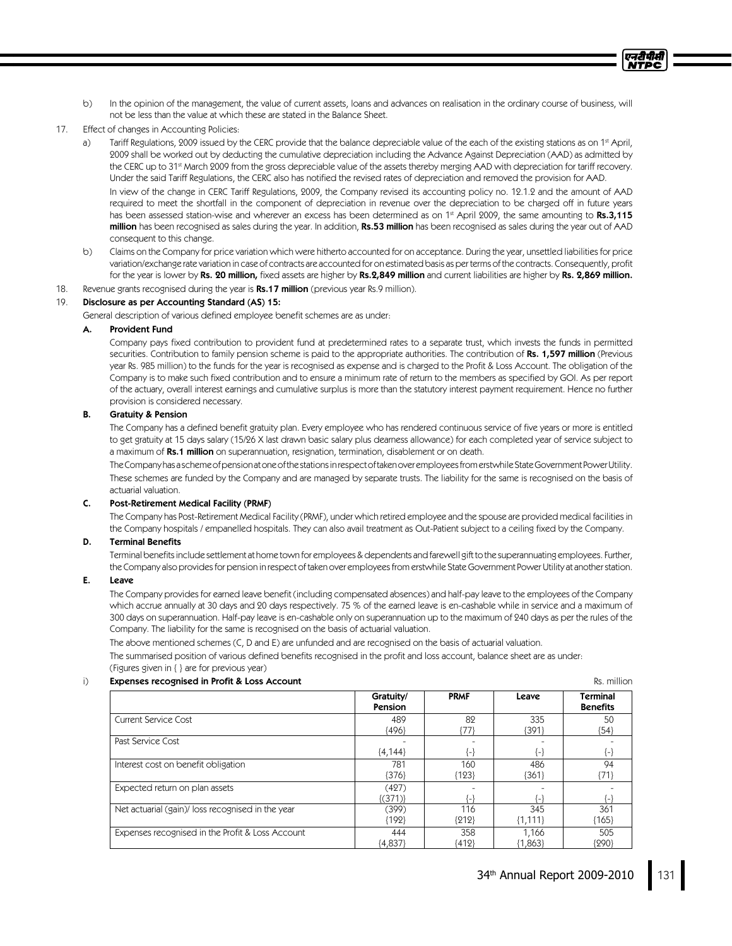- b) In the opinion of the management, the value of current assets, loans and advances on realisation in the ordinary course of business, will not be less than the value at which these are stated in the Balance Sheet.
- 17. Effect of changes in Accounting Policies:
	- a) Tariff Regulations, 2009 issued by the CERC provide that the balance depreciable value of the each of the existing stations as on 1ª April, 2009 shall be worked out by deducting the cumulative depreciation including the Advance Against Depreciation (AAD) as admitted by the CERC up to 31st March 2009 from the gross depreciable value of the assets thereby merging AAD with depreciation for tariff recovery. Under the said Tariff Regulations, the CERC also has notified the revised rates of depreciation and removed the provision for AAD. In view of the change in CERC Tariff Regulations, 2009, the Company revised its accounting policy no. 12.1.2 and the amount of AAD required to meet the shortfall in the component of depreciation in revenue over the depreciation to be charged off in future years has been assessed station-wise and wherever an excess has been determined as on 1st April 2009, the same amounting to  $\,$ Rs.3,115  $\,$ million has been recognised as sales during the year. In addition, Rs.53 million has been recognised as sales during the year out of AAD consequent to this change.
	- b) Claims on the Company for price variation which were hitherto accounted for on acceptance. During the year, unsettled liabilities for price variation/exchange rate variation in case of contracts are accounted for on estimated basis as per terms of the contracts. Consequently, profit for the year is lower by Rs. 20 million, fixed assets are higher by Rs.2,849 million and current liabilities are higher by Rs. 2,869 million.
- 18. Revenue grants recognised during the year is Rs.17 million (previous year Rs.9 million).

### 19. Disclosure as per Accounting Standard (AS) 15:

General description of various defined employee benefit schemes are as under:

### A. Provident Fund

Company pays fixed contribution to provident fund at predetermined rates to a separate trust, which invests the funds in permitted securities. Contribution to family pension scheme is paid to the appropriate authorities. The contribution of Rs. 1,597 million (Previous year Rs. 985 million) to the funds for the year is recognised as expense and is charged to the Profit & Loss Account. The obligation of the Company is to make such fixed contribution and to ensure a minimum rate of return to the members as specified by GOI. As per report of the actuary, overall interest earnings and cumulative surplus is more than the statutory interest payment requirement. Hence no further provision is considered necessary.

### B. Gratuity& Pension

The Company has a defined benefit gratuity plan. Every employee who has rendered continuous service of five years or more is entitled to get gratuity at 15 days salary (15/26 X last drawn basic salary plus dearness allowance) for each completed year of service subject to a maximum of Rs.1 million on superannuation, resignation, termination, disablement or on death.

TheCompanyhasaschemeofpensionatoneofthestationsinrespectoftakenoveremployeesfromerstwhileStateGovernmentPowerUtility. These schemes are funded by the Company and are managed by separate trusts. The liability for the same is recognised on the basis of actuarial valuation.

#### C. Post-Retirement Medical Facility(PRMF)

The Company has Post-Retirement Medical Facility (PRMF), under which retired employee and the spouse are provided medical facilities in the Company hospitals / empanelled hospitals. They can also avail treatment as Out-Patient subject to a ceiling fixed by the Company.

#### D. Terminal Benefits

Terminal benefits include settlement at home town for employees & dependents and farewell gift to the superannuating employees. Further, the Companyalso provides for pension in respect of taken over employees from erstwhile State Government Power Utility at another station.

### E. Leave

The Company provides for earned leave benefit (including compensated absences) and half-pay leave to the employees of the Company which accrue annually at 30 days and 20 days respectively. 75 % of the earned leave is en-cashable while in service and a maximum of 300 days on superannuation. Half-pay leave is en-cashable only on superannuation up to the maximum of 240 days as per the rules of the Company. The liability for the same is recognised on the basis of actuarial valuation.

The above mentioned schemes (C, D and E) are unfunded and are recognised on the basis of actuarial valuation.

The summarised position of various defined benefits recognised in the profit and loss account, balance sheet are as under: (Figures given in  $\{ \}$  are for previous year)

#### i) **Expenses recognised in Profit & Loss Account Expenses and Rs. million** Rs. million

एनटी पी.सी

|                                                  | Gratuity/<br>Pension | <b>PRMF</b> | Leave          | Terminal<br><b>Benefits</b> |
|--------------------------------------------------|----------------------|-------------|----------------|-----------------------------|
| Current Service Cost                             | 489                  | 82          | 335            | 50                          |
|                                                  | ${496}$              | {77}        | {391}          | ${54}$                      |
| Past Service Cost                                |                      |             |                |                             |
|                                                  | ${4,144}$            | {-}         | $\{\text{-}\}$ | {−}                         |
| Interest cost on benefit obligation              | 781                  | 160         | 486            | 94                          |
|                                                  | {376}                | ${123}$     | ${361}$        | ${71}$                      |
| Expected return on plan assets                   | (427)                |             |                |                             |
|                                                  | {(371)}              | ۰           | { – }          |                             |
| Net actuarial (gain)/loss recognised in the year | (399)                | 116         | 345            | 361                         |
|                                                  | {192}                | ${212}$     | ${1,111}$      | ${165}$                     |
| Expenses recognised in the Profit & Loss Account | 444                  | 358         | 1.166          | 505                         |
|                                                  | ${4,837}$            | ${412}$     | ${1,863}$      | ${990}$                     |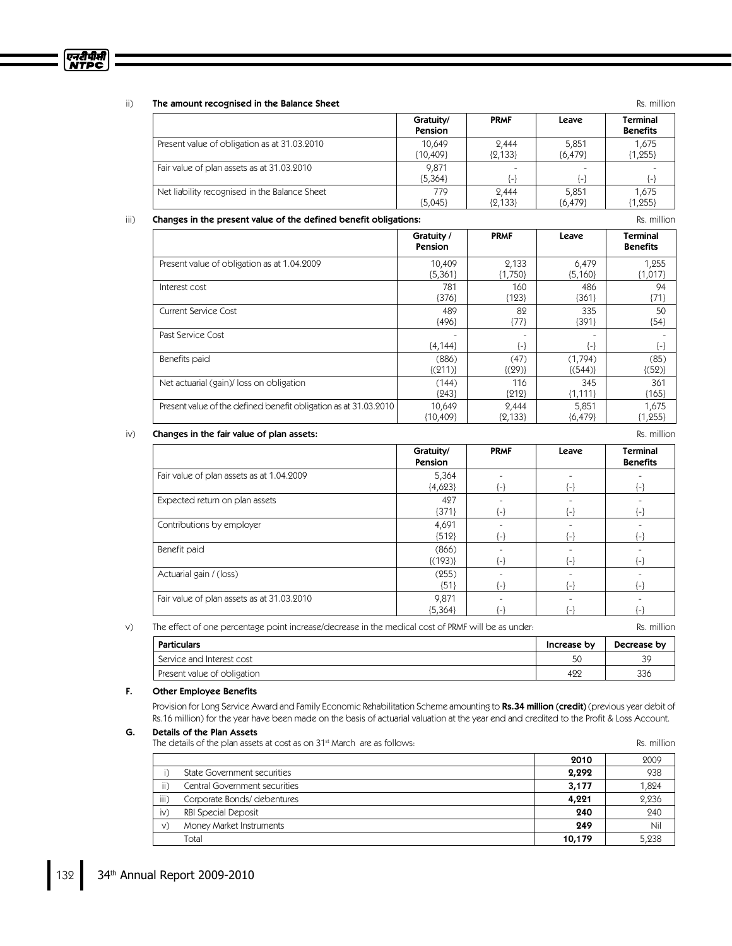

### ii) The amount recognised in the Balance Sheet Rs. million and the state of the state Rs. million

|                                               | Gratuity/<br>Pension | <b>PRMF</b> | Leave     | <b>Terminal</b><br><b>Benefits</b> |
|-----------------------------------------------|----------------------|-------------|-----------|------------------------------------|
| Present value of obligation as at 31.03.2010  | 10.649               | 2.444       | 5,851     | 1,675                              |
|                                               | {10,409}             | ${2,133}$   | ${6,479}$ | ${1,255}$                          |
| Fair value of plan assets as at 31.03.2010    | 9,871<br>${5,364}$   | { – }       | ( – )     | ۳                                  |
| Net liability recognised in the Balance Sheet | 779                  | 2.444       | 5,851     | 1,675                              |
|                                               | ${5,045}$            | ${2,133}$   | ${6,479}$ | $\{1, 255\}$                       |

#### iii) Changes in the present value of the defined benefit obligations: The result of the state of the defined benefit obligations:

|                                                                  | Gratuity /<br>Pension | <b>PRMF</b>    | Leave               | Terminal<br><b>Benefits</b> |
|------------------------------------------------------------------|-----------------------|----------------|---------------------|-----------------------------|
| Present value of obligation as at 1.04.2009                      | 10,409                | 2,133          | 6,479               | 1,255                       |
|                                                                  | ${5,361}$             | ${1,750}$      | ${5,160}$           | ${1,017}$                   |
| Interest cost                                                    | 781                   | 160            | 486                 | 94                          |
|                                                                  | ${376}$               | ${123}$        | {361}               | ${71}$                      |
| <b>Current Service Cost</b>                                      | 489                   | 82             | 335                 | 50                          |
|                                                                  | ${496}$               | ${77}$         | {391}               | ${54}$                      |
| Past Service Cost                                                | ${4,144}$             | $\{\text{-}\}$ | $\left\{ -\right\}$ | $\{-\}$                     |
| Benefits paid                                                    | (886)                 | (47)           | (1,794)             | (85)                        |
|                                                                  | $\{(211)\}\$          | $\{(29)\}\$    | $\{(544)\}$         | $\{(52)\}\$                 |
| Net actuarial (gain)/loss on obligation                          | (144)                 | 116            | 345                 | 361                         |
|                                                                  | ${243}$               | ${212}$        | ${1,111}$           | ${165}$                     |
| Present value of the defined benefit obligation as at 31.03.2010 | 10,649                | 2,444          | 5,851               | 1,675                       |
|                                                                  | ${10,409}$            | ${2,133}$      | ${6,479}$           | ${1,255}$                   |

### iv) **Changes in the fair value of plan assets:** Rs. million

|                                            | Gratuity/<br>Pension | <b>PRMF</b>    | Leave          | <b>Terminal</b><br><b>Benefits</b> |
|--------------------------------------------|----------------------|----------------|----------------|------------------------------------|
| Fair value of plan assets as at 1.04.2009  | 5,364                |                |                |                                    |
|                                            | ${4,623}$            | {−}            | $\{\text{-}\}$ | $\{\text{-}\}$                     |
| Expected return on plan assets             | 427                  |                |                |                                    |
|                                            | ${371}$              | $\{\text{-}\}$ | $\{\text{-}\}$ | {-}                                |
| Contributions by employer                  | 4,691                |                |                |                                    |
|                                            | ${512}$              | $\{\text{-}\}$ | $\{\text{-}\}$ | $\{\text{-}\}$                     |
| Benefit paid                               | (866)                |                |                |                                    |
|                                            | $\{(193)\}\$         | $\{\text{-}\}$ | $\{\text{-}\}$ | {-}                                |
| Actuarial gain / (loss)                    | (255)                |                |                |                                    |
|                                            | ${51}$               | $\{\text{-}\}$ | $\{\text{-}\}$ | {-}                                |
| Fair value of plan assets as at 31.03.2010 | 9,871                |                |                |                                    |
|                                            | ${5,364}$            | {−}            | ł-l            | H                                  |

v) The effect of one percentage point increase/decrease in the medical cost of PRMF will be as under: Rs. million

| Particulars                 | Increase by | Decrease by |
|-----------------------------|-------------|-------------|
| Service and Interest cost   |             | 39          |
| Present value of obligation | 422         | 336         |

### F. Other Employee Benefits

Provision for Long Service Award and Family Economic Rehabilitation Scheme amounting to Rs.34 million (credit) (previous year debit of Rs.16 million) for the year have been made on the basis of actuarial valuation at the year end and credited to the Profit & Loss Account.

### G. Details of the Plan Assets

The details of the plan assets at cost as on  $31<sup>*</sup>$  March are as follows:  $\blacksquare$  reasonably and  $\blacksquare$  Rs. million

|      | $\sim$ actually of the plan assets at cost as on only march are as follows. |        | .     |
|------|-----------------------------------------------------------------------------|--------|-------|
|      |                                                                             | 2010   | 2009  |
|      | State Government securities                                                 | 2,292  | 938   |
| ii)  | Central Government securities                                               | 3,177  | 1,824 |
| iii) | Corporate Bonds/ debentures                                                 | 4,221  | 2,236 |
| iv)  | RBI Special Deposit                                                         | 240    | 240   |
| V)   | Money Market Instruments                                                    | 249    | Nil   |
|      | Total                                                                       | 10,179 | 5,238 |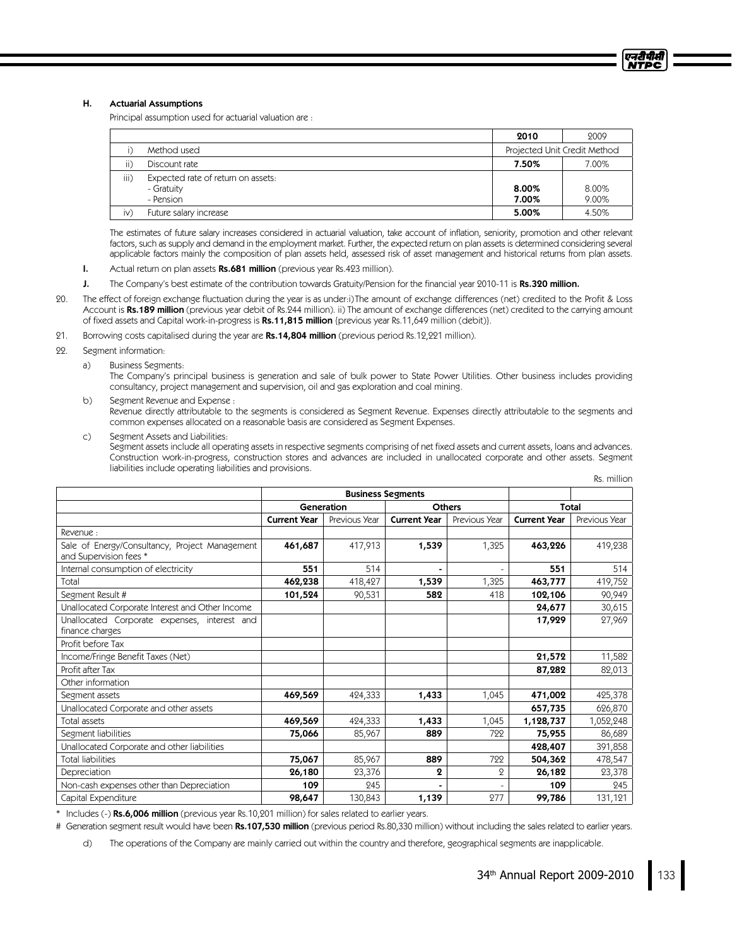### H. Actuarial Assumptions

Principal assumption used for actuarial valuation are:

|               |                                                               | 2010           | 2009                         |
|---------------|---------------------------------------------------------------|----------------|------------------------------|
|               | Method used                                                   |                | Projected Unit Credit Method |
| ii)           | Discount rate                                                 | 7.50%          | 7.00%                        |
| iii)          | Expected rate of return on assets:<br>- Gratuity<br>- Pension | 8.00%<br>7.00% | 8.00%<br>9.00%               |
| $\mathsf{iv}$ | Future salary increase                                        | 5.00%          | 4.50%                        |

The estimates of future salary increases considered in actuarial valuation, take account of inflation, seniority, promotion and other relevant factors, such as supply and demand in the employment market. Further, the expected return on plan assets is determined considering several applicable factors mainly the composition of plan assets held, assessed risk of asset management and historical returns from plan assets.

- I. Actual return on plan assets Rs.681 million (previous year Rs.423 million).
- J. The Company's best estimate of the contribution towards Gratuity/Pension for the financial year 2010-11 is Rs.320 million.
- 20. The effect of foreign exchange fluctuation during the year is as under:i)The amount of exchange differences (net) credited to the Profit & Loss Account is Rs.189 million (previous year debit of Rs.244 million). ii) The amount of exchange differences (net) credited to the carrying amount of fixed assets and Capital work-in-progress is Rs.11,815 million {previous year Rs.11,649 million (debit)}.
- 21. Borrowing costs capitalised during the year are Rs.14,804 million (previous period Rs.12,221 million).
- 22. Segment information:
	- a) Business Segments:

The Company's principal business is generation and sale of bulk power to State Power Utilities. Other business includes providing consultancy, project management and supervision, oil and gas exploration and coal mining.

- b) Segment Revenue and Expense: Revenue directly attributable to the segments is considered as Segment Revenue. Expenses directly attributable to the segments and common expenses allocated on a reasonable basis are considered as Segment Expenses.
- c) Segment Assets and Liabilities:

Segment assets include all operating assets in respective segments comprising of net fixed assets and current assets, loans and advances. Construction work-in-progress, construction stores and advances are included in unallocated corporate and other assets. Segment liabilities include operating liabilities and provisions. Rs. million

|                                                                          |                     |               |                          |               |                     | NJ. IIIIIIIUI I |  |
|--------------------------------------------------------------------------|---------------------|---------------|--------------------------|---------------|---------------------|-----------------|--|
|                                                                          |                     |               | <b>Business Segments</b> |               |                     |                 |  |
|                                                                          | Generation          |               | <b>Others</b>            |               |                     | Total           |  |
|                                                                          | <b>Current Year</b> | Previous Year | <b>Current Year</b>      | Previous Year | <b>Current Year</b> | Previous Year   |  |
| Revenue:                                                                 |                     |               |                          |               |                     |                 |  |
| Sale of Energy/Consultancy, Project Management<br>and Supervision fees * | 461,687             | 417,913       | 1,539                    | 1,325         | 463,226             | 419,238         |  |
| Internal consumption of electricity                                      | 551                 | 514           |                          |               | 551                 | 514             |  |
| Total                                                                    | 462,238             | 418,427       | 1,539                    | 1,325         | 463,777             | 419,752         |  |
| Segment Result #                                                         | 101,524             | 90,531        | 582                      | 418           | 102,106             | 90,949          |  |
| Unallocated Corporate Interest and Other Income                          |                     |               |                          |               | 24,677              | 30,615          |  |
| Unallocated Corporate expenses, interest and<br>finance charges          |                     |               |                          |               | 17,929              | 27,969          |  |
| Profit before Tax                                                        |                     |               |                          |               |                     |                 |  |
| Income/Fringe Benefit Taxes (Net)                                        |                     |               |                          |               | 21,572              | 11,582          |  |
| Profit after Tax                                                         |                     |               |                          |               | 87,282              | 82,013          |  |
| Other information                                                        |                     |               |                          |               |                     |                 |  |
| Segment assets                                                           | 469,569             | 424,333       | 1,433                    | 1,045         | 471,002             | 425,378         |  |
| Unallocated Corporate and other assets                                   |                     |               |                          |               | 657,735             | 626,870         |  |
| Total assets                                                             | 469,569             | 424,333       | 1,433                    | 1,045         | 1,128,737           | 1,052,248       |  |
| Segment liabilities                                                      | 75,066              | 85,967        | 889                      | 722           | 75,955              | 86,689          |  |
| Unallocated Corporate and other liabilities                              |                     |               |                          |               | 428,407             | 391,858         |  |
| <b>Total liabilities</b>                                                 | 75,067              | 85,967        | 889                      | 722           | 504,362             | 478,547         |  |
| Depreciation                                                             | 26,180              | 23,376        | 2                        | 2             | 26,182              | 23,378          |  |
| Non-cash expenses other than Depreciation                                | 109                 | 245           |                          |               | 109                 | 245             |  |
| Capital Expenditure                                                      | 98,647              | 130,843       | 1,139                    | 277           | 99,786              | 131,121         |  |

\* Includes (-) Rs.6,006 million (previous year Rs.10,201 million) for sales related to earlier years.

# Generation segment result would have been Rs.107,530 million (previous period Rs.80,330 million) without including the sales related to earlier years.

d) The operations of the Company are mainly carried out within the country and therefore, geographical segments are inapplicable.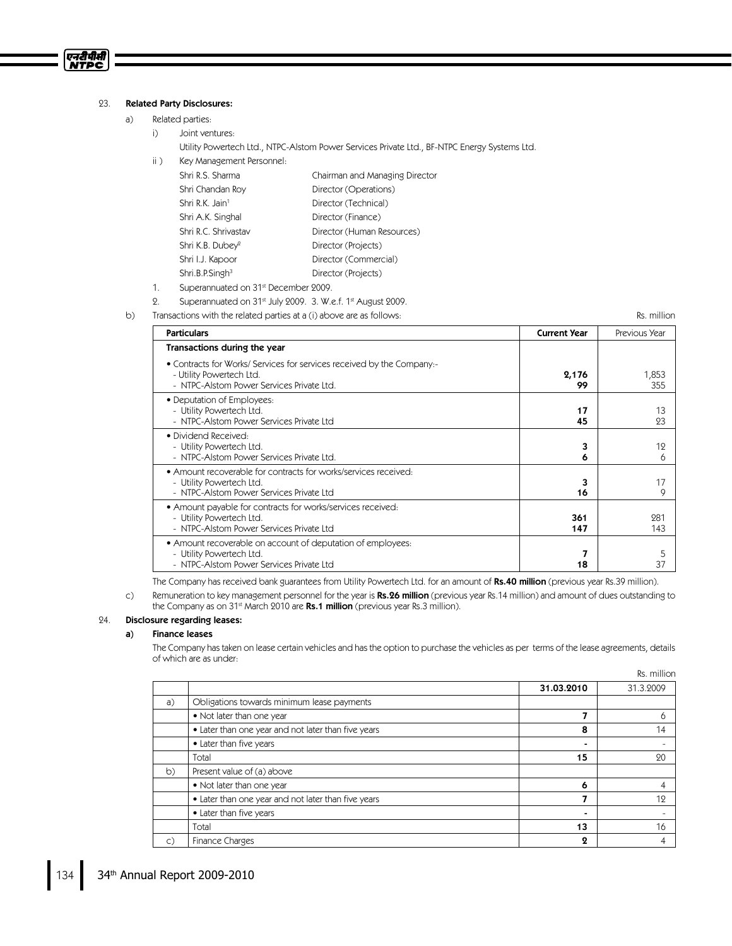### 23. Related Party Disclosures:

एनटीपीसी **NTPC** 

- a) Related parties:
	- i) Joint ventures:
		- Utility Powertech Ltd., NTPC-Alstom Power Services Private Ltd., BF-NTPC Energy Systems Ltd.
	- ii) Key Management Personnel:

| Shri R.S. Sharma             | Chairman and Managing Director |
|------------------------------|--------------------------------|
| Shri Chandan Roy             | Director (Operations)          |
| Shri R.K. Jain <sup>1</sup>  | Director (Technical)           |
| Shri A.K. Singhal            | Director (Finance)             |
| Shri R.C. Shrivastav         | Director (Human Resources)     |
| Shri K.B. Dubey <sup>2</sup> | Director (Projects)            |
| Shri I.J. Kapoor             | Director (Commercial)          |
| Shri.B.P.Singh <sup>3</sup>  | Director (Projects)            |

- 1. Superannuated on 31<sup>st</sup> December 2009.
- 2. Superannuated on 31<sup>st</sup> July 2009. 3. W.e.f. 1<sup>st</sup> August 2009.
- b) Transactions with the related parties at a (i) above are as follows: The material content of the Rs. million

Particulars Current Year PreviousYear Transactions during the year • Contracts for Works/ Services for services received by the Company:-- Utility Powertech Ltd. - NTPC-Alstom Power Services Private Ltd. 2,176 99 1,853 355 • Deputation of Employees: - Utility Powertech Ltd. - NTPC-Alstom Power Services Private Ltd 17 45 13 23 · Dividend Received: - Utility Powertech Ltd. - NTPC-Alstom Power Services Private Ltd. 3 6 19 6 • Amount recoverable for contracts for works/services received: - Utility Powertech Ltd. - NTPC-Alstom Power Services Private Ltd 3 16 17 9 • Amount payable for contracts for works/services received: - Utility Powertech Ltd. - NTPC-Alstom Power Services Private Ltd 361 147 281 143 • Amount recoverable on account of deputation of employees: Utility Powertech Ltd. - NTPC-Alstom Power Services Private Ltd 7 18 5 37

The Company has received bank guarantees from Utility Powertech Ltd. for an amount of Rs.40 million (previous year Rs.39 million).

c) Remuneration to key management personnel for the year is Rs.26 million (previous year Rs.14 million) and amount of dues outstanding to the Company as on 31<sup>st</sup> March 2010 are **Rs.1 million** (previous year Rs.3 million).

#### 24. Disclosure regarding leases:

#### a) Finance leases

The Company has taken on lease certain vehicles and has the option to purchase the vehicles as per terms of the lease agreements, details of which are as under:

Rs. million

|    |                                                     | 31.03.2010 | 31.3.2009 |
|----|-----------------------------------------------------|------------|-----------|
| a) | Obligations towards minimum lease payments          |            |           |
|    | • Not later than one year                           | 7          |           |
|    | • Later than one year and not later than five years | 8          | 14        |
|    | • Later than five years                             |            |           |
|    | Total                                               | 15         | 20        |
| b) | Present value of (a) above                          |            |           |
|    | • Not later than one year                           | 6          |           |
|    | • Later than one year and not later than five years |            | 12        |
|    | • Later than five years                             |            |           |
|    | Total                                               | 13         | 16        |
| C) | Finance Charges                                     | 2          |           |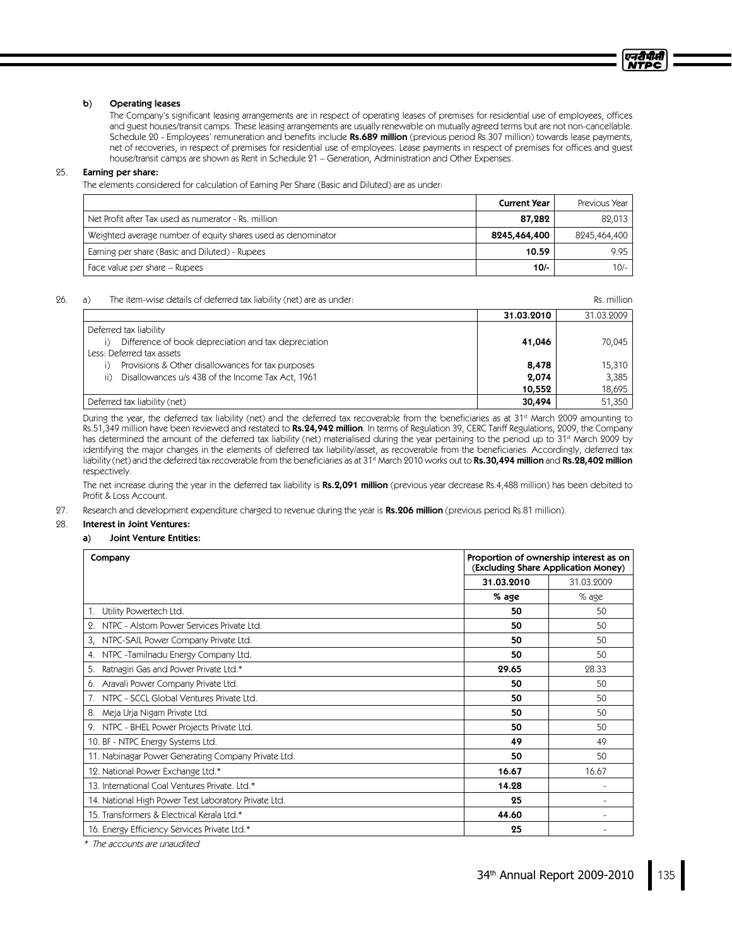#### b) Operating leases

The Company's significant leasing arrangements are in respect of operating leases of premises for residential use of employees, offices and guest houses/transit camps. These leasing arrangements are usually renewable on mutually agreed terms but are not non-cancellable. Schedule 20 - Employees' remuneration and benefits include Rs.689 million (previous period Rs.307 million) towards lease payments, net of recoveries, in respect of premises for residential use of employees. Lease payments in respect of premises for offices and guest house/transit camps are shown as Rent in Schedule 21 – Generation, Administration and Other Expenses.

### 25. Earning per share:

The elements considered for calculation of Earning Per Share (Basic and Diluted) are as under:

|                                                              | <b>Current Year</b> | Previous Year |
|--------------------------------------------------------------|---------------------|---------------|
| Net Profit after Tax used as numerator - Rs. million         | 87,282              | 82.013        |
| Weighted average number of equity shares used as denominator | 8245,464,400        | 8245,464,400  |
| Earning per share (Basic and Diluted) - Rupees               | 10.59               | 9.95          |
| Face value per share – Rupees                                | $10/-$              | $10/-$        |

#### 26. a) The item-wise details of deferred tax liability (net) are as under: Rs. million

31.03.2010 31.03.2009 Deferred tax liability i) Difference of book depreciation and tax depreciation and tax depreciation and tax  $\frac{1}{2}$  1  $\frac{41,046}{20,045}$  70,045 Less: Deferred tax assets i) Provisions & Other disallowances for tax purposes  $\overline{\phantom{0}}$  8,478  $\overline{\phantom{0}}$  8,478 15,310 ii) Disallowances u/s 43B of the Income Tax Act, 1961 2003 2004 20074 2,0074 3,385 3,385 10,552 Deferred tax liability (net) 30,494 51,350

During the year, the deferred tax liability (net) and the deferred tax recoverable from the beneficiaries as at 31<sup>st</sup> March 2009 amounting to Rs.51,349 million have been reviewed and restated to Rs.24,942 million. In terms of Regulation 39, CERC Tariff Regulations, 2009, the Company has determined the amount of the deferred tax liability (net) materialised during the year pertaining to the period up to 31ª March 2009 by identifying the major changes in the elements of deferred tax liability/asset, as recoverable from the beneficiaries. Accordingly, deferred tax liability (net) and the deferred tax recoverable from the beneficiaries as at 31st March 2010 works out to **Rs.30,494 million** and **Rs.28,402 million** respectively.

The net increase during the year in the deferred tax liability is Rs.2,091 million (previous year decrease Rs.4,488 million) has been debited to Profit&LossAccount.

27. Research and development expenditure charged to revenue during the year is Rs.206 million (previous period Rs.81 million).

### 28. Interest in Joint Ventures:

#### a) Joint Venture Entities:

| Proportion of ownership interest as on<br>Company<br>(Excluding Share Application Money) |            |            |
|------------------------------------------------------------------------------------------|------------|------------|
|                                                                                          | 31.03.2010 | 31.03.2009 |
|                                                                                          | % age      | $%$ age    |
| Utility Powertech Ltd.<br>1.                                                             | 50         | 50         |
| NTPC - Alstom Power Services Private Ltd.<br>2.                                          | 50         | 50         |
| NTPC-SAIL Power Company Private Ltd.<br>3,                                               | 50         | 50         |
| NTPC -Tamilnadu Energy Company Ltd.<br>4.                                                | 50         | 50         |
| Ratnagiri Gas and Power Private Ltd.*<br>5.                                              | 29.65      | 28.33      |
| 6. Aravali Power Company Private Ltd.                                                    | 50         | 50         |
| NTPC - SCCL Global Ventures Private Ltd.<br>7.                                           | 50         | 50         |
| Meja Urja Nigam Private Ltd.<br>8.                                                       | 50         | 50         |
| 9. NTPC - BHEL Power Projects Private Ltd.                                               | 50         | 50         |
| 10. BF - NTPC Energy Systems Ltd.                                                        | 49         | 49         |
| 11. Nabinagar Power Generating Company Private Ltd.                                      | 50         | 50         |
| 12. National Power Exchange Ltd.*                                                        | 16.67      | 16.67      |
| 13. International Coal Ventures Private. Ltd.*                                           | 14.28      |            |
| 14. National High Power Test Laboratory Private Ltd.                                     | 25         |            |
| 15. Transformers & Electrical Kerala Ltd.*                                               | 44.60      |            |
| 16. Energy Efficiency Services Private Ltd.*                                             | 25         |            |

 $^\ast$  The accounts are unaudited

एनरीपीसी **NTPC**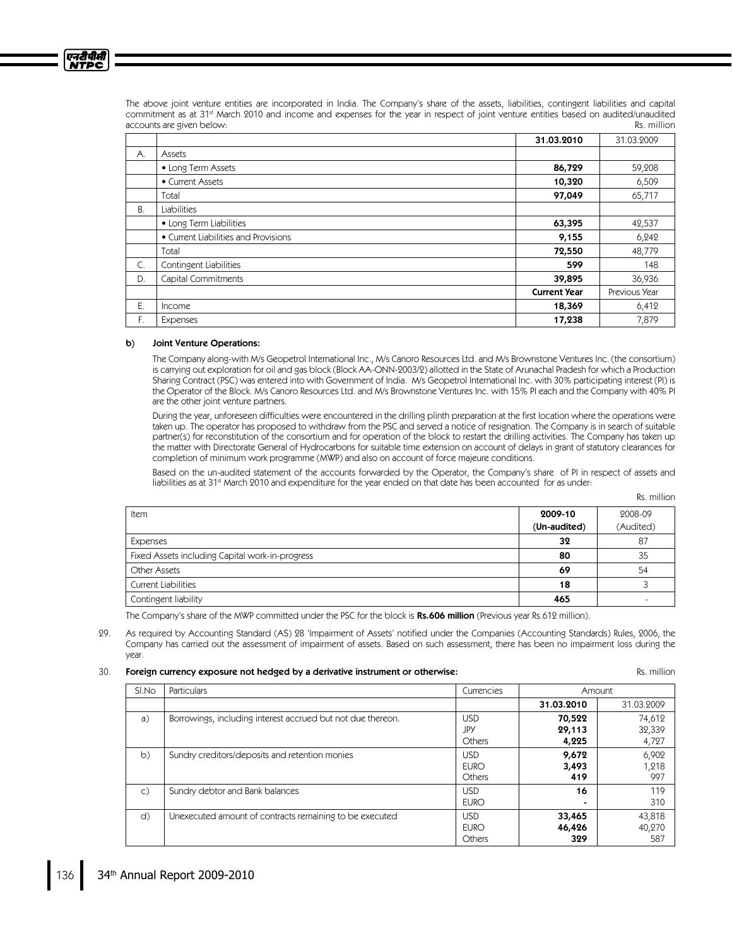

The above joint venture entities are incorporated in India. The Company's share of the assets, liabilities, contingent liabilities and capital commitment as at 31st March 2010 and income and expenses for the year in respect of joint venture entities based on audited/unaudited accounts are given below: **Reserve and the countries of the countries of the countries of the countries of the countries of the countries of the countries of the countries of the countries of the countries of the countries** 

|    |                                      | 31.03.2010          | 31.03.2009    |
|----|--------------------------------------|---------------------|---------------|
| А. | Assets                               |                     |               |
|    | • Long Term Assets                   | 86,729              | 59,208        |
|    | • Current Assets                     | 10,320              | 6,509         |
|    | Total                                | 97,049              | 65,717        |
| B. | Liabilities                          |                     |               |
|    | • Long Term Liabilities              | 63,395              | 42,537        |
|    | • Current Liabilities and Provisions | 9,155               | 6,242         |
|    | Total                                | 72,550              | 48,779        |
| C. | Contingent Liabilities               | 599                 | 148           |
| D. | Capital Commitments                  | 39,895              | 36,936        |
|    |                                      | <b>Current Year</b> | Previous Year |
| Е. | Income                               | 18,369              | 6,412         |
| F. | <b>Expenses</b>                      | 17,238              | 7,879         |

### b) Joint Venture Operations:

The Company along-with M/s Geopetrol International Inc., M/s Canoro Resources Ltd. and M/s Brownstone Ventures Inc. (the consortium) is carrying out exploration for oil and gas block (Block AA-ONN-2003/2) allotted in the State of Arunachal Pradesh for which a Production Sharing Contract (PSC) was entered into with Government of India. M/s Geopetrol International Inc. with 30% participating interest (PI) is the Operator of the Block. M/s Canoro Resources Ltd. and M/s Brownstone Ventures Inc. with 15% PI each and the Company with 40% PI are the other joint venture partners.

During the year, unforeseen difficulties were encountered in the drilling plinth preparation at the first location where the operations were taken up. The operator has proposed to withdraw from the PSC and served a notice of resignation. The Company is in search of suitable partner(s) for reconstitution of the consortium and for operation of the block to restart the drilling activities. The Company has taken up the matter with Directorate General of Hydrocarbons for suitable time extension on account of delays in grant of statutory clearances for completion of minimum work programme (MWP) and also on account of force majeure conditions.

Based on the un-audited statement of the accounts forwarded by the Operator, the Company's share of PI in respect of assets and liabilities as at 31st March 2010 and expenditure for the year ended on that date has been accounted for as under:

Rs. million

| Item                                            | 2009-10      | 2008-09                  |
|-------------------------------------------------|--------------|--------------------------|
|                                                 | (Un-audited) | (Audited)                |
| Expenses                                        | 32           | 87                       |
| Fixed Assets including Capital work-in-progress | 80           | 35                       |
| Other Assets                                    | 69           | 54                       |
| <b>Current Liabilities</b>                      | 18           |                          |
| Contingent liability                            | 465          | $\overline{\phantom{0}}$ |

The Company's share of the MWP committed under the PSC for the block is Rs.606 million (Previous year Rs.612 million).

29. As required by Accounting Standard (AS) 28 'Impairment of Assets' notified under the Companies (Accounting Standards) Rules, 2006, the Company has carried out the assessment of impairment of assets. Based on such assessment, there has been no impairment loss during the year.

#### 30. Foreign currency exposure not hedged by a derivative instrument or otherwise: Res. million

| SI.No          | Particulars                                                 | Currencies                          | Amount                    |                           |
|----------------|-------------------------------------------------------------|-------------------------------------|---------------------------|---------------------------|
|                |                                                             |                                     | 31.03.2010                | 31.03.2009                |
| a)             | Borrowings, including interest accrued but not due thereon. | <b>USD</b><br>JPY<br>Others         | 70,522<br>29,113<br>4,225 | 74,612<br>32,339<br>4,727 |
| b)             | Sundry creditors/deposits and retention monies              | <b>USD</b><br><b>EURO</b><br>Others | 9,672<br>3,493<br>419     | 6,902<br>1,218<br>997     |
| $\mathsf{C}$ ) | Sundry debtor and Bank balances                             | <b>USD</b><br><b>EURO</b>           | 16                        | 119<br>310                |
| d)             | Unexecuted amount of contracts remaining to be executed     | <b>USD</b><br><b>EURO</b><br>Others | 33,465<br>46,426<br>329   | 43,818<br>40,270<br>587   |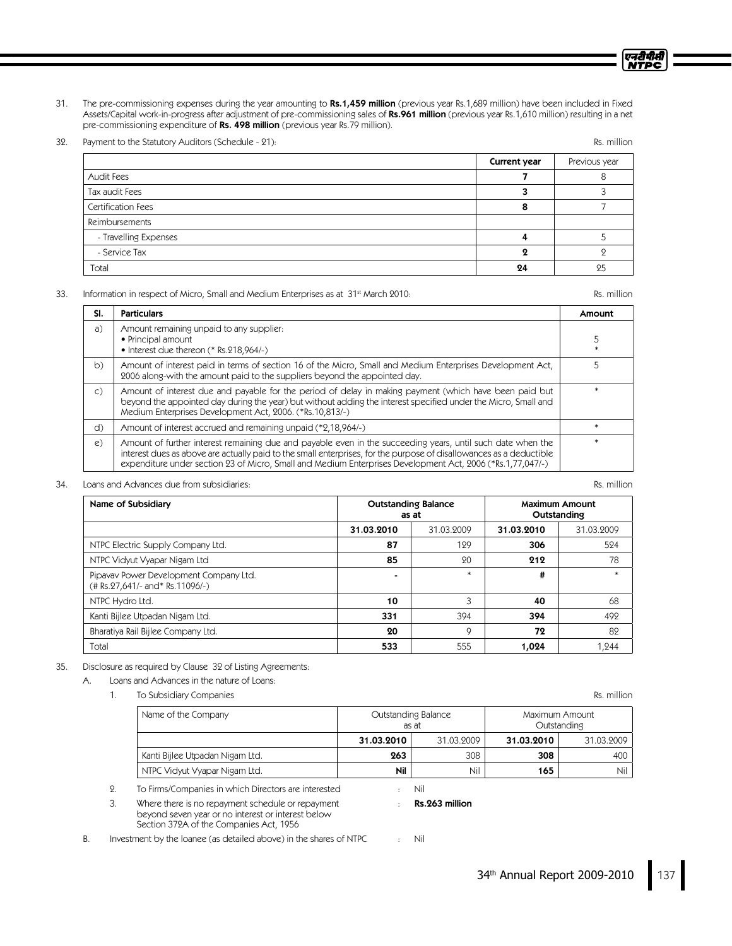31. The pre-commissioning expenses during the year amounting to Rs.1,459 million (previous year Rs.1,689 million) have been included in Fixed Assets/Capital work-in-progress after adjustment of pre-commissioning sales of Rs.961 million (previous year Rs.1,610 million) resulting in a net pre-commissioning expenditure of Rs. 498 million (previous year Rs.79 million).

32. Payment to the Statutory Auditors (Schedule - 21): Rs. million Research 2013

|                       | Current year | Previous year |
|-----------------------|--------------|---------------|
| Audit Fees            |              |               |
| Tax audit Fees        |              |               |
| Certification Fees    |              |               |
| Reimbursements        |              |               |
| - Travelling Expenses |              |               |
| - Service Tax         |              |               |
| Total                 | 24           | 25            |

#### 33. Information in respect of Micro, Small and Medium Enterprises as at 31st March 2010: Rs. million Rs. million

| SI.            | <b>Particulars</b>                                                                                                                                                                                                                                                                                                                               | Amount |
|----------------|--------------------------------------------------------------------------------------------------------------------------------------------------------------------------------------------------------------------------------------------------------------------------------------------------------------------------------------------------|--------|
| a)             | Amount remaining unpaid to any supplier.<br>• Principal amount<br>• Interest due thereon (* Rs.218,964/-)                                                                                                                                                                                                                                        |        |
| b)             | Amount of interest paid in terms of section 16 of the Micro, Small and Medium Enterprises Development Act,<br>2006 along-with the amount paid to the suppliers beyond the appointed day.                                                                                                                                                         | 5      |
| $\mathsf{C}$ ) | Amount of interest due and payable for the period of delay in making payment (which have been paid but<br>beyond the appointed day during the year) but without adding the interest specified under the Micro, Small and<br>Medium Enterprises Development Act, 2006. (*Rs.10,813/-)                                                             |        |
| d)             | Amount of interest accrued and remaining unpaid (*2,18,964/-)                                                                                                                                                                                                                                                                                    |        |
| $\epsilon$ )   | Amount of further interest remaining due and payable even in the succeeding years, until such date when the<br>interest dues as above are actually paid to the small enterprises, for the purpose of disallowances as a deductible<br>expenditure under section 23 of Micro, Small and Medium Enterprises Development Act, 2006 (*Rs.1,77,047/-) |        |

### 34. LoansandAdvancesduefrom subsidiaries: Rs. million

Name of Subsidiary **Name of Subsidiary Name of Subsidiary Outstanding Balance** as at Maximum Amount **Outstanding** 31.03.2010 31.03.2009 31.03.2010 31.03.2009 NTPC Electric Supply Company Ltd. **87 129 306** 306 524 NTPC Vidyut Vyapar Nigam Ltd **85 312 212 3212** 78 Pipavav Power Development Company Ltd. (#Rs.27,641/- and\* Rs.11096/-) - **\*** \* **\*** \* **#** \* \* \* NTPCHydroLtd. 10 3 40 68 Kanti Bijlee Utpadan Nigam Ltd.  $\begin{vmatrix} 331 & 394 \end{vmatrix}$  394  $\begin{vmatrix} 394 & 394 \end{vmatrix}$  492 BharatiyaRailBijleeCompanyLtd. 20 9 72 82 Total 553  $\,$  553  $\,$  555  $\,$  554  $\,$  554  $\,$  555  $\,$  555  $\,$  555  $\,$  559  $\,$  554  $\,$  554  $\,$  555  $\,$  555  $\,$  555  $\,$  559  $\,$  554  $\,$  554  $\,$  555  $\,$  555  $\,$  555  $\,$  555  $\,$  555  $\,$  555  $\,$  555  $\,$ 

### 35. Disclosure as required by Clause 32 of Listing Agreements:

A. Loans and Advances in the nature of Loans:

1. To Subsidiary Companies and the companies of the companion of the companion of the companion of the companion of the companion of the companion of the companion of the companion of the companion of the companion of the

| Name of the Company             | Outstanding Balance<br>as at |            | Maximum Amount<br>Outstanding |            |
|---------------------------------|------------------------------|------------|-------------------------------|------------|
|                                 | 31.03.2010                   | 31.03.2009 | 31.03.2010                    | 31.03.2009 |
| Kanti Bijlee Utpadan Nigam Ltd. | 263                          | 308        | 308                           | 400        |
| NTPC Vidyut Vyapar Nigam Ltd.   | Nil                          | Nil        | 165                           | Nil        |

2. To Firms/Companies in which Directors are interested : Nil

3. Where there is no repayment schedule or repayment  $\cdot$  Rs.263 million beyond seven year or no interest or interest below Section 372A of the Companies Act, 1956

B. Investment by the loanee (as detailed above) in the shares of NTPC : Nil

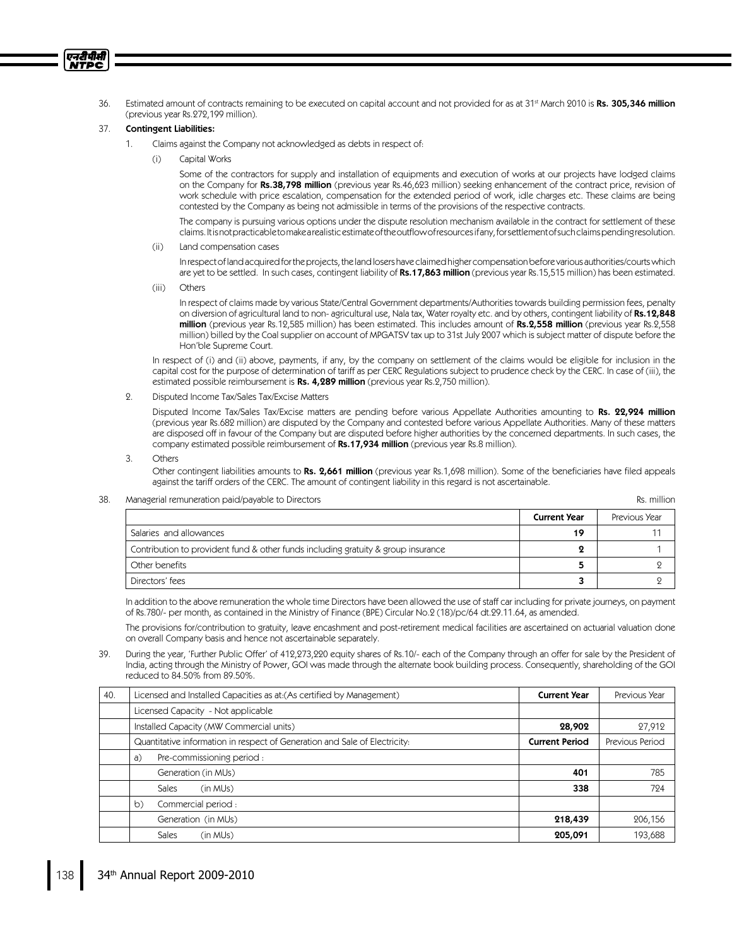36. Estimated amount of contracts remaining to be executed on capital account and not provided for as at 31st March 2010 is **Rs. 305,346 million** (previous year Rs.272,199 million).

### 37. Contingent Liabilities:

एनरीपीसी **NTPC** 

- Claims against the Company not acknowledged as debts in respect of:
	- (i) CapitalWorks

Some of the contractors for supply and installation of equipments and execution of works at our projects have lodged claims on the Company for Rs.38,798 million (previous year Rs.46,623 million) seeking enhancement of the contract price, revision of work schedule with price escalation, compensation for the extended period of work, idle charges etc. These claims are being contested by the Company as being not admissible in terms of the provisions of the respective contracts.

The company is pursuing various options under the dispute resolution mechanism available in the contract for settlement of these claims.Itisnotpracticabletomakearealisticestimateoftheoutflowofresourcesifany,forsettlementofsuchclaimspendingresolution.

(ii) Land compensation cases

Inrespectoflandacquiredfortheprojects,thelandlosershaveclaimedhighercompensationbeforevariousauthorities/courtswhich are yet to be settled. In such cases, contingent liability of Rs.17,863 million (previous year Rs.15,515 million) has been estimated.

(iii) Others

In respect of claims made by various State/Central Government departments/Authorities towards building permission fees, penalty on diversion of agricultural land to non- agricultural use, Nalatax, Water royalty etc. and by others, contingent liability of Rs.12,848 million (previous year Rs.12,585 million) has been estimated. This includes amount of Rs.2,558 million (previous year Rs.2,558 million) billed by the Coal supplier on account of MPGATSV tax up to 31st July 2007 which is subject matter of dispute before the Hon'ble Supreme Court.

In respect of (i) and (ii) above, payments, if any, by the company on settlement of the claims would be eligible for inclusion in the capital cost for the purpose of determination of tariff as per CERC Regulations subject to prudence check by the CERC. In case of (iii), the estimated possible reimbursement is Rs. 4,289 million (previous year Rs.2,750 million).

2. Disputed Income Tax/Sales Tax/Excise Matters

Disputed Income Tax/Sales Tax/Excise matters are pending before various Appellate Authorities amounting to Rs. 22,924 million (previous year Rs.682 million) are disputed by the Company and contested before various Appellate Authorities. Many of these matters are disposed off in favour of the Company but are disputed before higher authorities by the concerned departments. In such cases, the company estimated possible reimbursement of  $Rs.17,934$  million (previous year Rs.8 million).

3. Others

Other contingent liabilities amounts to Rs. 2,661 million (previous year Rs.1,698 million). Some of the beneficiaries have filed appeals against the tariff orders of the CERC. The amount of contingent liability in this regard is not ascertainable.

38. Managerial remuneration paid/payable to Directors **Research 2006** and the state of the state of the state of the state of the state of the state of the state of the state of the state of the state of the state of the s

**Current Year** | Previous Year Salaries and allowances and allowances the control of the control of the control of the control of the control of the control of the control of the control of the control of the control of the control of the control of the Contribution to provident fund & other funds including gratuity & group insurance  $2 \t 1$ Other benefits 2012 2013 2014 2022 2023 2024 2022 2023 2024 2022 2023 2024 2022 2023 2024 2022 2023 2024 2023 Directors' fees  $\overline{3}$  2

In addition to the above remuneration the whole time Directors have been allowed the use of staff car including for private journeys, on payment of Rs.780/- per month, as contained in the Ministry of Finance (BPE) Circular No.2 (18)/pc/64 dt.29.11.64, as amended.

The provisions for/contribution to gratuity, leave encashment and post-retirement medical facilities are ascertained on actuarial valuation done on overall Company basis and hence not ascertainable separately.

39. During the year, 'Further Public Offer' of 412,273,220 equity shares of Rs.10/- each of the Company through an offer for sale by the President of India, acting through the Ministry of Power, GOI was made through the alternate book building process. Consequently, shareholding of the GOI reduced to 84.50% from 89.50%.

| 40. | Licensed and Installed Capacities as at: (As certified by Management)      | <b>Current Year</b>   | Previous Year   |
|-----|----------------------------------------------------------------------------|-----------------------|-----------------|
|     | Licensed Capacity - Not applicable                                         |                       |                 |
|     | Installed Capacity (MW Commercial units)<br>28,902                         |                       | 27,912          |
|     | Quantitative information in respect of Generation and Sale of Electricity: | <b>Current Period</b> | Previous Period |
|     | Pre-commissioning period :<br>a)                                           |                       |                 |
|     | Generation (in MUs)                                                        | 401                   | 785             |
|     | Sales<br>(in MUs)                                                          | 338                   | 724             |
|     | Commercial period:<br>b)                                                   |                       |                 |
|     | Generation (in MUs)                                                        | 218,439               | 206,156         |
|     | Sales<br>(in MUs)                                                          | 205,091               | 193,688         |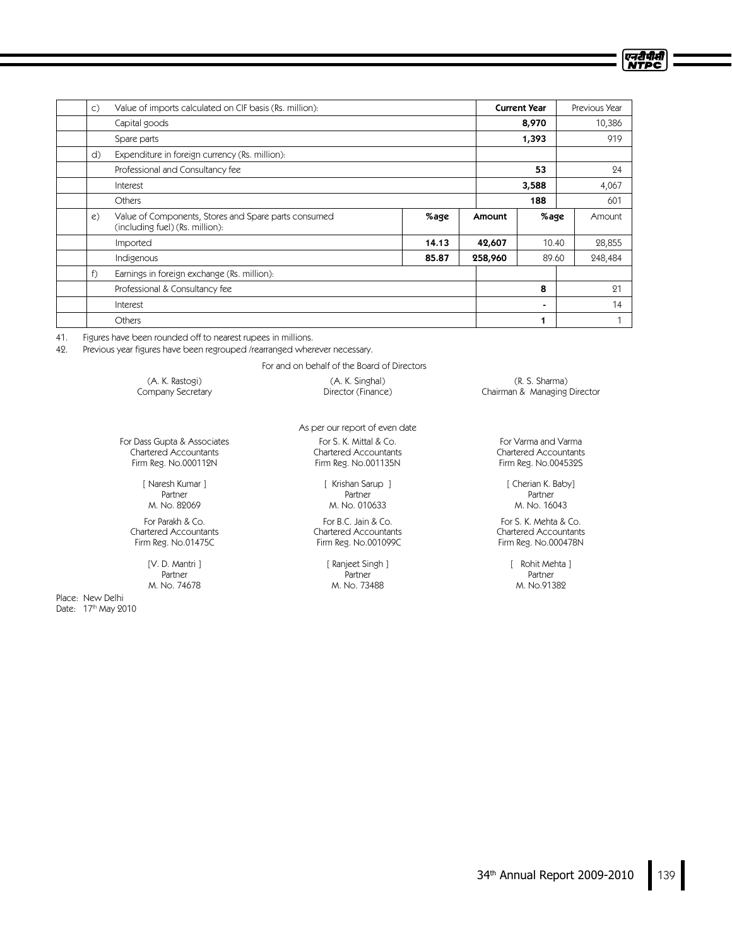| $\mathsf{C}$ ) | Value of imports calculated on CIF basis (Rs. million):                                 |       |         | <b>Current Year</b> | Previous Year |
|----------------|-----------------------------------------------------------------------------------------|-------|---------|---------------------|---------------|
|                | Capital goods                                                                           |       |         | 8,970               | 10,386        |
|                | Spare parts                                                                             |       |         | 1,393               | 919           |
| d)             | Expenditure in foreign currency (Rs. million):                                          |       |         |                     |               |
|                | Professional and Consultancy fee                                                        |       |         | 53                  | 24            |
|                | Interest                                                                                |       |         | 3,588               | 4,067         |
|                | Others                                                                                  |       |         | 188                 | 601           |
| $\mathcal{C}$  | Value of Components, Stores and Spare parts consumed<br>(including fuel) (Rs. million): | %age  | Amount  | %age                | Amount        |
|                | Imported                                                                                | 14.13 | 42,607  | 10.40               | 28,855        |
|                | Indigenous                                                                              | 85.87 | 258,960 | 89.60               | 248,484       |
| f)             | Earnings in foreign exchange (Rs. million):                                             |       |         |                     |               |
|                | Professional & Consultancy fee                                                          |       |         | 8                   | 21            |
|                | Interest                                                                                |       |         | ۰                   | 14            |
|                | <b>Others</b>                                                                           |       |         | 1                   |               |

41. Figures have been rounded off to nearest rupees in millions.

42. Previous year figures have been regrouped /rearranged wherever necessary.

For and on behalf of the Board of Directors

(A. K. Rastogi) Company Secretary

For Dass Gupta & Associates Chartered Accountants Firm Reg. No.000112N

> [ Naresh Kumar ] Partner M. No. 82069

For Parakh & Co. Chartered Accountants Firm Reg. No.01475C

> [V. D. Mantri] Partner M. No. 74678

Place: New Delhi Date: 17th May 2010 As per our report of even date For S. K. Mittal & Co. Chartered Accountants Firm Reg. No.001135N

(A. K. Singhal) Director (Finance)

[ Krishan Sarup ] Partner M. No. 010633

For B.C. Jain & Co. Chartered Accountants Firm Reg. No.001099C

> [Ranjeet Singh] Partner M. No. 73488

(R. S. Sharma) Chairman & Managing Director एनदीपीसी<br>NTPC

For Varma and Varma Chartered Accountants Firm Reg. No.004532S

> [ Cherian K. Baby] Partner M. No. 16043

For S. K. Mehta & Co. Chartered Accountants Firm Reg. No.000478N

> [ Rohit Mehta ] Partner M. No.91382